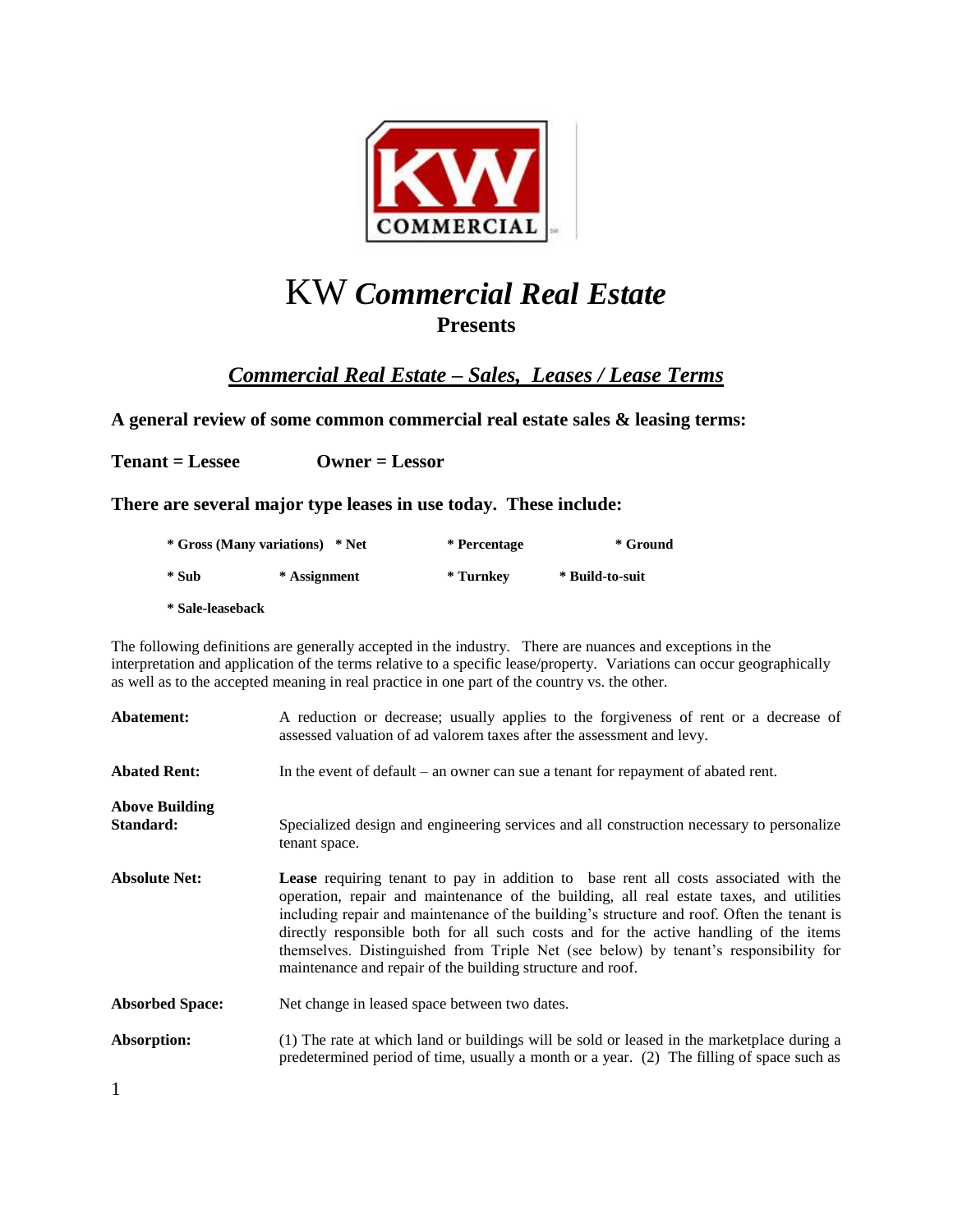

# KW *Commercial Real Estate* **Presents**

*Commercial Real Estate – Sales, Leases / Lease Terms*

**A general review of some common commercial real estate sales & leasing terms:** 

**Tenant = Lessee Owner = Lessor** 

**There are several major type leases in use today. These include:** 

| * Gross (Many variations) * Net |              | * Percentage | * Ground        |
|---------------------------------|--------------|--------------|-----------------|
| * Sub                           | * Assignment | * Turnkev    | * Build-to-suit |
| * Sale-leaseback                |              |              |                 |

The following definitions are generally accepted in the industry. There are nuances and exceptions in the interpretation and application of the terms relative to a specific lease/property. Variations can occur geographically as well as to the accepted meaning in real practice in one part of the country vs. the other.

| Abatement:                         | A reduction or decrease; usually applies to the forgiveness of rent or a decrease of<br>assessed valuation of ad valorem taxes after the assessment and levy.                                                                                                                                                                                                                                                                                                                                                                       |
|------------------------------------|-------------------------------------------------------------------------------------------------------------------------------------------------------------------------------------------------------------------------------------------------------------------------------------------------------------------------------------------------------------------------------------------------------------------------------------------------------------------------------------------------------------------------------------|
| <b>Abated Rent:</b>                | In the event of default – an owner can sue a tenant for repayment of abated rent.                                                                                                                                                                                                                                                                                                                                                                                                                                                   |
| <b>Above Building</b><br>Standard: | Specialized design and engineering services and all construction necessary to personalize<br>tenant space.                                                                                                                                                                                                                                                                                                                                                                                                                          |
| <b>Absolute Net:</b>               | <b>Lease</b> requiring tenant to pay in addition to base rent all costs associated with the<br>operation, repair and maintenance of the building, all real estate taxes, and utilities<br>including repair and maintenance of the building's structure and roof. Often the tenant is<br>directly responsible both for all such costs and for the active handling of the items<br>themselves. Distinguished from Triple Net (see below) by tenant's responsibility for<br>maintenance and repair of the building structure and roof. |
| <b>Absorbed Space:</b>             | Net change in leased space between two dates.                                                                                                                                                                                                                                                                                                                                                                                                                                                                                       |
| Absorption:                        | (1) The rate at which land or buildings will be sold or leased in the marketplace during a<br>predetermined period of time, usually a month or a year. (2) The filling of space such as                                                                                                                                                                                                                                                                                                                                             |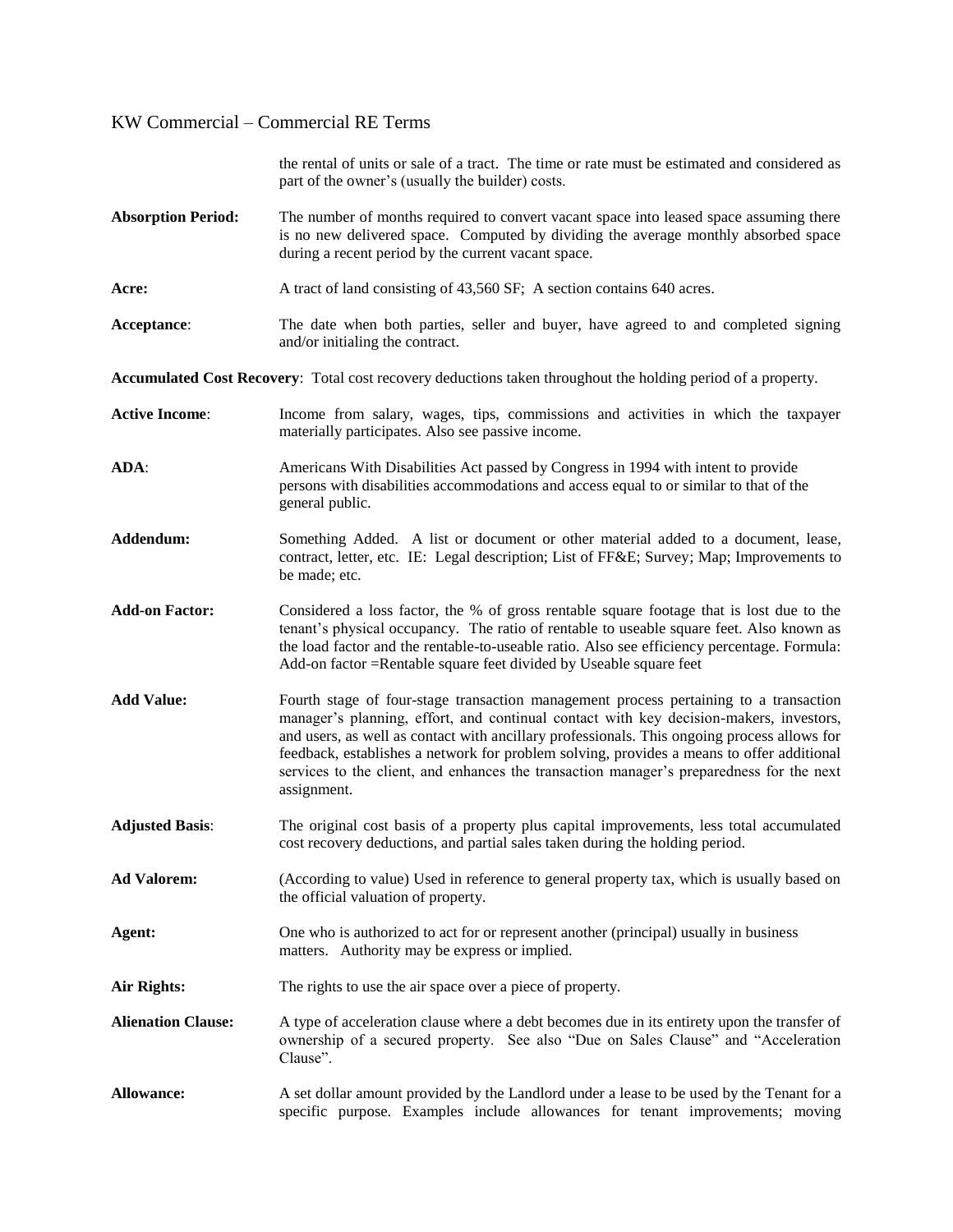|                           | the rental of units or sale of a tract. The time or rate must be estimated and considered as<br>part of the owner's (usually the builder) costs.                                                                                                                                                                                                                                                                                                                                       |
|---------------------------|----------------------------------------------------------------------------------------------------------------------------------------------------------------------------------------------------------------------------------------------------------------------------------------------------------------------------------------------------------------------------------------------------------------------------------------------------------------------------------------|
| <b>Absorption Period:</b> | The number of months required to convert vacant space into leased space assuming there<br>is no new delivered space. Computed by dividing the average monthly absorbed space<br>during a recent period by the current vacant space.                                                                                                                                                                                                                                                    |
| Acre:                     | A tract of land consisting of 43,560 SF; A section contains 640 acres.                                                                                                                                                                                                                                                                                                                                                                                                                 |
| Acceptance:               | The date when both parties, seller and buyer, have agreed to and completed signing<br>and/or initialing the contract.                                                                                                                                                                                                                                                                                                                                                                  |
|                           | Accumulated Cost Recovery: Total cost recovery deductions taken throughout the holding period of a property.                                                                                                                                                                                                                                                                                                                                                                           |
| <b>Active Income:</b>     | Income from salary, wages, tips, commissions and activities in which the taxpayer<br>materially participates. Also see passive income.                                                                                                                                                                                                                                                                                                                                                 |
| ADA:                      | Americans With Disabilities Act passed by Congress in 1994 with intent to provide<br>persons with disabilities accommodations and access equal to or similar to that of the<br>general public.                                                                                                                                                                                                                                                                                         |
| Addendum:                 | Something Added. A list or document or other material added to a document, lease,<br>contract, letter, etc. IE: Legal description; List of FF&E Survey; Map; Improvements to<br>be made; etc.                                                                                                                                                                                                                                                                                          |
| <b>Add-on Factor:</b>     | Considered a loss factor, the % of gross rentable square footage that is lost due to the<br>tenant's physical occupancy. The ratio of rentable to useable square feet. Also known as<br>the load factor and the rentable-to-useable ratio. Also see efficiency percentage. Formula:<br>Add-on factor = Rentable square feet divided by Useable square feet                                                                                                                             |
| <b>Add Value:</b>         | Fourth stage of four-stage transaction management process pertaining to a transaction<br>manager's planning, effort, and continual contact with key decision-makers, investors,<br>and users, as well as contact with ancillary professionals. This ongoing process allows for<br>feedback, establishes a network for problem solving, provides a means to offer additional<br>services to the client, and enhances the transaction manager's preparedness for the next<br>assignment. |
| <b>Adjusted Basis:</b>    | The original cost basis of a property plus capital improvements, less total accumulated<br>cost recovery deductions, and partial sales taken during the holding period.                                                                                                                                                                                                                                                                                                                |
| <b>Ad Valorem:</b>        | (According to value) Used in reference to general property tax, which is usually based on<br>the official valuation of property.                                                                                                                                                                                                                                                                                                                                                       |
| Agent:                    | One who is authorized to act for or represent another (principal) usually in business<br>matters. Authority may be express or implied.                                                                                                                                                                                                                                                                                                                                                 |
| Air Rights:               | The rights to use the air space over a piece of property.                                                                                                                                                                                                                                                                                                                                                                                                                              |
| <b>Alienation Clause:</b> | A type of acceleration clause where a debt becomes due in its entirety upon the transfer of<br>ownership of a secured property. See also "Due on Sales Clause" and "Acceleration<br>Clause".                                                                                                                                                                                                                                                                                           |
| <b>Allowance:</b>         | A set dollar amount provided by the Landlord under a lease to be used by the Tenant for a<br>specific purpose. Examples include allowances for tenant improvements; moving                                                                                                                                                                                                                                                                                                             |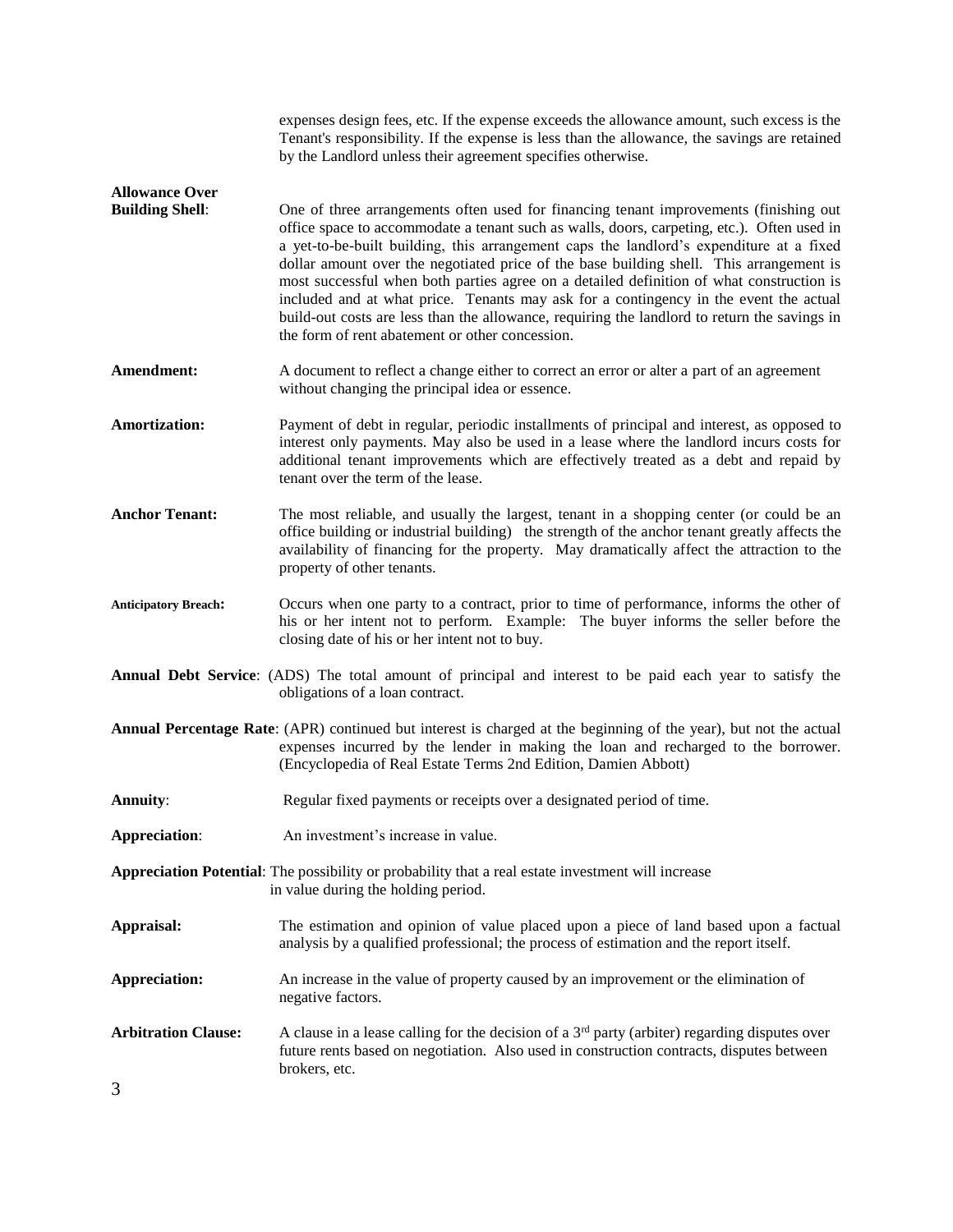|                                                 | expenses design fees, etc. If the expense exceeds the allowance amount, such excess is the<br>Tenant's responsibility. If the expense is less than the allowance, the savings are retained<br>by the Landlord unless their agreement specifies otherwise.                                                                                                                                                                                                                                                                                                                                                                                                                                                         |
|-------------------------------------------------|-------------------------------------------------------------------------------------------------------------------------------------------------------------------------------------------------------------------------------------------------------------------------------------------------------------------------------------------------------------------------------------------------------------------------------------------------------------------------------------------------------------------------------------------------------------------------------------------------------------------------------------------------------------------------------------------------------------------|
| <b>Allowance Over</b><br><b>Building Shell:</b> | One of three arrangements often used for financing tenant improvements (finishing out<br>office space to accommodate a tenant such as walls, doors, carpeting, etc.). Often used in<br>a yet-to-be-built building, this arrangement caps the landlord's expenditure at a fixed<br>dollar amount over the negotiated price of the base building shell. This arrangement is<br>most successful when both parties agree on a detailed definition of what construction is<br>included and at what price. Tenants may ask for a contingency in the event the actual<br>build-out costs are less than the allowance, requiring the landlord to return the savings in<br>the form of rent abatement or other concession. |
| Amendment:                                      | A document to reflect a change either to correct an error or alter a part of an agreement<br>without changing the principal idea or essence.                                                                                                                                                                                                                                                                                                                                                                                                                                                                                                                                                                      |
| <b>Amortization:</b>                            | Payment of debt in regular, periodic installments of principal and interest, as opposed to<br>interest only payments. May also be used in a lease where the landlord incurs costs for<br>additional tenant improvements which are effectively treated as a debt and repaid by<br>tenant over the term of the lease.                                                                                                                                                                                                                                                                                                                                                                                               |
| <b>Anchor Tenant:</b>                           | The most reliable, and usually the largest, tenant in a shopping center (or could be an<br>office building or industrial building) the strength of the anchor tenant greatly affects the<br>availability of financing for the property. May dramatically affect the attraction to the<br>property of other tenants.                                                                                                                                                                                                                                                                                                                                                                                               |
| <b>Anticipatory Breach:</b>                     | Occurs when one party to a contract, prior to time of performance, informs the other of<br>his or her intent not to perform. Example: The buyer informs the seller before the<br>closing date of his or her intent not to buy.                                                                                                                                                                                                                                                                                                                                                                                                                                                                                    |
|                                                 | Annual Debt Service: (ADS) The total amount of principal and interest to be paid each year to satisfy the<br>obligations of a loan contract.                                                                                                                                                                                                                                                                                                                                                                                                                                                                                                                                                                      |
|                                                 | Annual Percentage Rate: (APR) continued but interest is charged at the beginning of the year), but not the actual<br>expenses incurred by the lender in making the loan and recharged to the borrower.<br>(Encyclopedia of Real Estate Terms 2nd Edition, Damien Abbott)                                                                                                                                                                                                                                                                                                                                                                                                                                          |
| <b>Annuity:</b>                                 | Regular fixed payments or receipts over a designated period of time.                                                                                                                                                                                                                                                                                                                                                                                                                                                                                                                                                                                                                                              |
| <b>Appreciation:</b>                            | An investment's increase in value.                                                                                                                                                                                                                                                                                                                                                                                                                                                                                                                                                                                                                                                                                |
|                                                 | Appreciation Potential: The possibility or probability that a real estate investment will increase<br>in value during the holding period.                                                                                                                                                                                                                                                                                                                                                                                                                                                                                                                                                                         |
| Appraisal:                                      | The estimation and opinion of value placed upon a piece of land based upon a factual<br>analysis by a qualified professional; the process of estimation and the report itself.                                                                                                                                                                                                                                                                                                                                                                                                                                                                                                                                    |
| <b>Appreciation:</b>                            | An increase in the value of property caused by an improvement or the elimination of<br>negative factors.                                                                                                                                                                                                                                                                                                                                                                                                                                                                                                                                                                                                          |
| <b>Arbitration Clause:</b><br>3                 | A clause in a lease calling for the decision of a $3rd$ party (arbiter) regarding disputes over<br>future rents based on negotiation. Also used in construction contracts, disputes between<br>brokers, etc.                                                                                                                                                                                                                                                                                                                                                                                                                                                                                                      |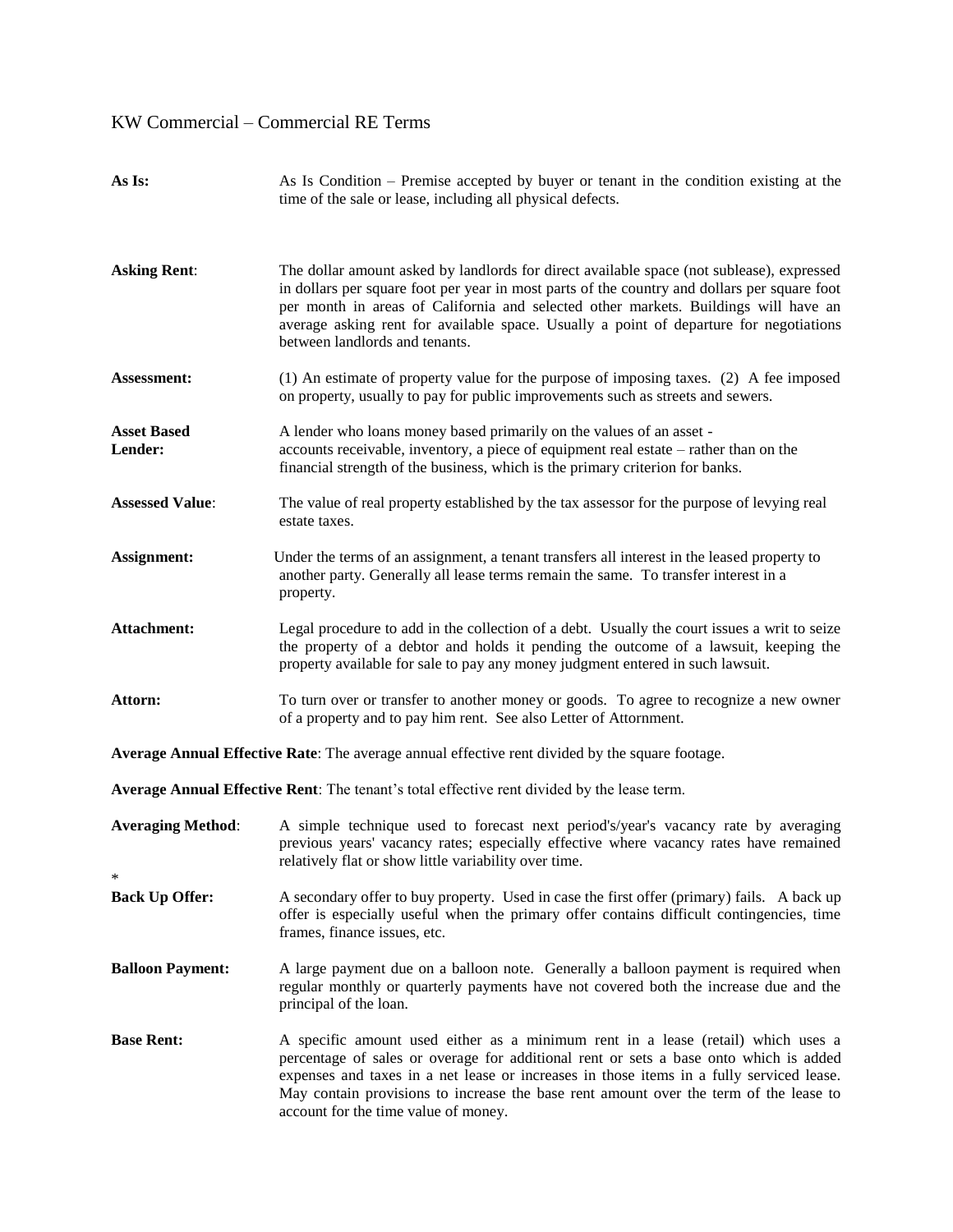| As Is:                        | As Is Condition – Premise accepted by buyer or tenant in the condition existing at the<br>time of the sale or lease, including all physical defects.                                                                                                                                                                                                                                                         |  |
|-------------------------------|--------------------------------------------------------------------------------------------------------------------------------------------------------------------------------------------------------------------------------------------------------------------------------------------------------------------------------------------------------------------------------------------------------------|--|
| <b>Asking Rent:</b>           | The dollar amount asked by landlords for direct available space (not sublease), expressed<br>in dollars per square foot per year in most parts of the country and dollars per square foot<br>per month in areas of California and selected other markets. Buildings will have an<br>average asking rent for available space. Usually a point of departure for negotiations<br>between landlords and tenants. |  |
| <b>Assessment:</b>            | (1) An estimate of property value for the purpose of imposing taxes. (2) A fee imposed<br>on property, usually to pay for public improvements such as streets and sewers.                                                                                                                                                                                                                                    |  |
| <b>Asset Based</b><br>Lender: | A lender who loans money based primarily on the values of an asset -<br>accounts receivable, inventory, a piece of equipment real estate – rather than on the<br>financial strength of the business, which is the primary criterion for banks.                                                                                                                                                               |  |
| <b>Assessed Value:</b>        | The value of real property established by the tax assessor for the purpose of levying real<br>estate taxes.                                                                                                                                                                                                                                                                                                  |  |
| Assignment:                   | Under the terms of an assignment, a tenant transfers all interest in the leased property to<br>another party. Generally all lease terms remain the same. To transfer interest in a<br>property.                                                                                                                                                                                                              |  |
| Attachment:                   | Legal procedure to add in the collection of a debt. Usually the court issues a writ to seize<br>the property of a debtor and holds it pending the outcome of a lawsuit, keeping the<br>property available for sale to pay any money judgment entered in such lawsuit.                                                                                                                                        |  |
| Attorn:                       | To turn over or transfer to another money or goods. To agree to recognize a new owner<br>of a property and to pay him rent. See also Letter of Attornment.                                                                                                                                                                                                                                                   |  |
|                               | Average Annual Effective Rate: The average annual effective rent divided by the square footage.                                                                                                                                                                                                                                                                                                              |  |
|                               | Average Annual Effective Rent: The tenant's total effective rent divided by the lease term.                                                                                                                                                                                                                                                                                                                  |  |
| <b>Averaging Method:</b>      | A simple technique used to forecast next period's/year's vacancy rate by averaging<br>previous years' vacancy rates; especially effective where vacancy rates have remained<br>relatively flat or show little variability over time.                                                                                                                                                                         |  |
| <b>Back Up Offer:</b>         | A secondary offer to buy property. Used in case the first offer (primary) fails. A back up<br>offer is especially useful when the primary offer contains difficult contingencies, time<br>frames, finance issues, etc.                                                                                                                                                                                       |  |
| <b>Balloon Payment:</b>       | A large payment due on a balloon note. Generally a balloon payment is required when<br>regular monthly or quarterly payments have not covered both the increase due and the<br>principal of the loan.                                                                                                                                                                                                        |  |
| <b>Base Rent:</b>             | A specific amount used either as a minimum rent in a lease (retail) which uses a<br>percentage of sales or overage for additional rent or sets a base onto which is added<br>expenses and taxes in a net lease or increases in those items in a fully serviced lease.<br>May contain provisions to increase the base rent amount over the term of the lease to<br>account for the time value of money.       |  |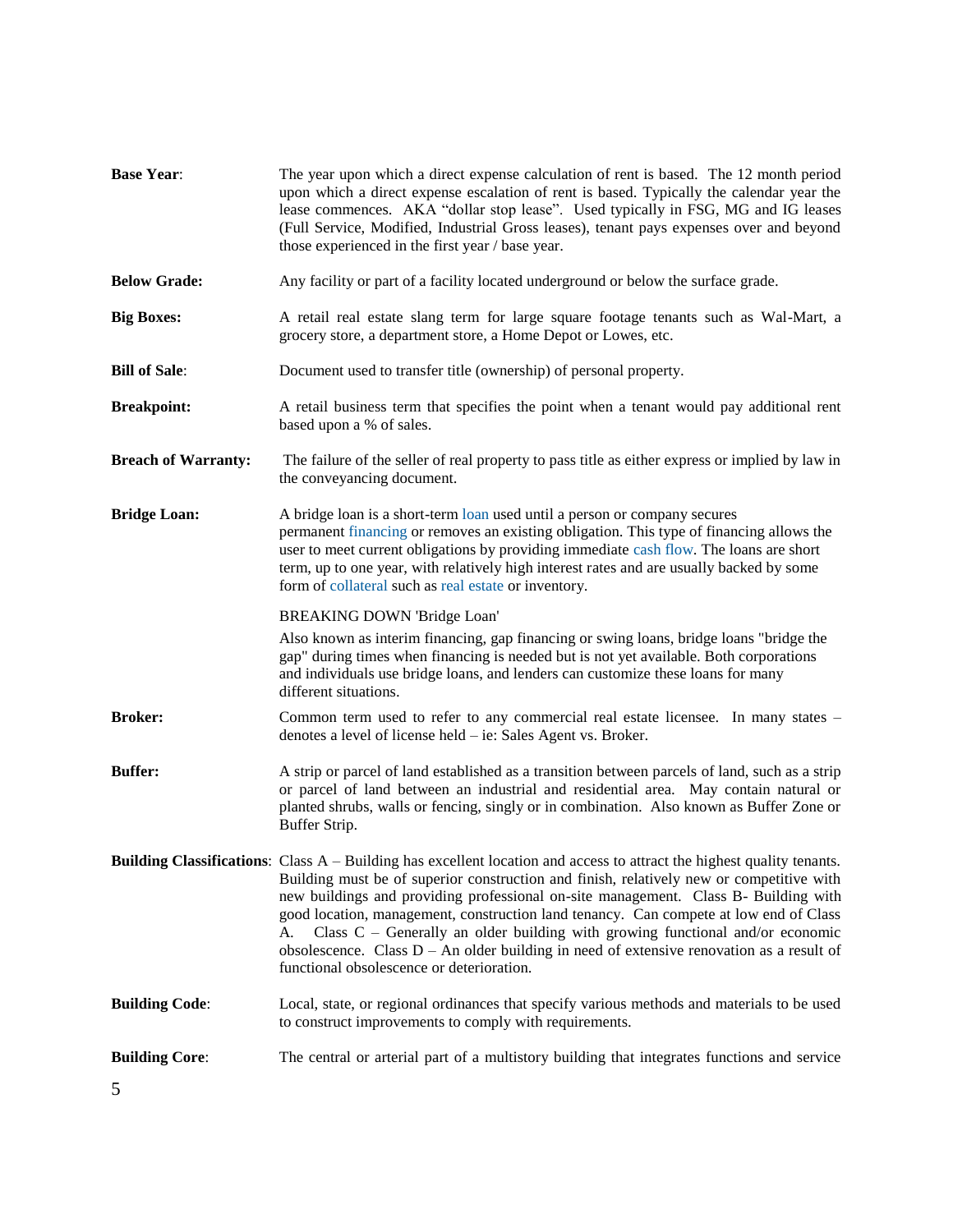| <b>Base Year:</b>          | The year upon which a direct expense calculation of rent is based. The 12 month period<br>upon which a direct expense escalation of rent is based. Typically the calendar year the<br>lease commences. AKA "dollar stop lease". Used typically in FSG, MG and IG leases<br>(Full Service, Modified, Industrial Gross leases), tenant pays expenses over and beyond<br>those experienced in the first year / base year.                                                                                                                                                                                                                 |
|----------------------------|----------------------------------------------------------------------------------------------------------------------------------------------------------------------------------------------------------------------------------------------------------------------------------------------------------------------------------------------------------------------------------------------------------------------------------------------------------------------------------------------------------------------------------------------------------------------------------------------------------------------------------------|
| <b>Below Grade:</b>        | Any facility or part of a facility located underground or below the surface grade.                                                                                                                                                                                                                                                                                                                                                                                                                                                                                                                                                     |
| <b>Big Boxes:</b>          | A retail real estate slang term for large square footage tenants such as Wal-Mart, a<br>grocery store, a department store, a Home Depot or Lowes, etc.                                                                                                                                                                                                                                                                                                                                                                                                                                                                                 |
| <b>Bill of Sale:</b>       | Document used to transfer title (ownership) of personal property.                                                                                                                                                                                                                                                                                                                                                                                                                                                                                                                                                                      |
| <b>Breakpoint:</b>         | A retail business term that specifies the point when a tenant would pay additional rent<br>based upon a % of sales.                                                                                                                                                                                                                                                                                                                                                                                                                                                                                                                    |
| <b>Breach of Warranty:</b> | The failure of the seller of real property to pass title as either express or implied by law in<br>the conveyancing document.                                                                                                                                                                                                                                                                                                                                                                                                                                                                                                          |
| <b>Bridge Loan:</b>        | A bridge loan is a short-term loan used until a person or company secures<br>permanent financing or removes an existing obligation. This type of financing allows the<br>user to meet current obligations by providing immediate cash flow. The loans are short<br>term, up to one year, with relatively high interest rates and are usually backed by some<br>form of collateral such as real estate or inventory.                                                                                                                                                                                                                    |
|                            | <b>BREAKING DOWN 'Bridge Loan'</b>                                                                                                                                                                                                                                                                                                                                                                                                                                                                                                                                                                                                     |
|                            | Also known as interim financing, gap financing or swing loans, bridge loans "bridge the<br>gap" during times when financing is needed but is not yet available. Both corporations<br>and individuals use bridge loans, and lenders can customize these loans for many<br>different situations.                                                                                                                                                                                                                                                                                                                                         |
| <b>Broker:</b>             | Common term used to refer to any commercial real estate licensee. In many states -<br>denotes a level of license held – ie: Sales Agent vs. Broker.                                                                                                                                                                                                                                                                                                                                                                                                                                                                                    |
| <b>Buffer:</b>             | A strip or parcel of land established as a transition between parcels of land, such as a strip<br>or parcel of land between an industrial and residential area. May contain natural or<br>planted shrubs, walls or fencing, singly or in combination. Also known as Buffer Zone or<br>Buffer Strip.                                                                                                                                                                                                                                                                                                                                    |
|                            | Building Classifications: Class A - Building has excellent location and access to attract the highest quality tenants.<br>Building must be of superior construction and finish, relatively new or competitive with<br>new buildings and providing professional on-site management. Class B- Building with<br>good location, management, construction land tenancy. Can compete at low end of Class<br>Class $C$ – Generally an older building with growing functional and/or economic<br>А.<br>obsolescence. Class $D - An$ older building in need of extensive renovation as a result of<br>functional obsolescence or deterioration. |
| <b>Building Code:</b>      | Local, state, or regional ordinances that specify various methods and materials to be used<br>to construct improvements to comply with requirements.                                                                                                                                                                                                                                                                                                                                                                                                                                                                                   |
| <b>Building Core:</b>      | The central or arterial part of a multistory building that integrates functions and service                                                                                                                                                                                                                                                                                                                                                                                                                                                                                                                                            |
| 5                          |                                                                                                                                                                                                                                                                                                                                                                                                                                                                                                                                                                                                                                        |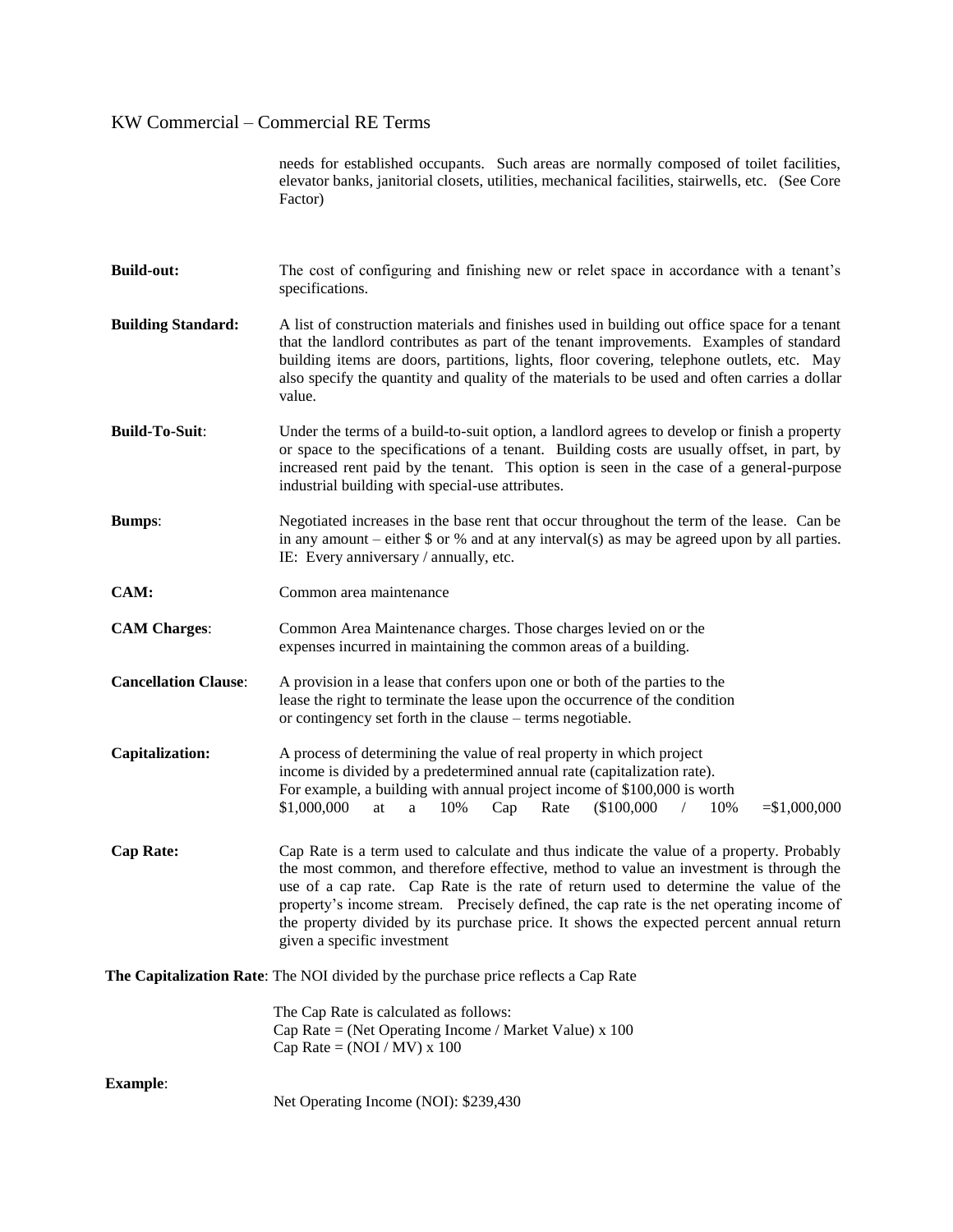needs for established occupants. Such areas are normally composed of toilet facilities, elevator banks, janitorial closets, utilities, mechanical facilities, stairwells, etc. (See Core Factor)

- **Build-out:** The cost of configuring and finishing new or relet space in accordance with a tenant's specifications. **Building Standard:** A list of construction materials and finishes used in building out office space for a tenant that the landlord contributes as part of the tenant improvements. Examples of standard building items are doors, partitions, lights, floor covering, telephone outlets, etc. May also specify the quantity and quality of the materials to be used and often carries a dollar value.
- **Build-To-Suit:** Under the terms of a build-to-suit option, a landlord agrees to develop or finish a property or space to the specifications of a tenant. Building costs are usually offset, in part, by increased rent paid by the tenant. This option is seen in the case of a general-purpose industrial building with special-use attributes.
- **Bumps:** Negotiated increases in the base rent that occur throughout the term of the lease. Can be in any amount – either  $\frac{6}{3}$  or % and at any interval(s) as may be agreed upon by all parties. IE: Every anniversary / annually, etc.
- **CAM:** Common area maintenance
- **CAM Charges**: Common Area Maintenance charges. Those charges levied on or the expenses incurred in maintaining the common areas of a building.
- **Cancellation Clause**: A provision in a lease that confers upon one or both of the parties to the lease the right to terminate the lease upon the occurrence of the condition or contingency set forth in the clause – terms negotiable.
- **Capitalization:** A process of determining the value of real property in which project income is divided by a predetermined annual rate (capitalization rate). For example, a building with annual project income of \$100,000 is worth \$1,000,000 at a 10% Cap Rate (\$100,000 / 10% =\$1,000,000
- **Cap Rate:** Cap Rate is a term used to calculate and thus indicate the value of a property. Probably the most common, and therefore effective, method to value an investment is through the use of a cap rate. Cap Rate is the rate of return used to determine the value of the property's income stream. Precisely defined, the cap rate is the net operating income of the property divided by its purchase price. It shows the expected percent annual return given a specific investment

**The Capitalization Rate**: The NOI divided by the purchase price reflects a Cap Rate

| The Cap Rate is calculated as follows:                   |
|----------------------------------------------------------|
| Cap Rate = (Net Operating Income / Market Value) x $100$ |
| Cap Rate = $(NOI/MV)$ x 100                              |

**Example**:

Net Operating Income (NOI): \$239,430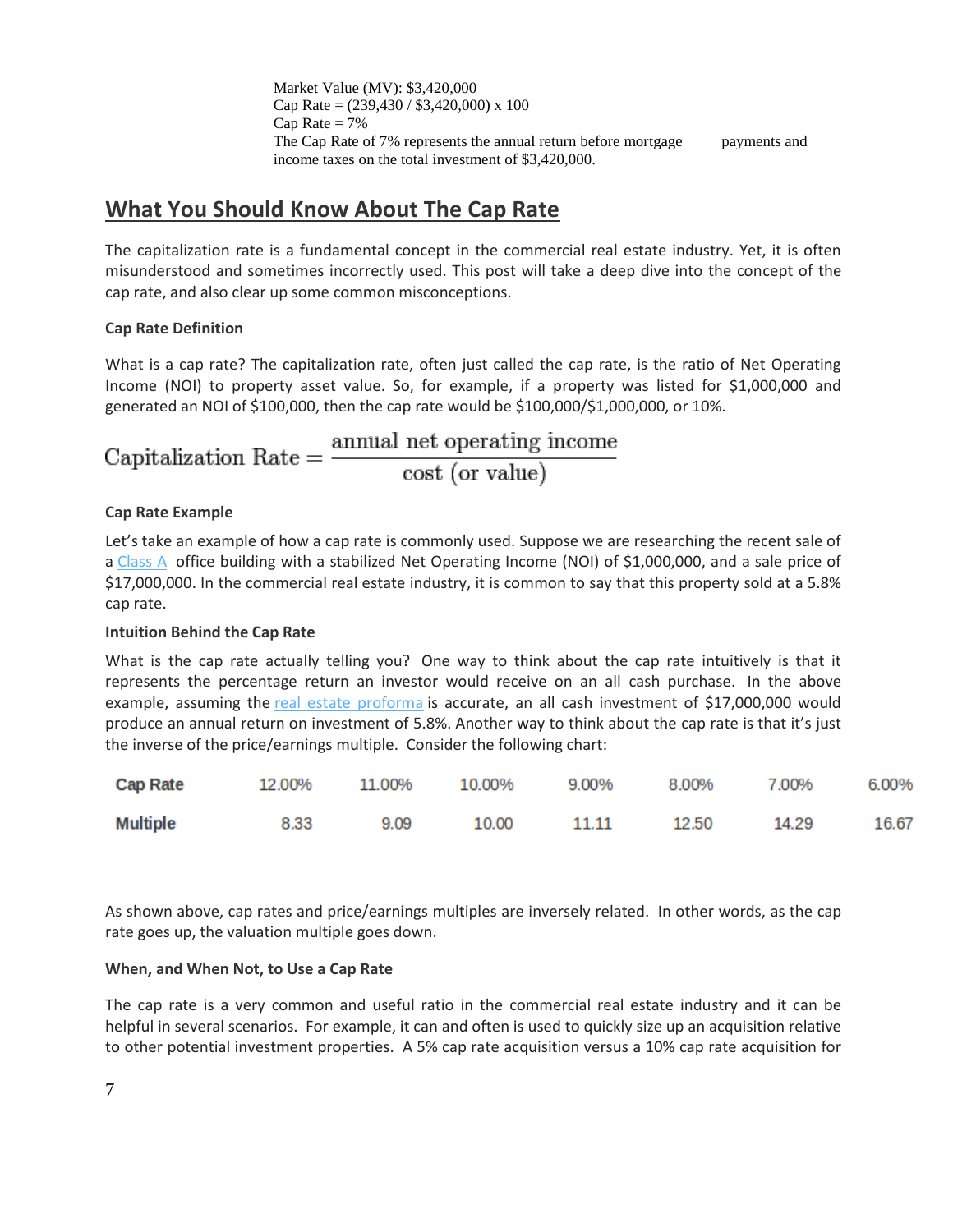Market Value (MV): \$3,420,000 Cap Rate =  $(239,430 / $3,420,000)$  x 100 Cap Rate  $= 7\%$ The Cap Rate of 7% represents the annual return before mortgage payments and income taxes on the total investment of \$3,420,000.

## **What You Should Know About The Cap Rate**

The capitalization rate is a fundamental concept in the commercial real estate industry. Yet, it is often misunderstood and sometimes incorrectly used. This post will take a deep dive into the concept of the cap rate, and also clear up some common misconceptions.

## **Cap Rate Definition**

What is a cap rate? The capitalization rate, often just called the cap rate, is the ratio of Net Operating Income (NOI) to property asset value. So, for example, if a property was listed for \$1,000,000 and generated an NOI of \$100,000, then the cap rate would be \$100,000/\$1,000,000, or 10%.

Capitalization Rate =  $\frac{\text{annual net operating income}}{\text{cost (or value)}}$ 

## **Cap Rate Example**

Let's take an example of how a cap rate is commonly used. Suppose we are researching the recent sale of a [Class](http://www.propertymetrics.com/blog/2013/02/27/types-of-commercial-real-estate/) A office building with a stabilized Net Operating Income (NOI) of \$1,000,000, and a sale price of \$17,000,000. In the commercial real estate industry, it is common to say that this property sold at a 5.8% cap rate.

## **Intuition Behind the Cap Rate**

What is the cap rate actually telling you? One way to think about the cap rate intuitively is that it represents the percentage return an investor would receive on an all cash purchase. In the above example, assuming the real estate [proforma](http://www.propertymetrics.com/blog/2013/03/05/real-estate-proforma/) is accurate, an all cash investment of \$17,000,000 would produce an annual return on investment of 5.8%. Another way to think about the cap rate is that it's just the inverse of the price/earnings multiple. Consider the following chart:

| <b>Cap Rate</b> | 12.00% | 11.00% | 10.00% | 9.00%       | 8.00% | 7.00% | 6.00% |
|-----------------|--------|--------|--------|-------------|-------|-------|-------|
| <b>Multiple</b> | 8.33   | 9.09   |        | 10.00 11.11 | 12.50 | 14.29 | 16.67 |

As shown above, cap rates and price/earnings multiples are inversely related. In other words, as the cap rate goes up, the valuation multiple goes down.

## **When, and When Not, to Use a Cap Rate**

The cap rate is a very common and useful ratio in the commercial real estate industry and it can be helpful in several scenarios. For example, it can and often is used to quickly size up an acquisition relative to other potential investment properties. A 5% cap rate acquisition versus a 10% cap rate acquisition for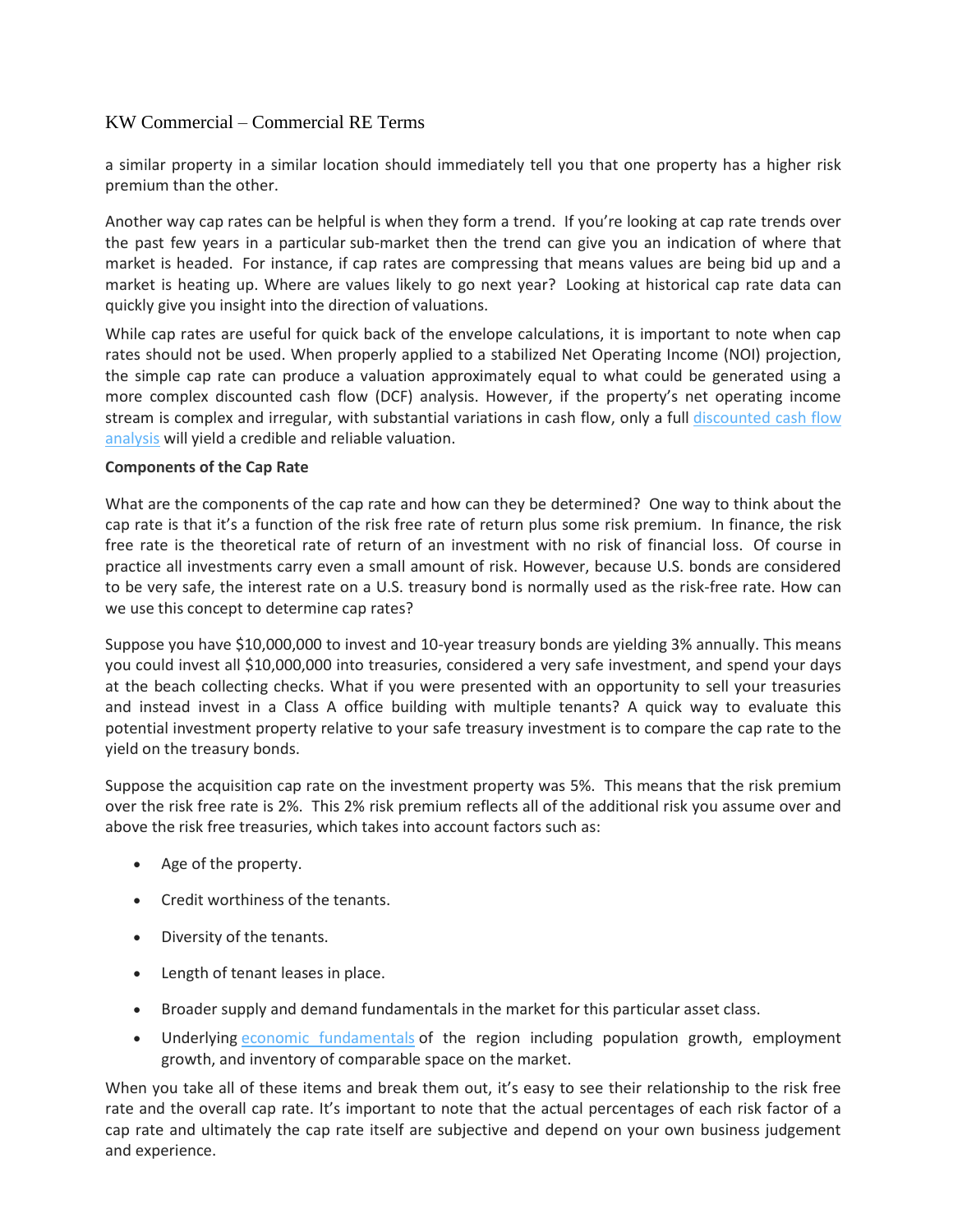a similar property in a similar location should immediately tell you that one property has a higher risk premium than the other.

Another way cap rates can be helpful is when they form a trend. If you're looking at cap rate trends over the past few years in a particular sub-market then the trend can give you an indication of where that market is headed. For instance, if cap rates are compressing that means values are being bid up and a market is heating up. Where are values likely to go next year? Looking at historical cap rate data can quickly give you insight into the direction of valuations.

While cap rates are useful for quick back of the envelope calculations, it is important to note when cap rates should not be used. When properly applied to a stabilized Net Operating Income (NOI) projection, the simple cap rate can produce a valuation approximately equal to what could be generated using a more complex discounted cash flow (DCF) analysis. However, if the property's net operating income stream is complex and irregular, with substantial variations in cash flow, only a full [discounted](http://www.propertymetrics.com/blog/2013/03/12/discounted-cash-flow-analysis-real-estate/) cash flow [analysis](http://www.propertymetrics.com/blog/2013/03/12/discounted-cash-flow-analysis-real-estate/) will yield a credible and reliable valuation.

### **Components of the Cap Rate**

What are the components of the cap rate and how can they be determined? One way to think about the cap rate is that it's a function of the risk free rate of return plus some risk premium. In finance, the risk free rate is the theoretical rate of return of an investment with no risk of financial loss. Of course in practice all investments carry even a small amount of risk. However, because U.S. bonds are considered to be very safe, the interest rate on a U.S. treasury bond is normally used as the risk-free rate. How can we use this concept to determine cap rates?

Suppose you have \$10,000,000 to invest and 10-year treasury bonds are yielding 3% annually. This means you could invest all \$10,000,000 into treasuries, considered a very safe investment, and spend your days at the beach collecting checks. What if you were presented with an opportunity to sell your treasuries and instead invest in a Class A office building with multiple tenants? A quick way to evaluate this potential investment property relative to your safe treasury investment is to compare the cap rate to the yield on the treasury bonds.

Suppose the acquisition cap rate on the investment property was 5%. This means that the risk premium over the risk free rate is 2%. This 2% risk premium reflects all of the additional risk you assume over and above the risk free treasuries, which takes into account factors such as:

- Age of the property.
- Credit worthiness of the tenants.
- Diversity of the tenants.
- Length of tenant leases in place.
- Broader supply and demand fundamentals in the market for this particular asset class.
- Underlying economic [fundamentals](http://www.propertymetrics.com/blog/2012/10/11/when-will-commercial-real-estate-fully-recover/) of the region including population growth, employment growth, and inventory of comparable space on the market.

When you take all of these items and break them out, it's easy to see their relationship to the risk free rate and the overall cap rate. It's important to note that the actual percentages of each risk factor of a cap rate and ultimately the cap rate itself are subjective and depend on your own business judgement and experience.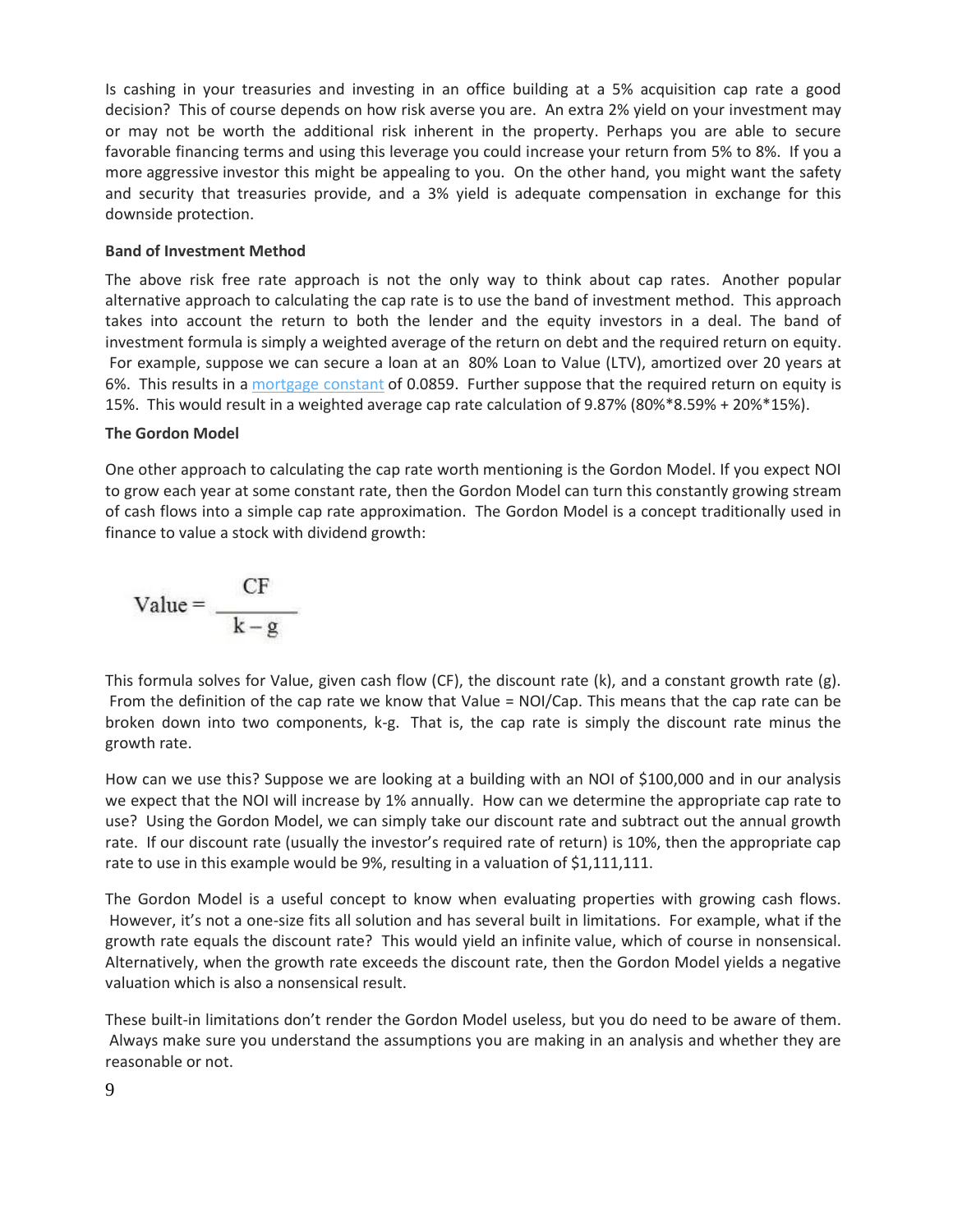Is cashing in your treasuries and investing in an office building at a 5% acquisition cap rate a good decision? This of course depends on how risk averse you are. An extra 2% yield on your investment may or may not be worth the additional risk inherent in the property. Perhaps you are able to secure favorable financing terms and using this leverage you could increase your return from 5% to 8%. If you a more aggressive investor this might be appealing to you. On the other hand, you might want the safety and security that treasuries provide, and a 3% yield is adequate compensation in exchange for this downside protection.

#### **Band of Investment Method**

The above risk free rate approach is not the only way to think about cap rates. Another popular alternative approach to calculating the cap rate is to use the band of investment method. This approach takes into account the return to both the lender and the equity investors in a deal. The band of investment formula is simply a weighted average of the return on debt and the required return on equity. For example, suppose we can secure a loan at an 80% Loan to Value (LTV), amortized over 20 years at 6%. This results in a [mortgage](http://en.wikipedia.org/wiki/Mortgage_constant) constant of 0.0859. Further suppose that the required return on equity is 15%. This would result in a weighted average cap rate calculation of 9.87% (80%\*8.59% + 20%\*15%).

#### **The Gordon Model**

One other approach to calculating the cap rate worth mentioning is the Gordon Model. If you expect NOI to grow each year at some constant rate, then the Gordon Model can turn this constantly growing stream of cash flows into a simple cap rate approximation. The Gordon Model is a concept traditionally used in finance to value a stock with dividend growth:

$$
Value = \frac{CF}{k - g}
$$

This formula solves for Value, given cash flow (CF), the discount rate (k), and a constant growth rate (g). From the definition of the cap rate we know that Value = NOI/Cap. This means that the cap rate can be broken down into two components, k-g. That is, the cap rate is simply the discount rate minus the growth rate.

How can we use this? Suppose we are looking at a building with an NOI of \$100,000 and in our analysis we expect that the NOI will increase by 1% annually. How can we determine the appropriate cap rate to use? Using the Gordon Model, we can simply take our discount rate and subtract out the annual growth rate. If our discount rate (usually the investor's required rate of return) is 10%, then the appropriate cap rate to use in this example would be 9%, resulting in a valuation of \$1,111,111.

The Gordon Model is a useful concept to know when evaluating properties with growing cash flows. However, it's not a one-size fits all solution and has several built in limitations. For example, what if the growth rate equals the discount rate? This would yield an infinite value, which of course in nonsensical. Alternatively, when the growth rate exceeds the discount rate, then the Gordon Model yields a negative valuation which is also a nonsensical result.

These built-in limitations don't render the Gordon Model useless, but you do need to be aware of them. Always make sure you understand the assumptions you are making in an analysis and whether they are reasonable or not.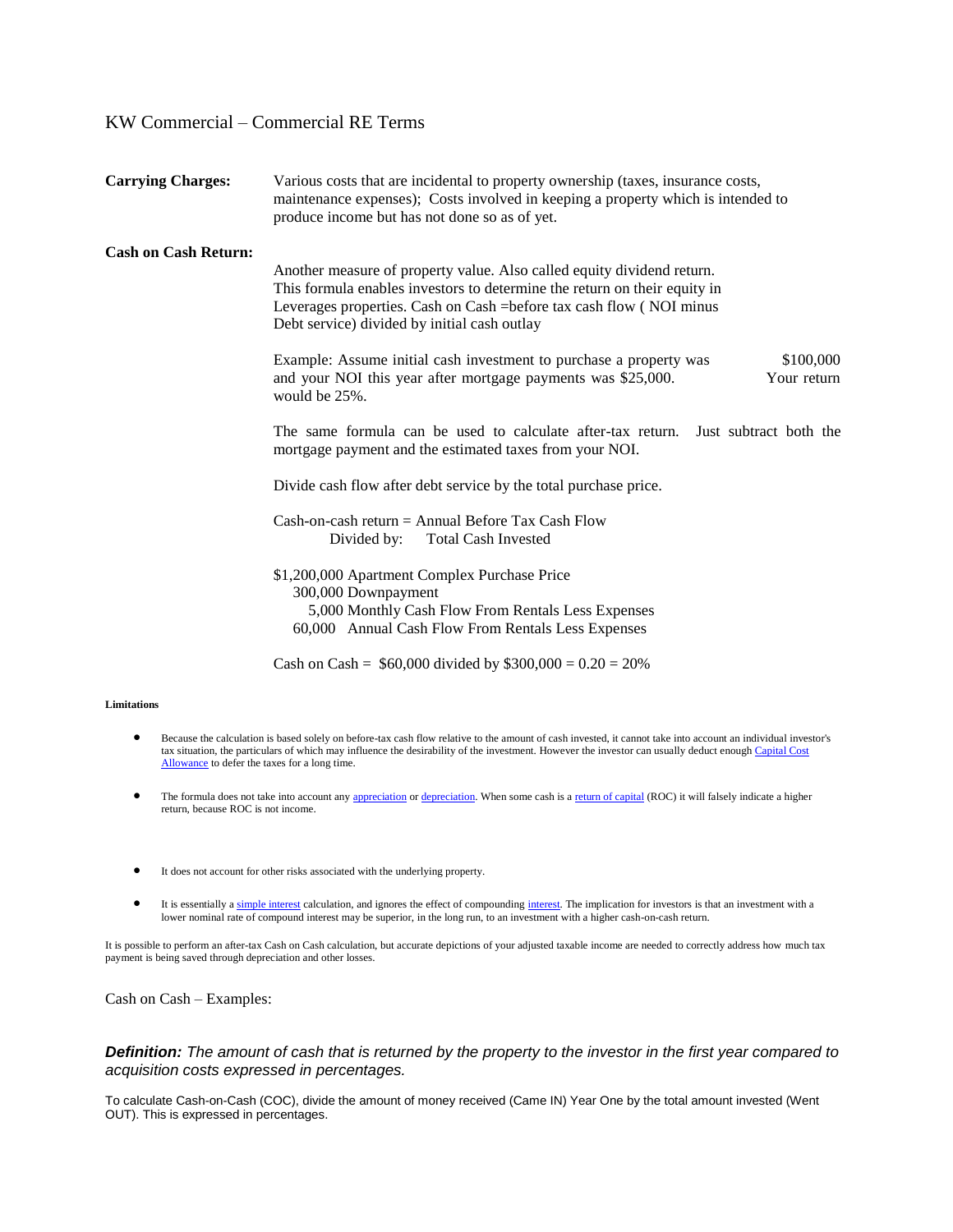| <b>Carrying Charges:</b>    | Various costs that are incidental to property ownership (taxes, insurance costs,<br>maintenance expenses); Costs involved in keeping a property which is intended to<br>produce income but has not done so as of yet.                                                       |  |  |
|-----------------------------|-----------------------------------------------------------------------------------------------------------------------------------------------------------------------------------------------------------------------------------------------------------------------------|--|--|
| <b>Cash on Cash Return:</b> | Another measure of property value. Also called equity dividend return.<br>This formula enables investors to determine the return on their equity in<br>Leverages properties. Cash on Cash = before tax cash flow (NOI minus<br>Debt service) divided by initial cash outlay |  |  |
|                             | Example: Assume initial cash investment to purchase a property was<br>\$100,000<br>and your NOI this year after mortgage payments was \$25,000.<br>Your return<br>would be 25%.                                                                                             |  |  |
|                             | The same formula can be used to calculate after-tax return.<br>Just subtract both the<br>mortgage payment and the estimated taxes from your NOI.                                                                                                                            |  |  |
|                             | Divide cash flow after debt service by the total purchase price.                                                                                                                                                                                                            |  |  |
|                             | Cash-on-cash return = Annual Before Tax Cash Flow<br>Divided by:<br><b>Total Cash Invested</b>                                                                                                                                                                              |  |  |
|                             | \$1,200,000 Apartment Complex Purchase Price<br>300,000 Downpayment<br>5,000 Monthly Cash Flow From Rentals Less Expenses<br>60,000 Annual Cash Flow From Rentals Less Expenses                                                                                             |  |  |
|                             | Cash on Cash = $$60,000$ divided by $$300,000 = 0.20 = 20\%$                                                                                                                                                                                                                |  |  |

#### **Limitations**

- Because the calculation is based solely on before-tax cash flow relative to the amount of cash invested, it cannot take into account an individual investor's tax situation, the particulars of which may influence the desirability of the investment. However the investor can usually deduct enough Capital Cost [Allowance](http://en.wikipedia.org/wiki/Capital_Cost_Allowance) to defer the taxes for a long time.
- The formula does not take into account an[y appreciation](http://en.wikipedia.org/wiki/Appreciation) o[r depreciation.](http://en.wikipedia.org/wiki/Depreciation) When some cash is [a return of capital](http://en.wikipedia.org/wiki/Return_of_capital) (ROC) it will falsely indicate a higher return, because ROC is not income.
- It does not account for other risks associated with the underlying property.
- It is essentially [a simple interest](http://en.wikipedia.org/wiki/Simple_interest) calculation, and ignores the effect of compoundin[g interest.](http://en.wikipedia.org/wiki/Interest) The implication for investors is that an investment with a lower nominal rate of compound interest may be superior, in the long run, to an investment with a higher cash-on-cash return.

It is possible to perform an after-tax Cash on Cash calculation, but accurate depictions of your adjusted taxable income are needed to correctly address how much tax payment is being saved through depreciation and other losses.

Cash on Cash – Examples:

#### *Definition: The amount of cash that is returned by the property to the investor in the first year compared to acquisition costs expressed in percentages.*

To calculate Cash-on-Cash (COC), divide the amount of money received (Came IN) Year One by the total amount invested (Went OUT). This is expressed in percentages.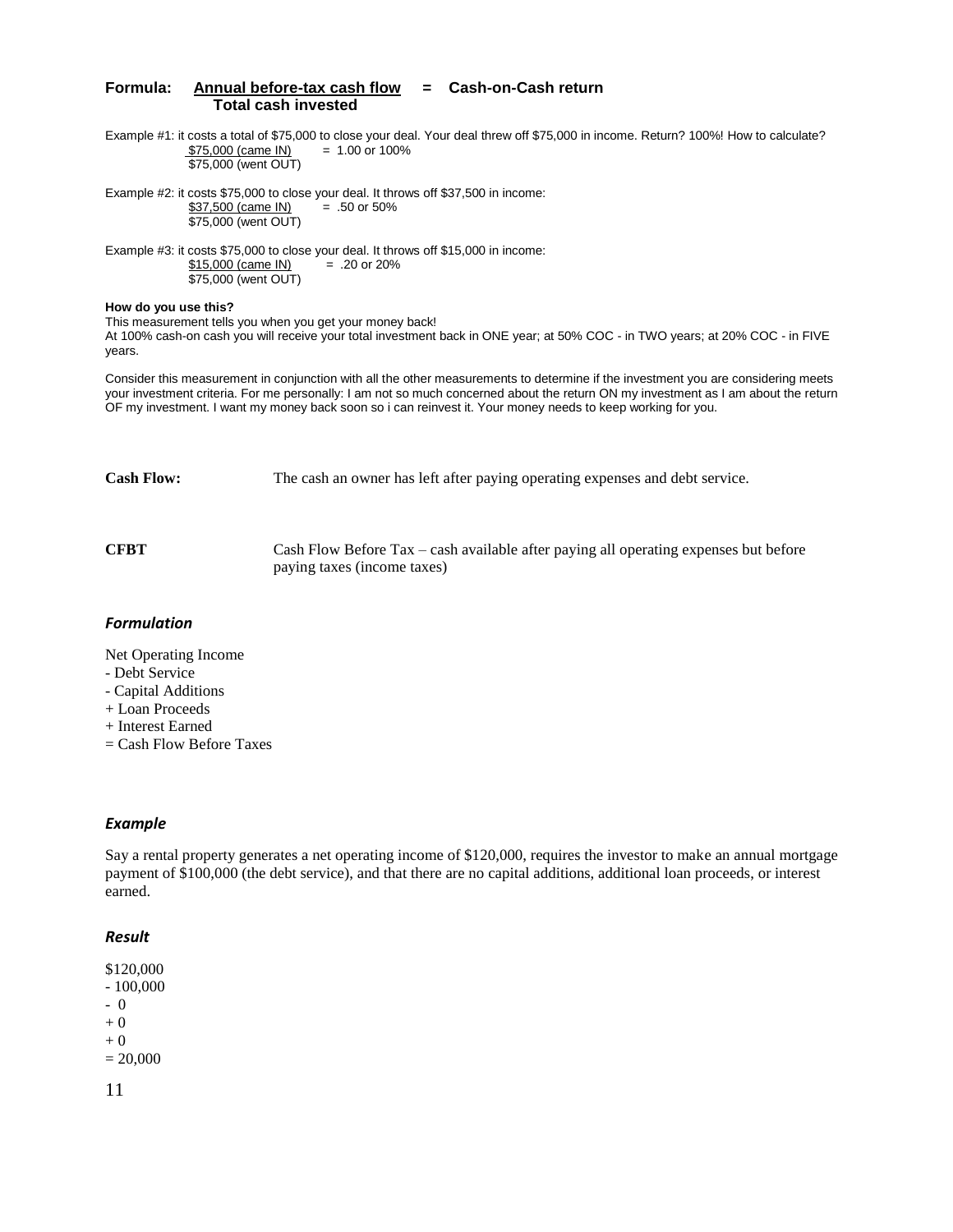#### **Formula: Annual before-tax cash flow = Cash-on-Cash return Total cash invested**

Example #1: it costs a total of \$75,000 to close your deal. Your deal threw off \$75,000 in income. Return? 100%! How to calculate?  $$75,000$  (came IN) = 1.00 or 100% \$75,000 (went OUT)

Example #2: it costs \$75,000 to close your deal. It throws off \$37,500 in income:<br>\$37,500 (came IN) = .50 or 50% \$37,500 (came IN) \$75,000 (went OUT)

Example #3: it costs \$75,000 to close your deal. It throws off \$15,000 in income:  $$15,000$  (came IN) = .20 or 20% \$75,000 (went OUT)

#### **How do you use this?**

This measurement tells you when you get your money back! At 100% cash-on cash you will receive your total investment back in ONE year; at 50% COC - in TWO years; at 20% COC - in FIVE years.

Consider this measurement in conjunction with all the other measurements to determine if the investment you are considering meets your investment criteria. For me personally: I am not so much concerned about the return ON my investment as I am about the return OF my investment. I want my money back soon so i can reinvest it. Your money needs to keep working for you.

**Cash Flow:** The cash an owner has left after paying operating expenses and debt service.

**CFBT** Cash Flow Before Tax – cash available after paying all operating expenses but before paying taxes (income taxes)

#### *Formulation*

Net Operating Income

- Debt Service
- Capital Additions
- + Loan Proceeds
- + Interest Earned
- = Cash Flow Before Taxes

#### *Example*

Say a rental property generates a net operating income of \$120,000, requires the investor to make an annual mortgage payment of \$100,000 (the debt service), and that there are no capital additions, additional loan proceeds, or interest earned.

#### *Result*

- \$120,000
- 100,000
- 0
- + 0

 $+0$ 

 $= 20,000$ 

11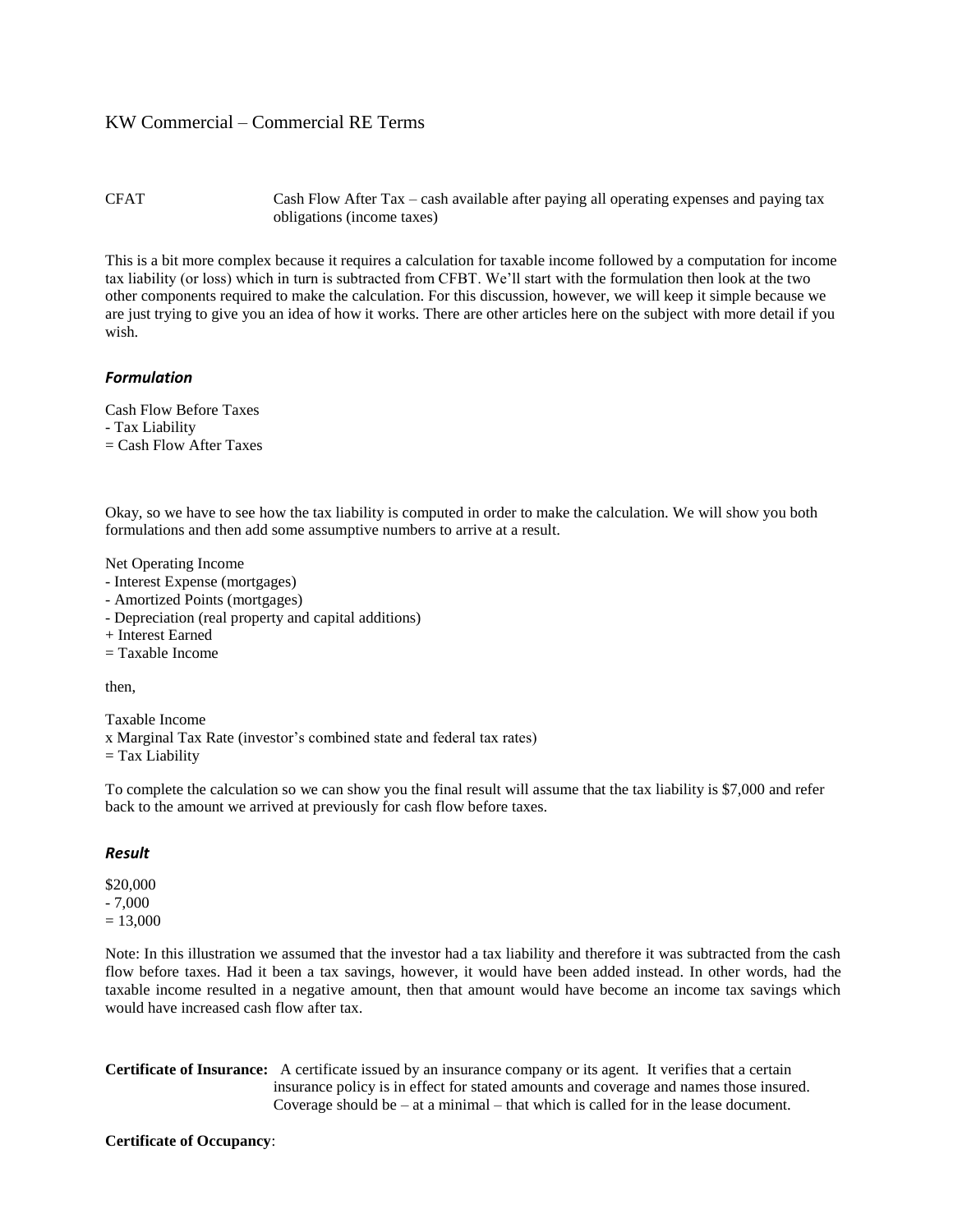#### CFAT Cash Flow After Tax – cash available after paying all operating expenses and paying tax obligations (income taxes)

This is a bit more complex because it requires a calculation for taxable income followed by a computation for income tax liability (or loss) which in turn is subtracted from CFBT. We'll start with the formulation then look at the two other components required to make the calculation. For this discussion, however, we will keep it simple because we are just trying to give you an idea of how it works. There are other articles here on the subject with more detail if you wish.

#### *Formulation*

Cash Flow Before Taxes

- Tax Liability
- $=$  Cash Flow After Taxes

Okay, so we have to see how the tax liability is computed in order to make the calculation. We will show you both formulations and then add some assumptive numbers to arrive at a result.

Net Operating Income

- Interest Expense (mortgages)
- Amortized Points (mortgages)
- Depreciation (real property and capital additions)
- + Interest Earned
- $=$  Taxable Income

then,

Taxable Income x Marginal Tax Rate (investor's combined state and federal tax rates)  $=$  Tax Liability

To complete the calculation so we can show you the final result will assume that the tax liability is \$7,000 and refer back to the amount we arrived at previously for cash flow before taxes.

#### *Result*

\$20,000 - 7,000  $= 13,000$ 

Note: In this illustration we assumed that the investor had a tax liability and therefore it was subtracted from the cash flow before taxes. Had it been a tax savings, however, it would have been added instead. In other words, had the taxable income resulted in a negative amount, then that amount would have become an income tax savings which would have increased cash flow after tax.

**Certificate of Insurance:** A certificate issued by an insurance company or its agent. It verifies that a certain insurance policy is in effect for stated amounts and coverage and names those insured. Coverage should be – at a minimal – that which is called for in the lease document.

#### **Certificate of Occupancy**: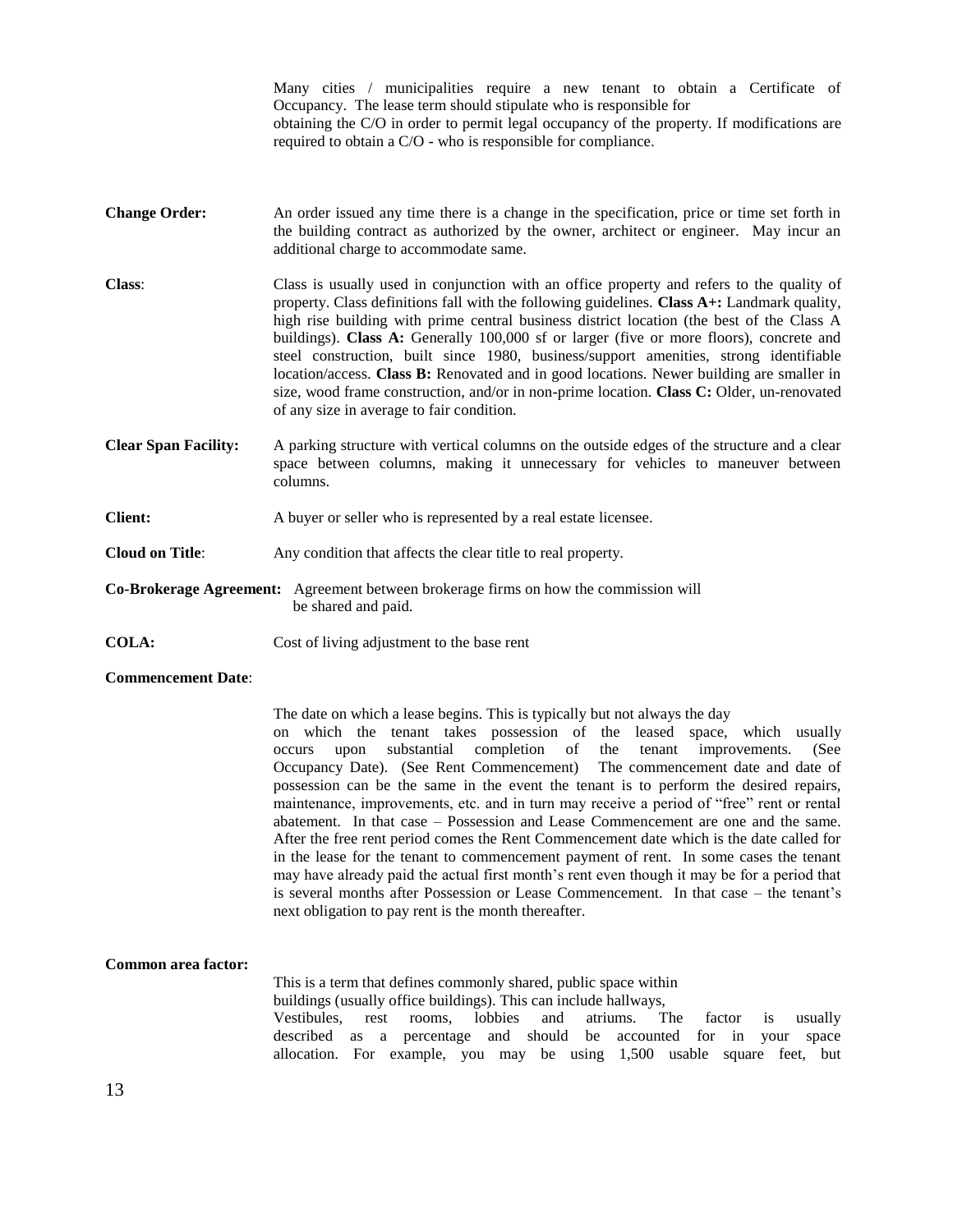|                             | Many cities / municipalities require a new tenant to obtain a Certificate of<br>Occupancy. The lease term should stipulate who is responsible for<br>obtaining the C/O in order to permit legal occupancy of the property. If modifications are<br>required to obtain a C/O - who is responsible for compliance.                                                                                                                                                                                                                                                                                                                                                                                                |
|-----------------------------|-----------------------------------------------------------------------------------------------------------------------------------------------------------------------------------------------------------------------------------------------------------------------------------------------------------------------------------------------------------------------------------------------------------------------------------------------------------------------------------------------------------------------------------------------------------------------------------------------------------------------------------------------------------------------------------------------------------------|
| <b>Change Order:</b>        | An order issued any time there is a change in the specification, price or time set forth in<br>the building contract as authorized by the owner, architect or engineer. May incur an<br>additional charge to accommodate same.                                                                                                                                                                                                                                                                                                                                                                                                                                                                                  |
| <b>Class:</b>               | Class is usually used in conjunction with an office property and refers to the quality of<br>property. Class definitions fall with the following guidelines. Class A+: Landmark quality,<br>high rise building with prime central business district location (the best of the Class A<br>buildings). Class A: Generally 100,000 sf or larger (five or more floors), concrete and<br>steel construction, built since 1980, business/support amenities, strong identifiable<br>location/access. Class B: Renovated and in good locations. Newer building are smaller in<br>size, wood frame construction, and/or in non-prime location. Class C: Older, un-renovated<br>of any size in average to fair condition. |
| <b>Clear Span Facility:</b> | A parking structure with vertical columns on the outside edges of the structure and a clear<br>space between columns, making it unnecessary for vehicles to maneuver between<br>columns.                                                                                                                                                                                                                                                                                                                                                                                                                                                                                                                        |
| <b>Client:</b>              | A buyer or seller who is represented by a real estate licensee.                                                                                                                                                                                                                                                                                                                                                                                                                                                                                                                                                                                                                                                 |
| <b>Cloud on Title:</b>      | Any condition that affects the clear title to real property.                                                                                                                                                                                                                                                                                                                                                                                                                                                                                                                                                                                                                                                    |
|                             | Co-Brokerage Agreement: Agreement between brokerage firms on how the commission will<br>be shared and paid.                                                                                                                                                                                                                                                                                                                                                                                                                                                                                                                                                                                                     |
| <b>COLA:</b>                | Cost of living adjustment to the base rent                                                                                                                                                                                                                                                                                                                                                                                                                                                                                                                                                                                                                                                                      |
| <b>Commencement Date:</b>   |                                                                                                                                                                                                                                                                                                                                                                                                                                                                                                                                                                                                                                                                                                                 |

The date on which a lease begins. This is typically but not always the day on which the tenant takes possession of the leased space, which usually occurs upon substantial completion of the tenant improvements. (See Occupancy Date). (See Rent Commencement) The commencement date and date of possession can be the same in the event the tenant is to perform the desired repairs, maintenance, improvements, etc. and in turn may receive a period of "free" rent or rental abatement. In that case – Possession and Lease Commencement are one and the same. After the free rent period comes the Rent Commencement date which is the date called for in the lease for the tenant to commencement payment of rent. In some cases the tenant may have already paid the actual first month's rent even though it may be for a period that is several months after Possession or Lease Commencement. In that case – the tenant's next obligation to pay rent is the month thereafter.

## **Common area factor:**

This is a term that defines commonly shared, public space within buildings (usually office buildings). This can include hallways, Vestibules, rest rooms, lobbies and atriums. The factor is usually described as a percentage and should be accounted for in your space allocation. For example, you may be using 1,500 usable square feet, but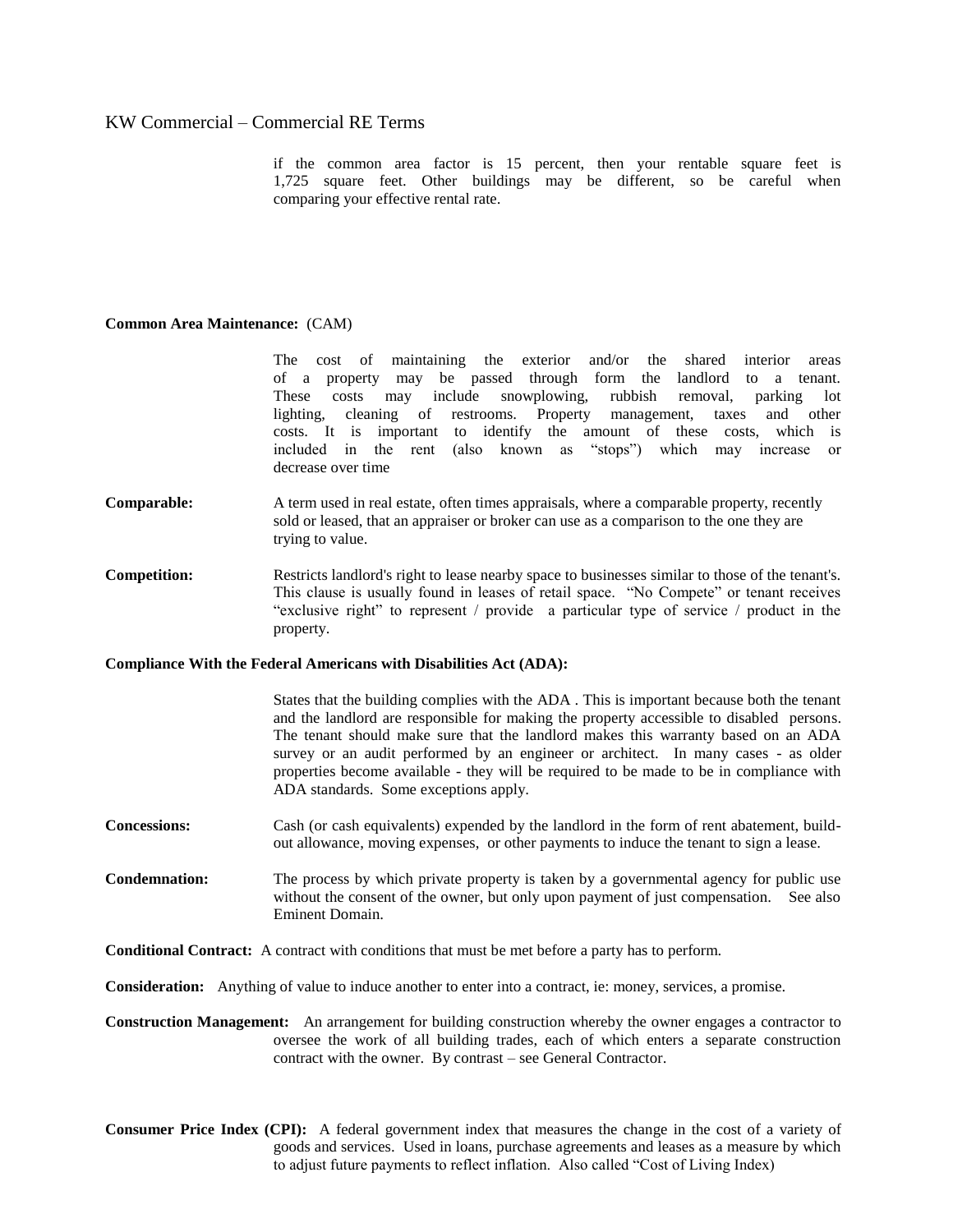if the common area factor is 15 percent, then your rentable square feet is 1,725 square feet. Other buildings may be different, so be careful when comparing your effective rental rate.

#### **Common Area Maintenance:** (CAM)

The cost of maintaining the exterior and/or the shared interior areas of a property may be passed through form the landlord to a tenant. These costs may include snowplowing, rubbish removal, parking lot lighting, cleaning of restrooms. Property management, taxes and other costs. It is important to identify the amount of these costs, which is included in the rent (also known as "stops") which may increase or decrease over time

- **Comparable:** A term used in real estate, often times appraisals, where a comparable property, recently sold or leased, that an appraiser or broker can use as a comparison to the one they are trying to value.
- **Competition:** Restricts landlord's right to lease nearby space to businesses similar to those of the tenant's. This clause is usually found in leases of retail space. "No Compete" or tenant receives "exclusive right" to represent / provide a particular type of service / product in the property.

#### **Compliance With the Federal Americans with Disabilities Act (ADA):**

States that the building complies with the ADA . This is important because both the tenant and the landlord are responsible for making the property accessible to disabled persons. The tenant should make sure that the landlord makes this warranty based on an ADA survey or an audit performed by an engineer or architect. In many cases - as older properties become available - they will be required to be made to be in compliance with ADA standards. Some exceptions apply.

**Concessions:** Cash (or cash equivalents) expended by the landlord in the form of rent abatement, buildout allowance, moving expenses, or other payments to induce the tenant to sign a lease.

**Condemnation:** The process by which private property is taken by a governmental agency for public use without the consent of the owner, but only upon payment of just compensation. See also Eminent Domain.

**Conditional Contract:** A contract with conditions that must be met before a party has to perform.

**Consideration:** Anything of value to induce another to enter into a contract, ie: money, services, a promise.

**Construction Management:** An arrangement for building construction whereby the owner engages a contractor to oversee the work of all building trades, each of which enters a separate construction contract with the owner. By contrast – see General Contractor.

**Consumer Price Index (CPI):** A federal government index that measures the change in the cost of a variety of goods and services. Used in loans, purchase agreements and leases as a measure by which to adjust future payments to reflect inflation. Also called "Cost of Living Index)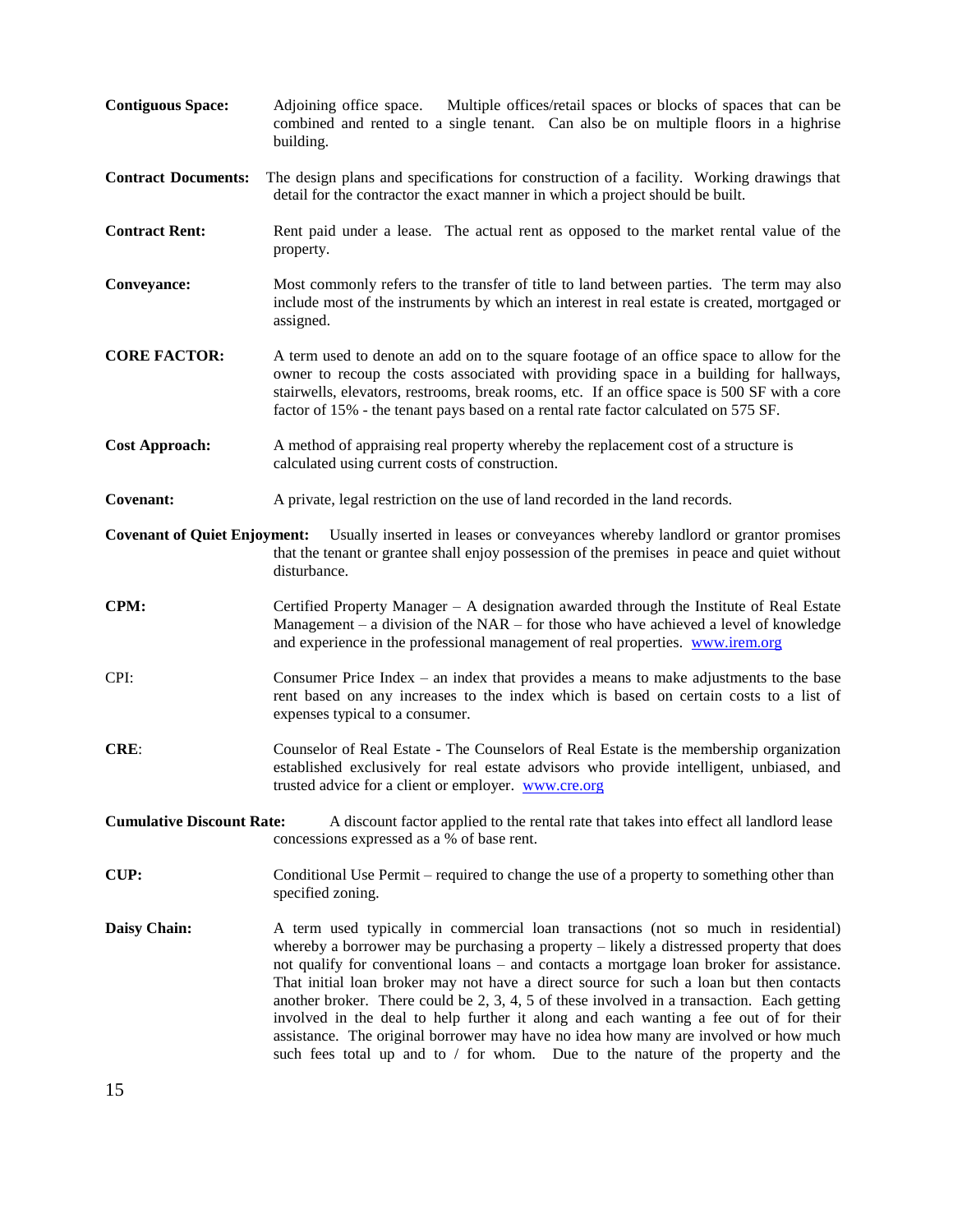| <b>Contiguous Space:</b>            | Multiple offices/retail spaces or blocks of spaces that can be<br>Adjoining office space.<br>combined and rented to a single tenant. Can also be on multiple floors in a highrise<br>building.                                                                                                                                                                                                                                                                                                                                                                                                                                                                                                                                              |
|-------------------------------------|---------------------------------------------------------------------------------------------------------------------------------------------------------------------------------------------------------------------------------------------------------------------------------------------------------------------------------------------------------------------------------------------------------------------------------------------------------------------------------------------------------------------------------------------------------------------------------------------------------------------------------------------------------------------------------------------------------------------------------------------|
| <b>Contract Documents:</b>          | The design plans and specifications for construction of a facility. Working drawings that<br>detail for the contractor the exact manner in which a project should be built.                                                                                                                                                                                                                                                                                                                                                                                                                                                                                                                                                                 |
| <b>Contract Rent:</b>               | Rent paid under a lease. The actual rent as opposed to the market rental value of the<br>property.                                                                                                                                                                                                                                                                                                                                                                                                                                                                                                                                                                                                                                          |
| Conveyance:                         | Most commonly refers to the transfer of title to land between parties. The term may also<br>include most of the instruments by which an interest in real estate is created, mortgaged or<br>assigned.                                                                                                                                                                                                                                                                                                                                                                                                                                                                                                                                       |
| <b>CORE FACTOR:</b>                 | A term used to denote an add on to the square footage of an office space to allow for the<br>owner to recoup the costs associated with providing space in a building for hallways,<br>stairwells, elevators, restrooms, break rooms, etc. If an office space is 500 SF with a core<br>factor of 15% - the tenant pays based on a rental rate factor calculated on 575 SF.                                                                                                                                                                                                                                                                                                                                                                   |
| <b>Cost Approach:</b>               | A method of appraising real property whereby the replacement cost of a structure is<br>calculated using current costs of construction.                                                                                                                                                                                                                                                                                                                                                                                                                                                                                                                                                                                                      |
| Covenant:                           | A private, legal restriction on the use of land recorded in the land records.                                                                                                                                                                                                                                                                                                                                                                                                                                                                                                                                                                                                                                                               |
| <b>Covenant of Quiet Enjoyment:</b> | Usually inserted in leases or conveyances whereby landlord or grantor promises<br>that the tenant or grantee shall enjoy possession of the premises in peace and quiet without<br>disturbance.                                                                                                                                                                                                                                                                                                                                                                                                                                                                                                                                              |
| CPM:                                | Certified Property Manager – A designation awarded through the Institute of Real Estate<br>Management – a division of the $NAR$ – for those who have achieved a level of knowledge<br>and experience in the professional management of real properties. www.irem.org                                                                                                                                                                                                                                                                                                                                                                                                                                                                        |
| CPI:                                | Consumer Price Index – an index that provides a means to make adjustments to the base<br>rent based on any increases to the index which is based on certain costs to a list of<br>expenses typical to a consumer.                                                                                                                                                                                                                                                                                                                                                                                                                                                                                                                           |
| CRE:                                | Counselor of Real Estate - The Counselors of Real Estate is the membership organization<br>established exclusively for real estate advisors who provide intelligent, unbiased, and<br>trusted advice for a client or employer. www.cre.org                                                                                                                                                                                                                                                                                                                                                                                                                                                                                                  |
| <b>Cumulative Discount Rate:</b>    | A discount factor applied to the rental rate that takes into effect all landlord lease<br>concessions expressed as a % of base rent.                                                                                                                                                                                                                                                                                                                                                                                                                                                                                                                                                                                                        |
| <b>CUP:</b>                         | Conditional Use Permit – required to change the use of a property to something other than<br>specified zoning.                                                                                                                                                                                                                                                                                                                                                                                                                                                                                                                                                                                                                              |
| Daisy Chain:                        | A term used typically in commercial loan transactions (not so much in residential)<br>whereby a borrower may be purchasing a property $-$ likely a distressed property that does<br>not qualify for conventional loans – and contacts a mortgage loan broker for assistance.<br>That initial loan broker may not have a direct source for such a loan but then contacts<br>another broker. There could be 2, 3, 4, 5 of these involved in a transaction. Each getting<br>involved in the deal to help further it along and each wanting a fee out of for their<br>assistance. The original borrower may have no idea how many are involved or how much<br>such fees total up and to $/$ for whom. Due to the nature of the property and the |
| 15                                  |                                                                                                                                                                                                                                                                                                                                                                                                                                                                                                                                                                                                                                                                                                                                             |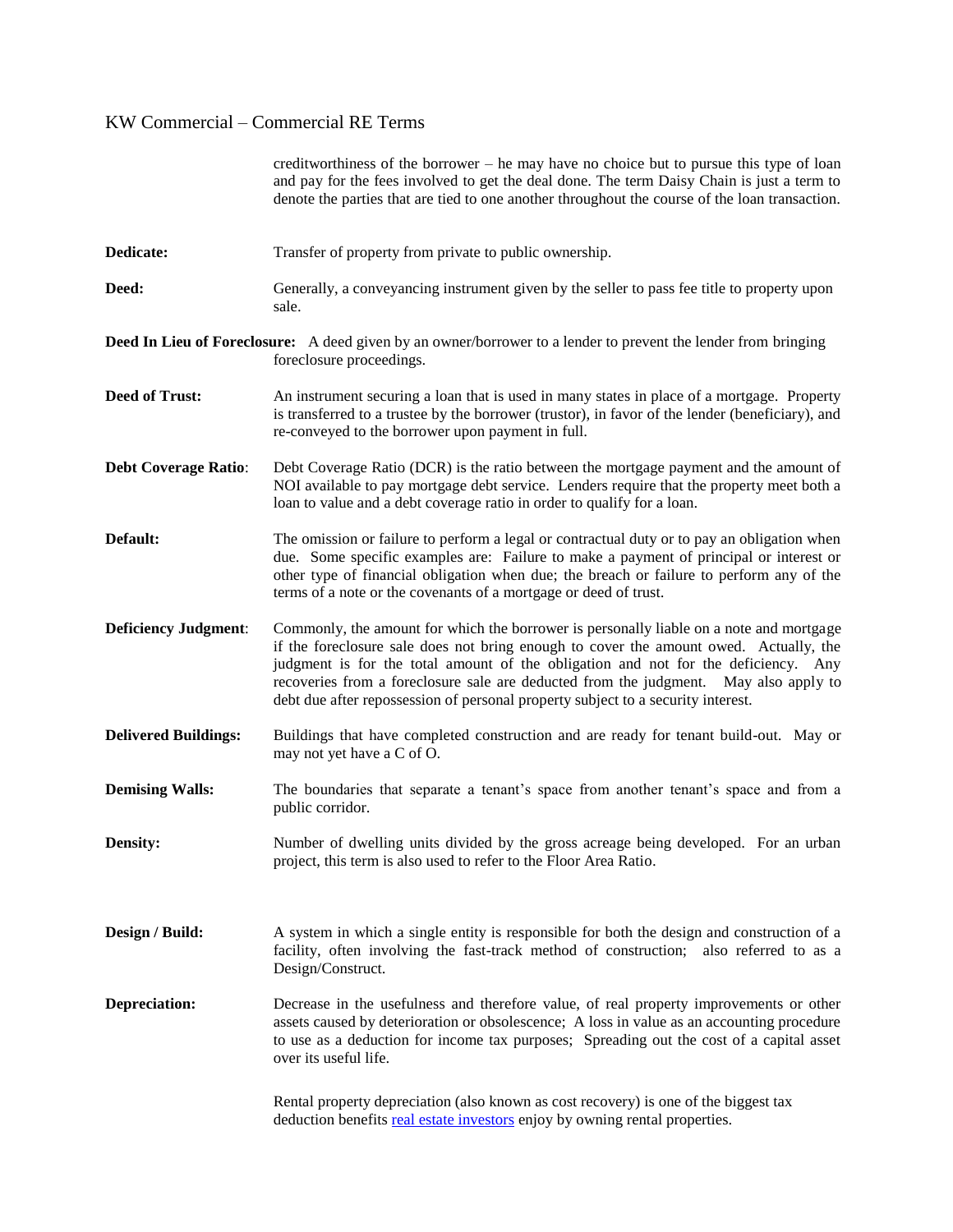|                             | creditworthiness of the borrower – he may have no choice but to pursue this type of loan<br>and pay for the fees involved to get the deal done. The term Daisy Chain is just a term to<br>denote the parties that are tied to one another throughout the course of the loan transaction.                                                                                                                                                           |
|-----------------------------|----------------------------------------------------------------------------------------------------------------------------------------------------------------------------------------------------------------------------------------------------------------------------------------------------------------------------------------------------------------------------------------------------------------------------------------------------|
| Dedicate:                   | Transfer of property from private to public ownership.                                                                                                                                                                                                                                                                                                                                                                                             |
| Deed:                       | Generally, a conveyancing instrument given by the seller to pass fee title to property upon<br>sale.                                                                                                                                                                                                                                                                                                                                               |
|                             | <b>Deed In Lieu of Foreclosure:</b> A deed given by an owner/borrower to a lender to prevent the lender from bringing<br>foreclosure proceedings.                                                                                                                                                                                                                                                                                                  |
| <b>Deed of Trust:</b>       | An instrument securing a loan that is used in many states in place of a mortgage. Property<br>is transferred to a trustee by the borrower (trustor), in favor of the lender (beneficiary), and<br>re-conveyed to the borrower upon payment in full.                                                                                                                                                                                                |
| <b>Debt Coverage Ratio:</b> | Debt Coverage Ratio (DCR) is the ratio between the mortgage payment and the amount of<br>NOI available to pay mortgage debt service. Lenders require that the property meet both a<br>loan to value and a debt coverage ratio in order to qualify for a loan.                                                                                                                                                                                      |
| Default:                    | The omission or failure to perform a legal or contractual duty or to pay an obligation when<br>due. Some specific examples are: Failure to make a payment of principal or interest or<br>other type of financial obligation when due; the breach or failure to perform any of the<br>terms of a note or the covenants of a mortgage or deed of trust.                                                                                              |
| <b>Deficiency Judgment:</b> | Commonly, the amount for which the borrower is personally liable on a note and mortgage<br>if the foreclosure sale does not bring enough to cover the amount owed. Actually, the<br>judgment is for the total amount of the obligation and not for the deficiency. Any<br>recoveries from a foreclosure sale are deducted from the judgment. May also apply to<br>debt due after repossession of personal property subject to a security interest. |
| <b>Delivered Buildings:</b> | Buildings that have completed construction and are ready for tenant build-out. May or<br>may not yet have a C of O.                                                                                                                                                                                                                                                                                                                                |
| <b>Demising Walls:</b>      | The boundaries that separate a tenant's space from another tenant's space and from a<br>public corridor.                                                                                                                                                                                                                                                                                                                                           |
| <b>Density:</b>             | Number of dwelling units divided by the gross acreage being developed. For an urban<br>project, this term is also used to refer to the Floor Area Ratio.                                                                                                                                                                                                                                                                                           |
| Design / Build:             | A system in which a single entity is responsible for both the design and construction of a<br>facility, often involving the fast-track method of construction; also referred to as a<br>Design/Construct.                                                                                                                                                                                                                                          |
| <b>Depreciation:</b>        | Decrease in the usefulness and therefore value, of real property improvements or other<br>assets caused by deterioration or obsolescence; A loss in value as an accounting procedure<br>to use as a deduction for income tax purposes; Spreading out the cost of a capital asset<br>over its useful life.                                                                                                                                          |
|                             | Rental property depreciation (also known as cost recovery) is one of the biggest tax<br>deduction benefits real estate investors enjoy by owning rental properties.                                                                                                                                                                                                                                                                                |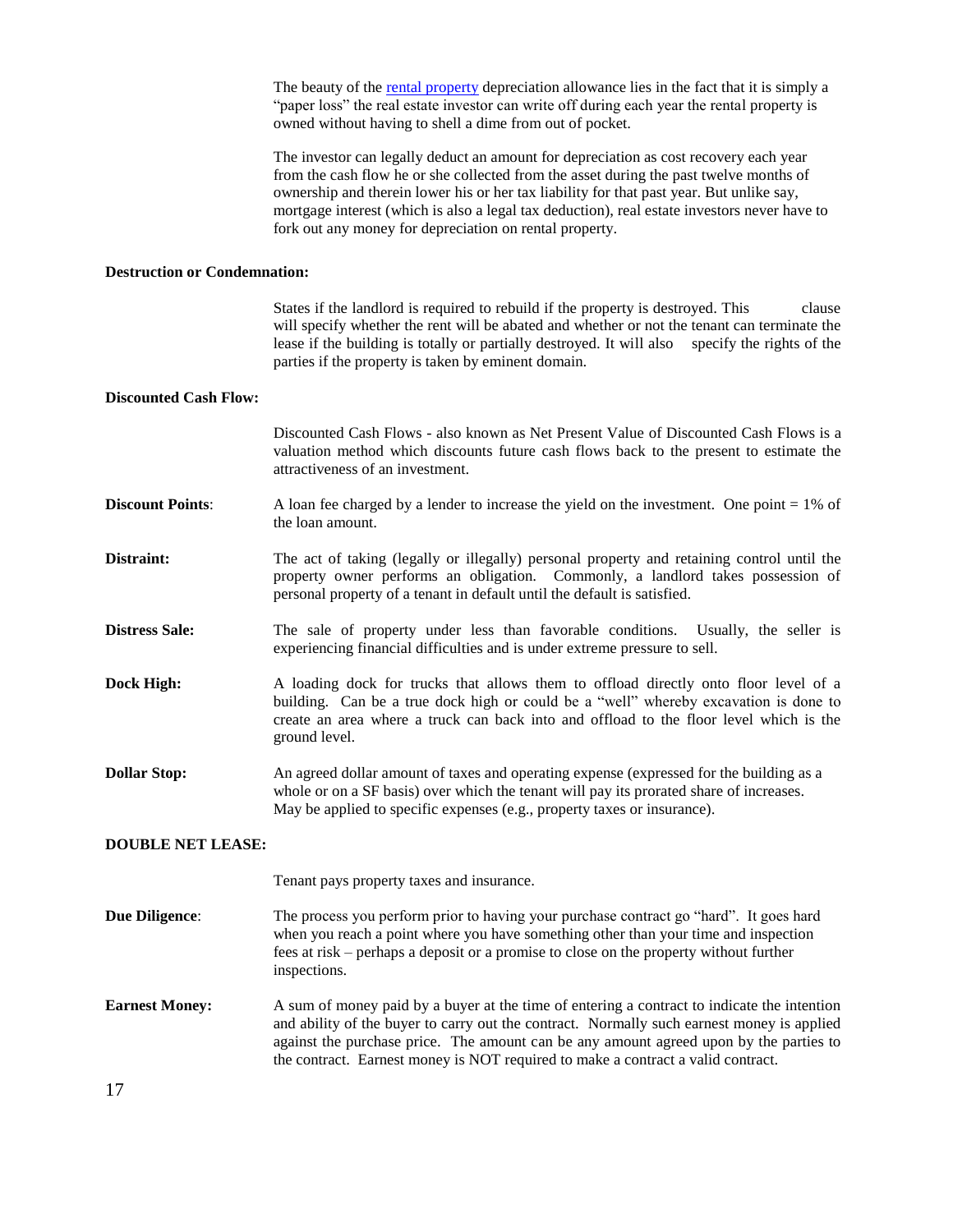The beauty of the [rental property](http://www.proapod.com/) depreciation allowance lies in the fact that it is simply a "paper loss" the real estate investor can write off during each year the rental property is owned without having to shell a dime from out of pocket.

The investor can legally deduct an amount for depreciation as cost recovery each year from the cash flow he or she collected from the asset during the past twelve months of ownership and therein lower his or her tax liability for that past year. But unlike say, mortgage interest (which is also a legal tax deduction), real estate investors never have to fork out any money for depreciation on rental property.

#### **Destruction or Condemnation:**

States if the landlord is required to rebuild if the property is destroyed. This clause will specify whether the rent will be abated and whether or not the tenant can terminate the lease if the building is totally or partially destroyed. It will also specify the rights of the parties if the property is taken by eminent domain.

#### **Discounted Cash Flow:**

Discounted Cash Flows - also known as Net Present Value of Discounted Cash Flows is a valuation method which discounts future cash flows back to the present to estimate the attractiveness of an investment.

- **Discount Points:** A loan fee charged by a lender to increase the yield on the investment. One point = 1% of the loan amount.
- **Distraint:** The act of taking (legally or illegally) personal property and retaining control until the property owner performs an obligation. Commonly, a landlord takes possession of personal property of a tenant in default until the default is satisfied.
- **Distress Sale:** The sale of property under less than favorable conditions. Usually, the seller is experiencing financial difficulties and is under extreme pressure to sell.
- **Dock High:** A loading dock for trucks that allows them to offload directly onto floor level of a building. Can be a true dock high or could be a "well" whereby excavation is done to create an area where a truck can back into and offload to the floor level which is the ground level.
- **Dollar Stop:** An agreed dollar amount of taxes and operating expense (expressed for the building as a whole or on a SF basis) over which the tenant will pay its prorated share of increases. May be applied to specific expenses (e.g., property taxes or insurance).

#### **DOUBLE NET LEASE:**

Tenant pays property taxes and insurance.

- **Due Diligence**: The process you perform prior to having your purchase contract go "hard". It goes hard when you reach a point where you have something other than your time and inspection fees at risk – perhaps a deposit or a promise to close on the property without further inspections.
- **Earnest Money:** A sum of money paid by a buyer at the time of entering a contract to indicate the intention and ability of the buyer to carry out the contract. Normally such earnest money is applied against the purchase price. The amount can be any amount agreed upon by the parties to the contract. Earnest money is NOT required to make a contract a valid contract.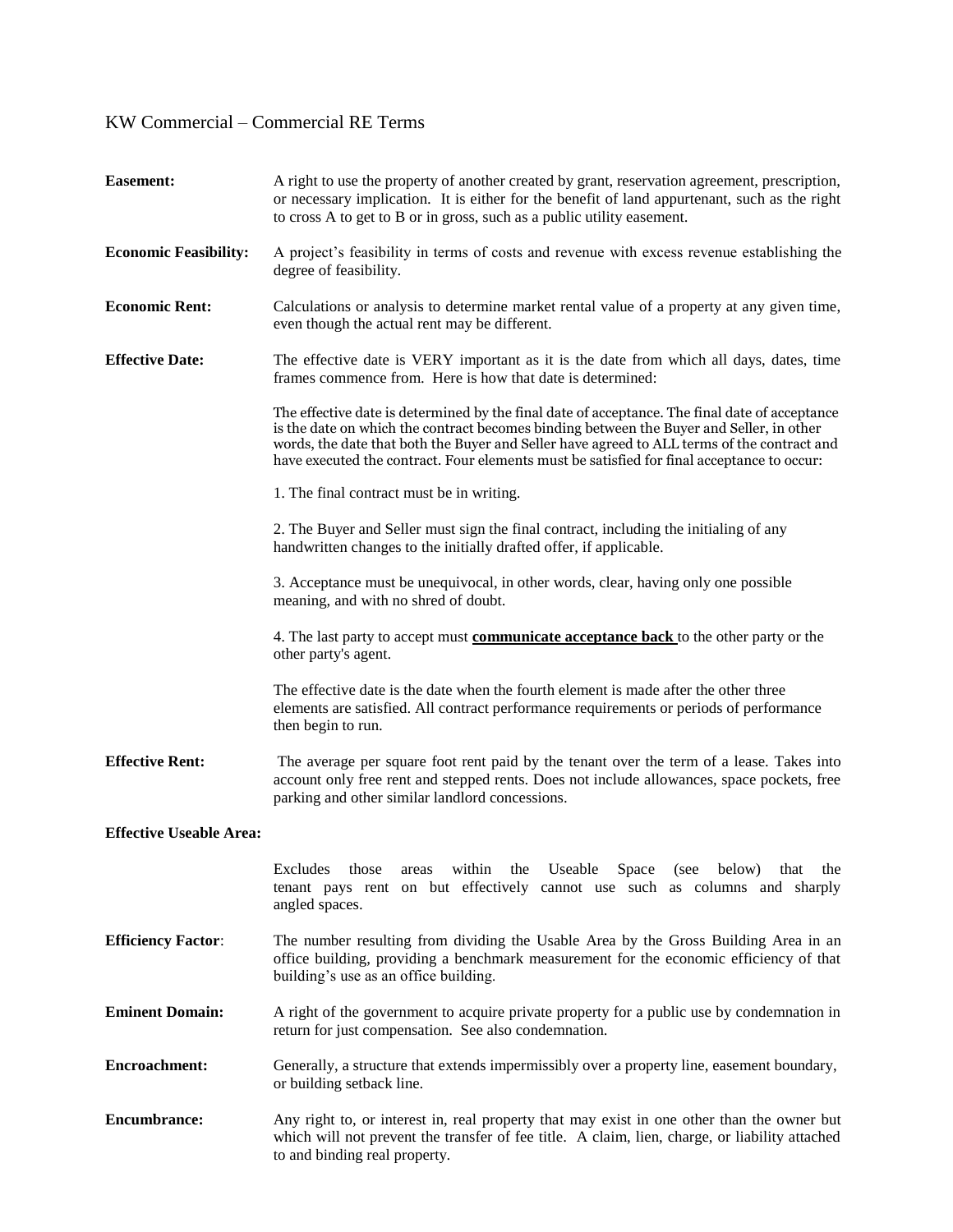| <b>Easement:</b>               | A right to use the property of another created by grant, reservation agreement, prescription,<br>or necessary implication. It is either for the benefit of land appurtenant, such as the right<br>to cross A to get to B or in gross, such as a public utility easement.                                                                                                                |  |
|--------------------------------|-----------------------------------------------------------------------------------------------------------------------------------------------------------------------------------------------------------------------------------------------------------------------------------------------------------------------------------------------------------------------------------------|--|
| <b>Economic Feasibility:</b>   | A project's feasibility in terms of costs and revenue with excess revenue establishing the<br>degree of feasibility.                                                                                                                                                                                                                                                                    |  |
| <b>Economic Rent:</b>          | Calculations or analysis to determine market rental value of a property at any given time,<br>even though the actual rent may be different.                                                                                                                                                                                                                                             |  |
| <b>Effective Date:</b>         | The effective date is VERY important as it is the date from which all days, dates, time<br>frames commence from. Here is how that date is determined:                                                                                                                                                                                                                                   |  |
|                                | The effective date is determined by the final date of acceptance. The final date of acceptance<br>is the date on which the contract becomes binding between the Buyer and Seller, in other<br>words, the date that both the Buyer and Seller have agreed to ALL terms of the contract and<br>have executed the contract. Four elements must be satisfied for final acceptance to occur: |  |
|                                | 1. The final contract must be in writing.                                                                                                                                                                                                                                                                                                                                               |  |
|                                | 2. The Buyer and Seller must sign the final contract, including the initialing of any<br>handwritten changes to the initially drafted offer, if applicable.                                                                                                                                                                                                                             |  |
|                                | 3. Acceptance must be unequivocal, in other words, clear, having only one possible<br>meaning, and with no shred of doubt.                                                                                                                                                                                                                                                              |  |
|                                | 4. The last party to accept must <b>communicate acceptance back</b> to the other party or the<br>other party's agent.                                                                                                                                                                                                                                                                   |  |
|                                | The effective date is the date when the fourth element is made after the other three<br>elements are satisfied. All contract performance requirements or periods of performance<br>then begin to run.                                                                                                                                                                                   |  |
| <b>Effective Rent:</b>         | The average per square foot rent paid by the tenant over the term of a lease. Takes into<br>account only free rent and stepped rents. Does not include allowances, space pockets, free<br>parking and other similar landlord concessions.                                                                                                                                               |  |
| <b>Effective Useable Area:</b> |                                                                                                                                                                                                                                                                                                                                                                                         |  |
|                                | Excludes those areas within the Useable Space (see below) that the<br>tenant pays rent on but effectively cannot use such as columns and sharply<br>angled spaces.                                                                                                                                                                                                                      |  |
| <b>Efficiency Factor:</b>      | The number resulting from dividing the Usable Area by the Gross Building Area in an<br>office building, providing a benchmark measurement for the economic efficiency of that<br>building's use as an office building.                                                                                                                                                                  |  |
| <b>Eminent Domain:</b>         | A right of the government to acquire private property for a public use by condemnation in<br>return for just compensation. See also condemnation.                                                                                                                                                                                                                                       |  |
| <b>Encroachment:</b>           | Generally, a structure that extends impermissibly over a property line, easement boundary,<br>or building setback line.                                                                                                                                                                                                                                                                 |  |
| <b>Encumbrance:</b>            | Any right to, or interest in, real property that may exist in one other than the owner but<br>which will not prevent the transfer of fee title. A claim, lien, charge, or liability attached<br>to and binding real property.                                                                                                                                                           |  |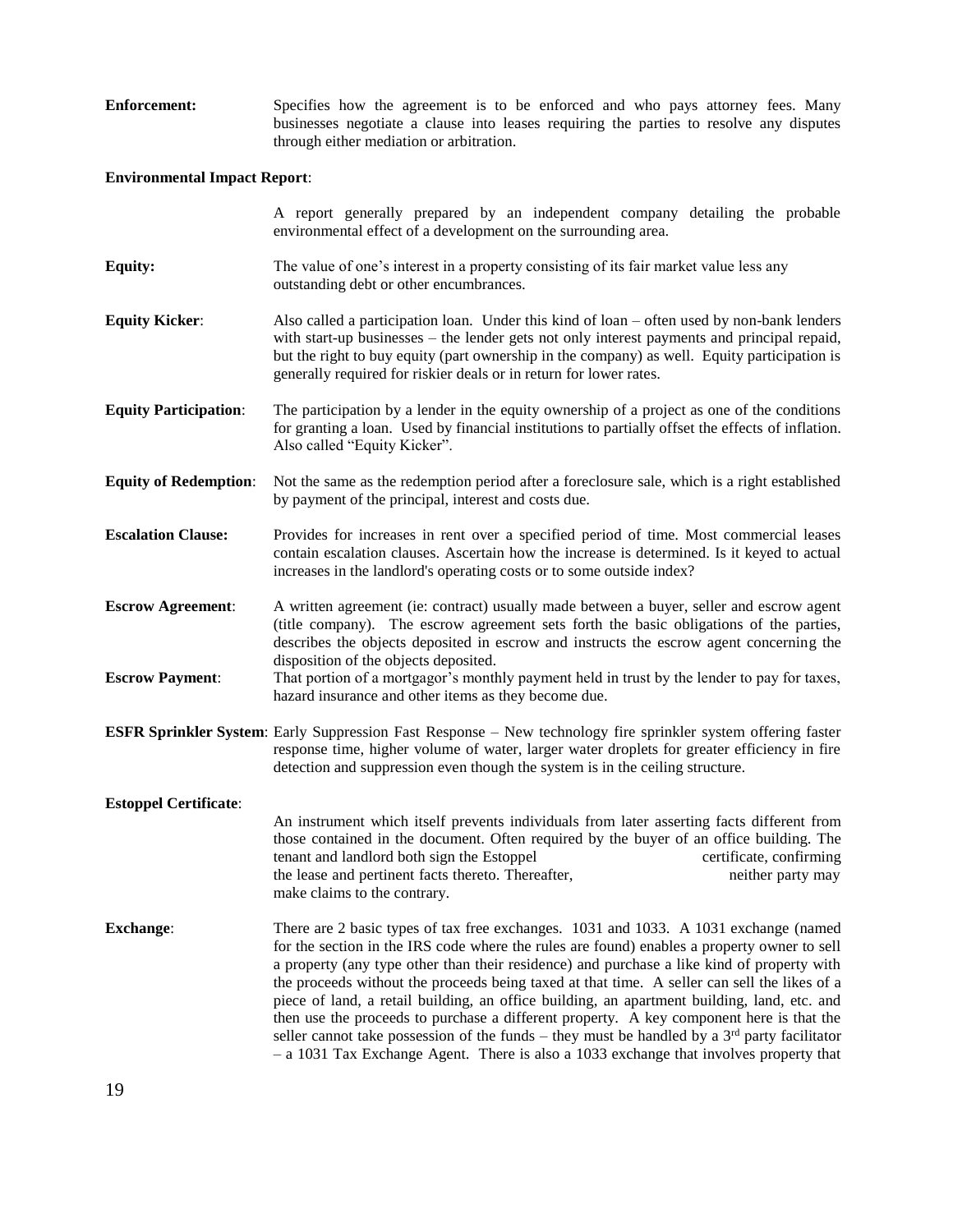| Enforcement: | Specifies how the agreement is to be enforced and who pays attorney fees. Many          |
|--------------|-----------------------------------------------------------------------------------------|
|              | businesses negotiate a clause into leases requiring the parties to resolve any disputes |
|              | through either mediation or arbitration.                                                |

## **Environmental Impact Report**:

|                                                    | A report generally prepared by an independent company detailing the probable<br>environmental effect of a development on the surrounding area.                                                                                                                                                                                                                                                                                                                                                                                                                                                                                                                                                                                                                             |  |  |  |
|----------------------------------------------------|----------------------------------------------------------------------------------------------------------------------------------------------------------------------------------------------------------------------------------------------------------------------------------------------------------------------------------------------------------------------------------------------------------------------------------------------------------------------------------------------------------------------------------------------------------------------------------------------------------------------------------------------------------------------------------------------------------------------------------------------------------------------------|--|--|--|
| <b>Equity:</b>                                     | The value of one's interest in a property consisting of its fair market value less any<br>outstanding debt or other encumbrances.                                                                                                                                                                                                                                                                                                                                                                                                                                                                                                                                                                                                                                          |  |  |  |
| <b>Equity Kicker:</b>                              | Also called a participation loan. Under this kind of loan – often used by non-bank lenders<br>with start-up businesses – the lender gets not only interest payments and principal repaid,<br>but the right to buy equity (part ownership in the company) as well. Equity participation is<br>generally required for riskier deals or in return for lower rates.                                                                                                                                                                                                                                                                                                                                                                                                            |  |  |  |
| <b>Equity Participation:</b>                       | The participation by a lender in the equity ownership of a project as one of the conditions<br>for granting a loan. Used by financial institutions to partially offset the effects of inflation.<br>Also called "Equity Kicker".                                                                                                                                                                                                                                                                                                                                                                                                                                                                                                                                           |  |  |  |
| <b>Equity of Redemption:</b>                       | Not the same as the redemption period after a foreclosure sale, which is a right established<br>by payment of the principal, interest and costs due.                                                                                                                                                                                                                                                                                                                                                                                                                                                                                                                                                                                                                       |  |  |  |
| <b>Escalation Clause:</b>                          | Provides for increases in rent over a specified period of time. Most commercial leases<br>contain escalation clauses. Ascertain how the increase is determined. Is it keyed to actual<br>increases in the landlord's operating costs or to some outside index?                                                                                                                                                                                                                                                                                                                                                                                                                                                                                                             |  |  |  |
| <b>Escrow Agreement:</b><br><b>Escrow Payment:</b> | A written agreement (ie: contract) usually made between a buyer, seller and escrow agent<br>(title company). The escrow agreement sets forth the basic obligations of the parties,<br>describes the objects deposited in escrow and instructs the escrow agent concerning the<br>disposition of the objects deposited.<br>That portion of a mortgagor's monthly payment held in trust by the lender to pay for taxes,                                                                                                                                                                                                                                                                                                                                                      |  |  |  |
|                                                    | hazard insurance and other items as they become due.<br><b>ESFR Sprinkler System</b> : Early Suppression Fast Response - New technology fire sprinkler system offering faster<br>response time, higher volume of water, larger water droplets for greater efficiency in fire<br>detection and suppression even though the system is in the ceiling structure.                                                                                                                                                                                                                                                                                                                                                                                                              |  |  |  |
| <b>Estoppel Certificate:</b>                       |                                                                                                                                                                                                                                                                                                                                                                                                                                                                                                                                                                                                                                                                                                                                                                            |  |  |  |
|                                                    | An instrument which itself prevents individuals from later asserting facts different from<br>those contained in the document. Often required by the buyer of an office building. The<br>tenant and landlord both sign the Estoppel<br>certificate, confirming<br>the lease and pertinent facts thereto. Thereafter,<br>neither party may<br>make claims to the contrary.                                                                                                                                                                                                                                                                                                                                                                                                   |  |  |  |
| <b>Exchange:</b>                                   | There are 2 basic types of tax free exchanges. 1031 and 1033. A 1031 exchange (named<br>for the section in the IRS code where the rules are found) enables a property owner to sell<br>a property (any type other than their residence) and purchase a like kind of property with<br>the proceeds without the proceeds being taxed at that time. A seller can sell the likes of a<br>piece of land, a retail building, an office building, an apartment building, land, etc. and<br>then use the proceeds to purchase a different property. A key component here is that the<br>seller cannot take possession of the funds – they must be handled by a $3rd$ party facilitator<br>$-$ a 1031 Tax Exchange Agent. There is also a 1033 exchange that involves property that |  |  |  |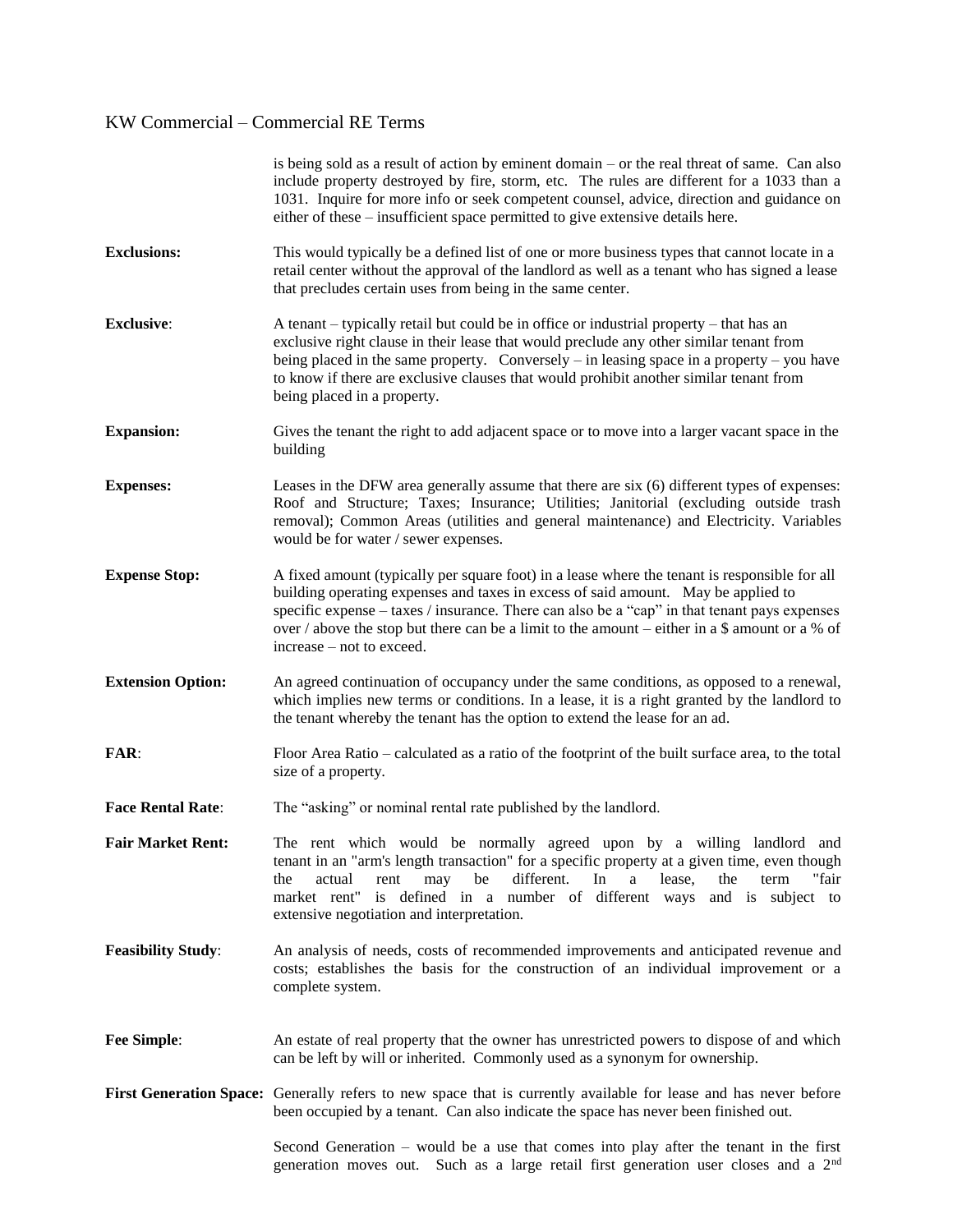|                           | is being sold as a result of action by eminent domain $-$ or the real threat of same. Can also<br>include property destroyed by fire, storm, etc. The rules are different for a 1033 than a<br>1031. Inquire for more info or seek competent counsel, advice, direction and guidance on<br>either of these – insufficient space permitted to give extensive details here.                                         |
|---------------------------|-------------------------------------------------------------------------------------------------------------------------------------------------------------------------------------------------------------------------------------------------------------------------------------------------------------------------------------------------------------------------------------------------------------------|
| <b>Exclusions:</b>        | This would typically be a defined list of one or more business types that cannot locate in a<br>retail center without the approval of the landlord as well as a tenant who has signed a lease<br>that precludes certain uses from being in the same center.                                                                                                                                                       |
| <b>Exclusive:</b>         | A tenant – typically retail but could be in office or industrial property – that has an<br>exclusive right clause in their lease that would preclude any other similar tenant from<br>being placed in the same property. Conversely $-$ in leasing space in a property $-$ you have<br>to know if there are exclusive clauses that would prohibit another similar tenant from<br>being placed in a property.      |
| <b>Expansion:</b>         | Gives the tenant the right to add adjacent space or to move into a larger vacant space in the<br>building                                                                                                                                                                                                                                                                                                         |
| <b>Expenses:</b>          | Leases in the DFW area generally assume that there are six (6) different types of expenses:<br>Roof and Structure; Taxes; Insurance; Utilities; Janitorial (excluding outside trash<br>removal); Common Areas (utilities and general maintenance) and Electricity. Variables<br>would be for water / sewer expenses.                                                                                              |
| <b>Expense Stop:</b>      | A fixed amount (typically per square foot) in a lease where the tenant is responsible for all<br>building operating expenses and taxes in excess of said amount. May be applied to<br>specific expense – taxes / insurance. There can also be a "cap" in that tenant pays expenses<br>over / above the stop but there can be a limit to the amount – either in a \$ amount or a % of<br>increase – not to exceed. |
| <b>Extension Option:</b>  | An agreed continuation of occupancy under the same conditions, as opposed to a renewal,<br>which implies new terms or conditions. In a lease, it is a right granted by the landlord to<br>the tenant whereby the tenant has the option to extend the lease for an ad.                                                                                                                                             |
| <b>FAR:</b>               | Floor Area Ratio – calculated as a ratio of the footprint of the built surface area, to the total<br>size of a property.                                                                                                                                                                                                                                                                                          |
| <b>Face Rental Rate:</b>  | The "asking" or nominal rental rate published by the landlord.                                                                                                                                                                                                                                                                                                                                                    |
| <b>Fair Market Rent:</b>  | The rent which would be normally agreed upon by a willing landlord and<br>tenant in an "arm's length transaction" for a specific property at a given time, even though<br>different.<br>In<br>lease,<br>the<br>"fair<br>the<br>actual<br>may<br>be<br>a<br>rent<br>term<br>market rent" is defined in a number of different ways and is subject to<br>extensive negotiation and interpretation.                   |
| <b>Feasibility Study:</b> | An analysis of needs, costs of recommended improvements and anticipated revenue and<br>costs; establishes the basis for the construction of an individual improvement or a<br>complete system.                                                                                                                                                                                                                    |
| <b>Fee Simple:</b>        | An estate of real property that the owner has unrestricted powers to dispose of and which<br>can be left by will or inherited. Commonly used as a synonym for ownership.                                                                                                                                                                                                                                          |
|                           | First Generation Space: Generally refers to new space that is currently available for lease and has never before<br>been occupied by a tenant. Can also indicate the space has never been finished out.                                                                                                                                                                                                           |
|                           | Second Generation – would be a use that comes into play after the tenant in the first<br>generation moves out. Such as a large retail first generation user closes and a 2 <sup>nd</sup>                                                                                                                                                                                                                          |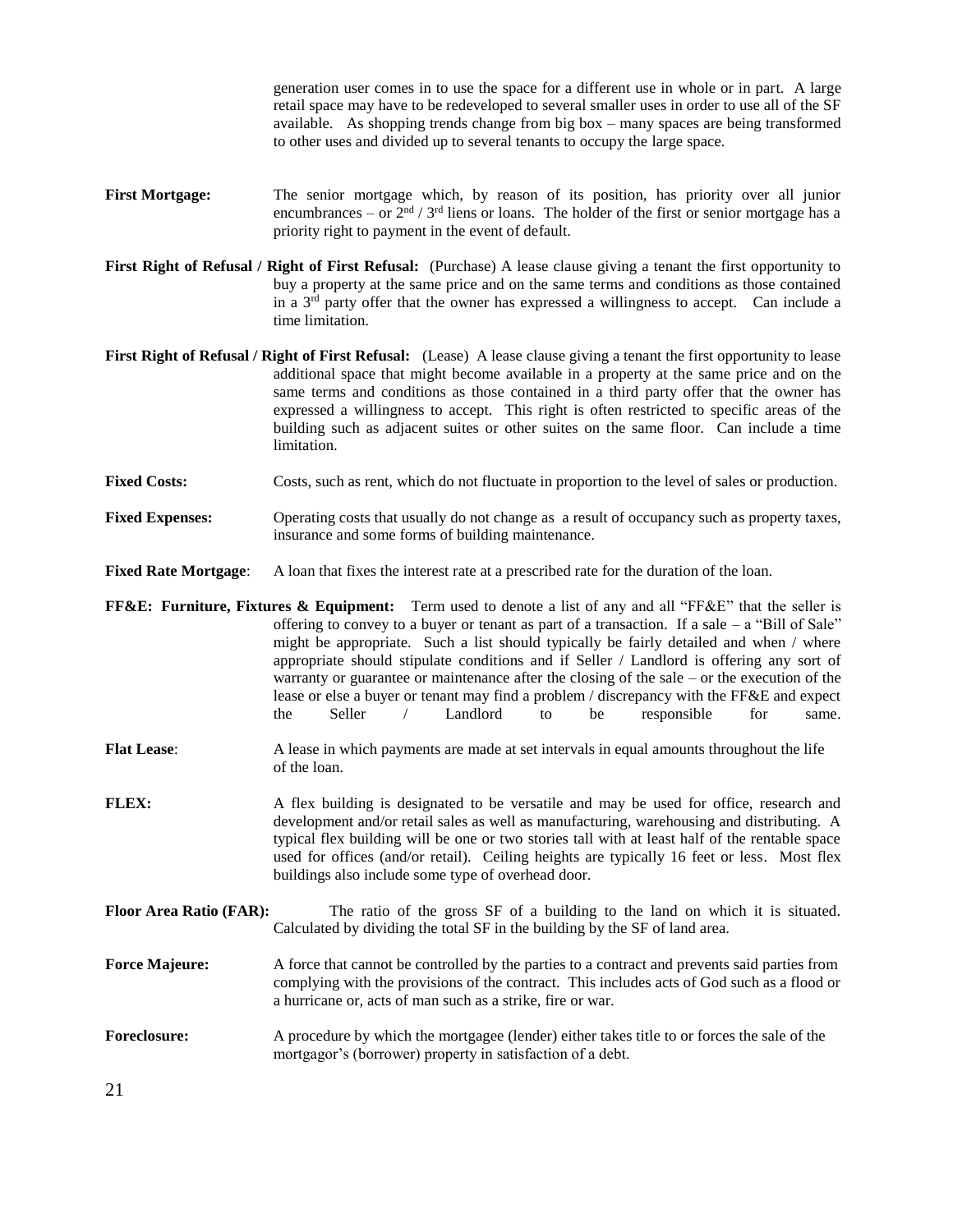generation user comes in to use the space for a different use in whole or in part. A large retail space may have to be redeveloped to several smaller uses in order to use all of the SF available. As shopping trends change from big box – many spaces are being transformed to other uses and divided up to several tenants to occupy the large space.

- **First Mortgage:** The senior mortgage which, by reason of its position, has priority over all junior encumbrances – or  $2<sup>nd</sup> / 3<sup>rd</sup>$  liens or loans. The holder of the first or senior mortgage has a priority right to payment in the event of default.
- **First Right of Refusal / Right of First Refusal:** (Purchase) A lease clause giving a tenant the first opportunity to buy a property at the same price and on the same terms and conditions as those contained in a 3<sup>rd</sup> party offer that the owner has expressed a willingness to accept. Can include a time limitation.
- **First Right of Refusal / Right of First Refusal:** (Lease) A lease clause giving a tenant the first opportunity to lease additional space that might become available in a property at the same price and on the same terms and conditions as those contained in a third party offer that the owner has expressed a willingness to accept. This right is often restricted to specific areas of the building such as adjacent suites or other suites on the same floor. Can include a time limitation.
- **Fixed Costs:** Costs, such as rent, which do not fluctuate in proportion to the level of sales or production.
- **Fixed Expenses:** Operating costs that usually do not change as a result of occupancy such as property taxes, insurance and some forms of building maintenance.
- **Fixed Rate Mortgage**: A loan that fixes the interest rate at a prescribed rate for the duration of the loan.
- **FF&E: Furniture, Fixtures & Equipment:** Term used to denote a list of any and all "FF&E" that the seller is offering to convey to a buyer or tenant as part of a transaction. If a sale – a "Bill of Sale" might be appropriate. Such a list should typically be fairly detailed and when / where appropriate should stipulate conditions and if Seller / Landlord is offering any sort of warranty or guarantee or maintenance after the closing of the sale – or the execution of the lease or else a buyer or tenant may find a problem / discrepancy with the FF&E and expect the Seller / Landlord to be responsible for same.
- **Flat Lease**: A lease in which payments are made at set intervals in equal amounts throughout the life of the loan.
- **FLEX:** A flex building is designated to be versatile and may be used for office, research and development and/or retail sales as well as manufacturing, warehousing and distributing. A typical flex building will be one or two stories tall with at least half of the rentable space used for offices (and/or retail). Ceiling heights are typically 16 feet or less. Most flex buildings also include some type of overhead door.
- **Floor Area Ratio (FAR):** The ratio of the gross SF of a building to the land on which it is situated. Calculated by dividing the total SF in the building by the SF of land area.
- **Force Majeure:** A force that cannot be controlled by the parties to a contract and prevents said parties from complying with the provisions of the contract. This includes acts of God such as a flood or a hurricane or, acts of man such as a strike, fire or war.
- **Foreclosure:** A procedure by which the mortgagee (lender) either takes title to or forces the sale of the mortgagor's (borrower) property in satisfaction of a debt.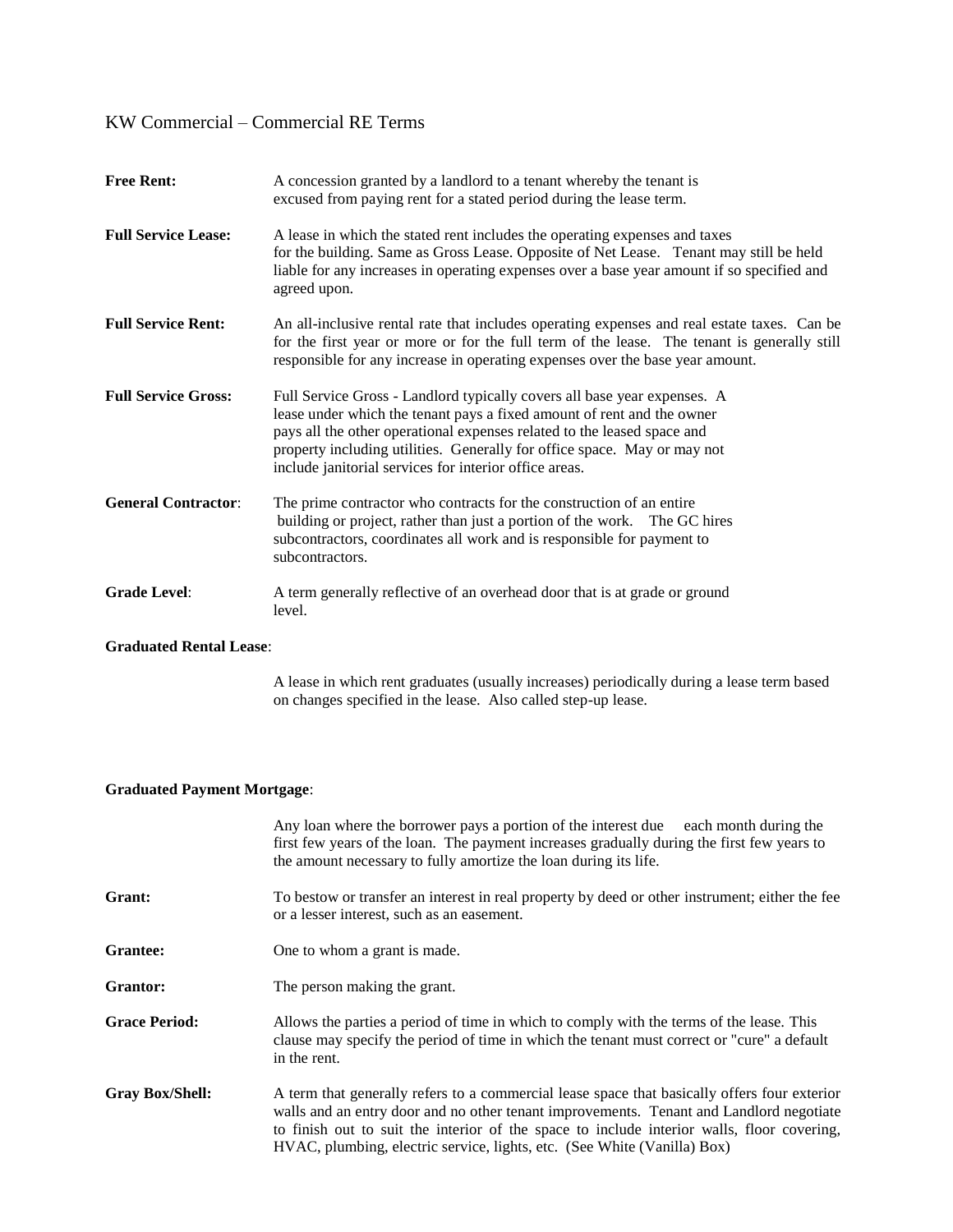| <b>Free Rent:</b>          | A concession granted by a landlord to a tenant whereby the tenant is<br>excused from paying rent for a stated period during the lease term.                                                                                                                                                                                                                         |
|----------------------------|---------------------------------------------------------------------------------------------------------------------------------------------------------------------------------------------------------------------------------------------------------------------------------------------------------------------------------------------------------------------|
| <b>Full Service Lease:</b> | A lease in which the stated rent includes the operating expenses and taxes<br>for the building. Same as Gross Lease. Opposite of Net Lease. Tenant may still be held<br>liable for any increases in operating expenses over a base year amount if so specified and<br>agreed upon.                                                                                  |
| <b>Full Service Rent:</b>  | An all-inclusive rental rate that includes operating expenses and real estate taxes. Can be<br>for the first year or more or for the full term of the lease. The tenant is generally still<br>responsible for any increase in operating expenses over the base year amount.                                                                                         |
| <b>Full Service Gross:</b> | Full Service Gross - Landlord typically covers all base year expenses. A<br>lease under which the tenant pays a fixed amount of rent and the owner<br>pays all the other operational expenses related to the leased space and<br>property including utilities. Generally for office space. May or may not<br>include janitorial services for interior office areas. |
| <b>General Contractor:</b> | The prime contractor who contracts for the construction of an entire<br>building or project, rather than just a portion of the work. The GC hires<br>subcontractors, coordinates all work and is responsible for payment to<br>subcontractors.                                                                                                                      |
| <b>Grade Level:</b>        | A term generally reflective of an overhead door that is at grade or ground<br>level.                                                                                                                                                                                                                                                                                |

### **Graduated Rental Lease**:

A lease in which rent graduates (usually increases) periodically during a lease term based on changes specified in the lease. Also called step-up lease.

### **Graduated Payment Mortgage**:

|                        | Any loan where the borrower pays a portion of the interest due<br>each month during the<br>first few years of the loan. The payment increases gradually during the first few years to<br>the amount necessary to fully amortize the loan during its life.                                                                                                         |
|------------------------|-------------------------------------------------------------------------------------------------------------------------------------------------------------------------------------------------------------------------------------------------------------------------------------------------------------------------------------------------------------------|
| Grant:                 | To bestow or transfer an interest in real property by deed or other instrument; either the fee<br>or a lesser interest, such as an easement.                                                                                                                                                                                                                      |
| <b>Grantee:</b>        | One to whom a grant is made.                                                                                                                                                                                                                                                                                                                                      |
| Grantor:               | The person making the grant.                                                                                                                                                                                                                                                                                                                                      |
| <b>Grace Period:</b>   | Allows the parties a period of time in which to comply with the terms of the lease. This<br>clause may specify the period of time in which the tenant must correct or "cure" a default<br>in the rent.                                                                                                                                                            |
| <b>Gray Box/Shell:</b> | A term that generally refers to a commercial lease space that basically offers four exterior<br>walls and an entry door and no other tenant improvements. Tenant and Landlord negotiate<br>to finish out to suit the interior of the space to include interior walls, floor covering,<br>HVAC, plumbing, electric service, lights, etc. (See White (Vanilla) Box) |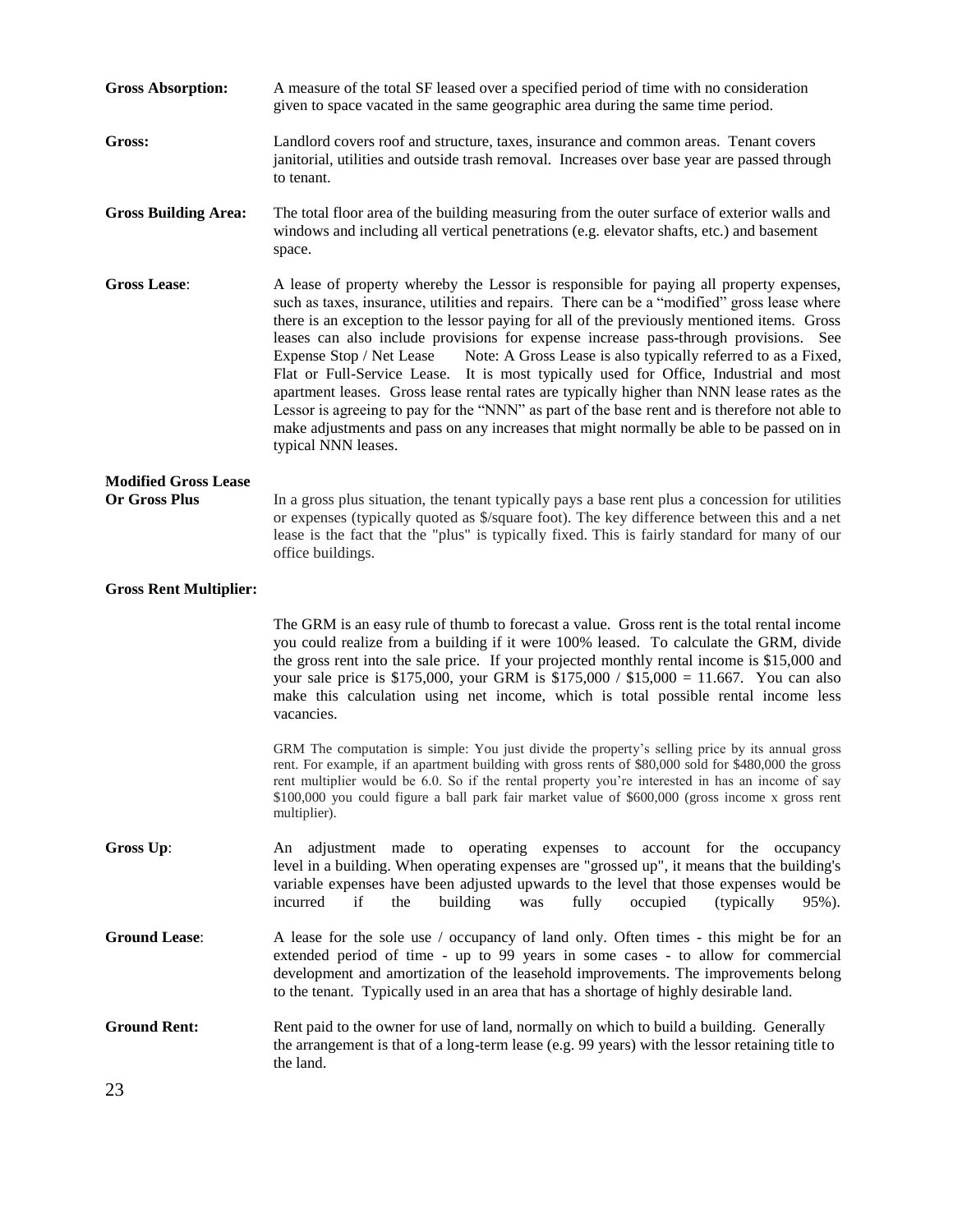| <b>Gross Absorption:</b>                            | A measure of the total SF leased over a specified period of time with no consideration<br>given to space vacated in the same geographic area during the same time period.                                                                                                                                                                                                                                                                                                                                                                                                                                                                                                                                                                                                                                                                                                                |  |  |
|-----------------------------------------------------|------------------------------------------------------------------------------------------------------------------------------------------------------------------------------------------------------------------------------------------------------------------------------------------------------------------------------------------------------------------------------------------------------------------------------------------------------------------------------------------------------------------------------------------------------------------------------------------------------------------------------------------------------------------------------------------------------------------------------------------------------------------------------------------------------------------------------------------------------------------------------------------|--|--|
| Gross:                                              | Landlord covers roof and structure, taxes, insurance and common areas. Tenant covers<br>janitorial, utilities and outside trash removal. Increases over base year are passed through<br>to tenant.                                                                                                                                                                                                                                                                                                                                                                                                                                                                                                                                                                                                                                                                                       |  |  |
| <b>Gross Building Area:</b>                         | The total floor area of the building measuring from the outer surface of exterior walls and<br>windows and including all vertical penetrations (e.g. elevator shafts, etc.) and basement<br>space.                                                                                                                                                                                                                                                                                                                                                                                                                                                                                                                                                                                                                                                                                       |  |  |
| <b>Gross Lease:</b>                                 | A lease of property whereby the Lessor is responsible for paying all property expenses,<br>such as taxes, insurance, utilities and repairs. There can be a "modified" gross lease where<br>there is an exception to the lessor paying for all of the previously mentioned items. Gross<br>leases can also include provisions for expense increase pass-through provisions. See<br>Note: A Gross Lease is also typically referred to as a Fixed,<br>Expense Stop / Net Lease<br>Flat or Full-Service Lease. It is most typically used for Office, Industrial and most<br>apartment leases. Gross lease rental rates are typically higher than NNN lease rates as the<br>Lessor is agreeing to pay for the "NNN" as part of the base rent and is therefore not able to<br>make adjustments and pass on any increases that might normally be able to be passed on in<br>typical NNN leases. |  |  |
| <b>Modified Gross Lease</b><br><b>Or Gross Plus</b> | In a gross plus situation, the tenant typically pays a base rent plus a concession for utilities<br>or expenses (typically quoted as \$/square foot). The key difference between this and a net<br>lease is the fact that the "plus" is typically fixed. This is fairly standard for many of our<br>office buildings.                                                                                                                                                                                                                                                                                                                                                                                                                                                                                                                                                                    |  |  |
| <b>Gross Rent Multiplier:</b>                       |                                                                                                                                                                                                                                                                                                                                                                                                                                                                                                                                                                                                                                                                                                                                                                                                                                                                                          |  |  |
|                                                     | The GRM is an easy rule of thumb to forecast a value. Gross rent is the total rental income<br>you could realize from a building if it were 100% leased. To calculate the GRM, divide<br>the gross rent into the sale price. If your projected monthly rental income is \$15,000 and<br>your sale price is \$175,000, your GRM is $$175,000 / $15,000 = 11.667$ . You can also<br>make this calculation using net income, which is total possible rental income less<br>vacancies.                                                                                                                                                                                                                                                                                                                                                                                                       |  |  |
|                                                     | GRM The computation is simple: You just divide the property's selling price by its annual gross<br>rent. For example, if an apartment building with gross rents of \$80,000 sold for \$480,000 the gross<br>rent multiplier would be 6.0. So if the rental property you're interested in has an income of say<br>\$100,000 you could figure a ball park fair market value of \$600,000 (gross income x gross rent<br>multiplier).                                                                                                                                                                                                                                                                                                                                                                                                                                                        |  |  |
| Gross Up:                                           | An adjustment made to operating expenses to account for the occupancy<br>level in a building. When operating expenses are "grossed up", it means that the building's<br>variable expenses have been adjusted upwards to the level that those expenses would be<br>if<br>building<br>fully<br>(typically)<br>incurred<br>the<br>occupied<br>was<br>95%).                                                                                                                                                                                                                                                                                                                                                                                                                                                                                                                                  |  |  |
| <b>Ground Lease:</b>                                | A lease for the sole use / occupancy of land only. Often times - this might be for an<br>extended period of time - up to 99 years in some cases - to allow for commercial<br>development and amortization of the leasehold improvements. The improvements belong<br>to the tenant. Typically used in an area that has a shortage of highly desirable land.                                                                                                                                                                                                                                                                                                                                                                                                                                                                                                                               |  |  |
| <b>Ground Rent:</b>                                 | Rent paid to the owner for use of land, normally on which to build a building. Generally<br>the arrangement is that of a long-term lease (e.g. 99 years) with the lessor retaining title to<br>the land.                                                                                                                                                                                                                                                                                                                                                                                                                                                                                                                                                                                                                                                                                 |  |  |
| 23                                                  |                                                                                                                                                                                                                                                                                                                                                                                                                                                                                                                                                                                                                                                                                                                                                                                                                                                                                          |  |  |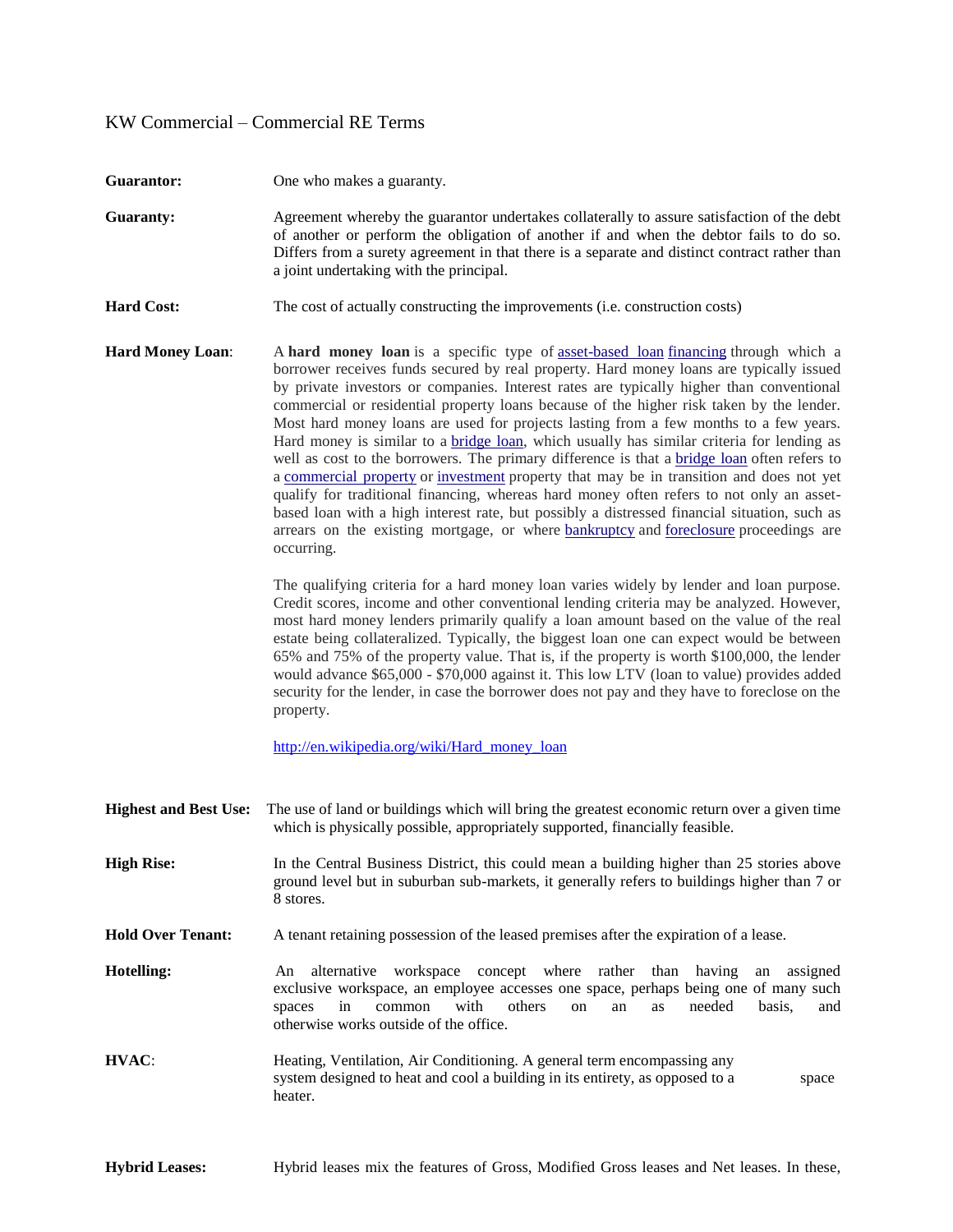| <b>Guarantor:</b>            | One who makes a guaranty.                                                                                                                                                                                                                                                                                                                                                                                                                                                                                                                                                                                                                                                                                                                                                                                                                                                                                                                                                                                                                                                      |  |  |
|------------------------------|--------------------------------------------------------------------------------------------------------------------------------------------------------------------------------------------------------------------------------------------------------------------------------------------------------------------------------------------------------------------------------------------------------------------------------------------------------------------------------------------------------------------------------------------------------------------------------------------------------------------------------------------------------------------------------------------------------------------------------------------------------------------------------------------------------------------------------------------------------------------------------------------------------------------------------------------------------------------------------------------------------------------------------------------------------------------------------|--|--|
| <b>Guaranty:</b>             | Agreement whereby the guarantor undertakes collaterally to assure satisfaction of the debt<br>of another or perform the obligation of another if and when the debtor fails to do so.<br>Differs from a surety agreement in that there is a separate and distinct contract rather than<br>a joint undertaking with the principal.                                                                                                                                                                                                                                                                                                                                                                                                                                                                                                                                                                                                                                                                                                                                               |  |  |
| <b>Hard Cost:</b>            | The cost of actually constructing the improvements (i.e. construction costs)                                                                                                                                                                                                                                                                                                                                                                                                                                                                                                                                                                                                                                                                                                                                                                                                                                                                                                                                                                                                   |  |  |
| <b>Hard Money Loan:</b>      | A hard money loan is a specific type of asset-based loan financing through which a<br>borrower receives funds secured by real property. Hard money loans are typically issued<br>by private investors or companies. Interest rates are typically higher than conventional<br>commercial or residential property loans because of the higher risk taken by the lender.<br>Most hard money loans are used for projects lasting from a few months to a few years.<br>Hard money is similar to a <b>bridge loan</b> , which usually has similar criteria for lending as<br>well as cost to the borrowers. The primary difference is that a bridge loan often refers to<br>a commercial property or investment property that may be in transition and does not yet<br>qualify for traditional financing, whereas hard money often refers to not only an asset-<br>based loan with a high interest rate, but possibly a distressed financial situation, such as<br>arrears on the existing mortgage, or where <b>bankruptcy</b> and <b>foreclosure</b> proceedings are<br>occurring. |  |  |
|                              | The qualifying criteria for a hard money loan varies widely by lender and loan purpose.<br>Credit scores, income and other conventional lending criteria may be analyzed. However,<br>most hard money lenders primarily qualify a loan amount based on the value of the real<br>estate being collateralized. Typically, the biggest loan one can expect would be between<br>65% and 75% of the property value. That is, if the property is worth \$100,000, the lender<br>would advance \$65,000 - \$70,000 against it. This low LTV (loan to value) provides added<br>security for the lender, in case the borrower does not pay and they have to foreclose on the<br>property.                                                                                                                                                                                                                                                                                                                                                                                               |  |  |
|                              | http://en.wikipedia.org/wiki/Hard money loan                                                                                                                                                                                                                                                                                                                                                                                                                                                                                                                                                                                                                                                                                                                                                                                                                                                                                                                                                                                                                                   |  |  |
| <b>Highest and Best Use:</b> | The use of land or buildings which will bring the greatest economic return over a given time<br>which is physically possible, appropriately supported, financially feasible.                                                                                                                                                                                                                                                                                                                                                                                                                                                                                                                                                                                                                                                                                                                                                                                                                                                                                                   |  |  |
| <b>High Rise:</b>            | In the Central Business District, this could mean a building higher than 25 stories above<br>ground level but in suburban sub-markets, it generally refers to buildings higher than 7 or<br>8 stores.                                                                                                                                                                                                                                                                                                                                                                                                                                                                                                                                                                                                                                                                                                                                                                                                                                                                          |  |  |
| <b>Hold Over Tenant:</b>     | A tenant retaining possession of the leased premises after the expiration of a lease.                                                                                                                                                                                                                                                                                                                                                                                                                                                                                                                                                                                                                                                                                                                                                                                                                                                                                                                                                                                          |  |  |
| Hotelling:                   | workspace concept where rather<br>alternative<br>than<br>having<br>assigned<br>An<br>an<br>exclusive workspace, an employee accesses one space, perhaps being one of many such<br>with<br>common<br>others<br>needed<br>in<br>basis,<br>spaces<br>on<br>an<br>as<br>and<br>otherwise works outside of the office.                                                                                                                                                                                                                                                                                                                                                                                                                                                                                                                                                                                                                                                                                                                                                              |  |  |
| HVAC:                        | Heating, Ventilation, Air Conditioning. A general term encompassing any<br>system designed to heat and cool a building in its entirety, as opposed to a<br>space<br>heater.                                                                                                                                                                                                                                                                                                                                                                                                                                                                                                                                                                                                                                                                                                                                                                                                                                                                                                    |  |  |
|                              |                                                                                                                                                                                                                                                                                                                                                                                                                                                                                                                                                                                                                                                                                                                                                                                                                                                                                                                                                                                                                                                                                |  |  |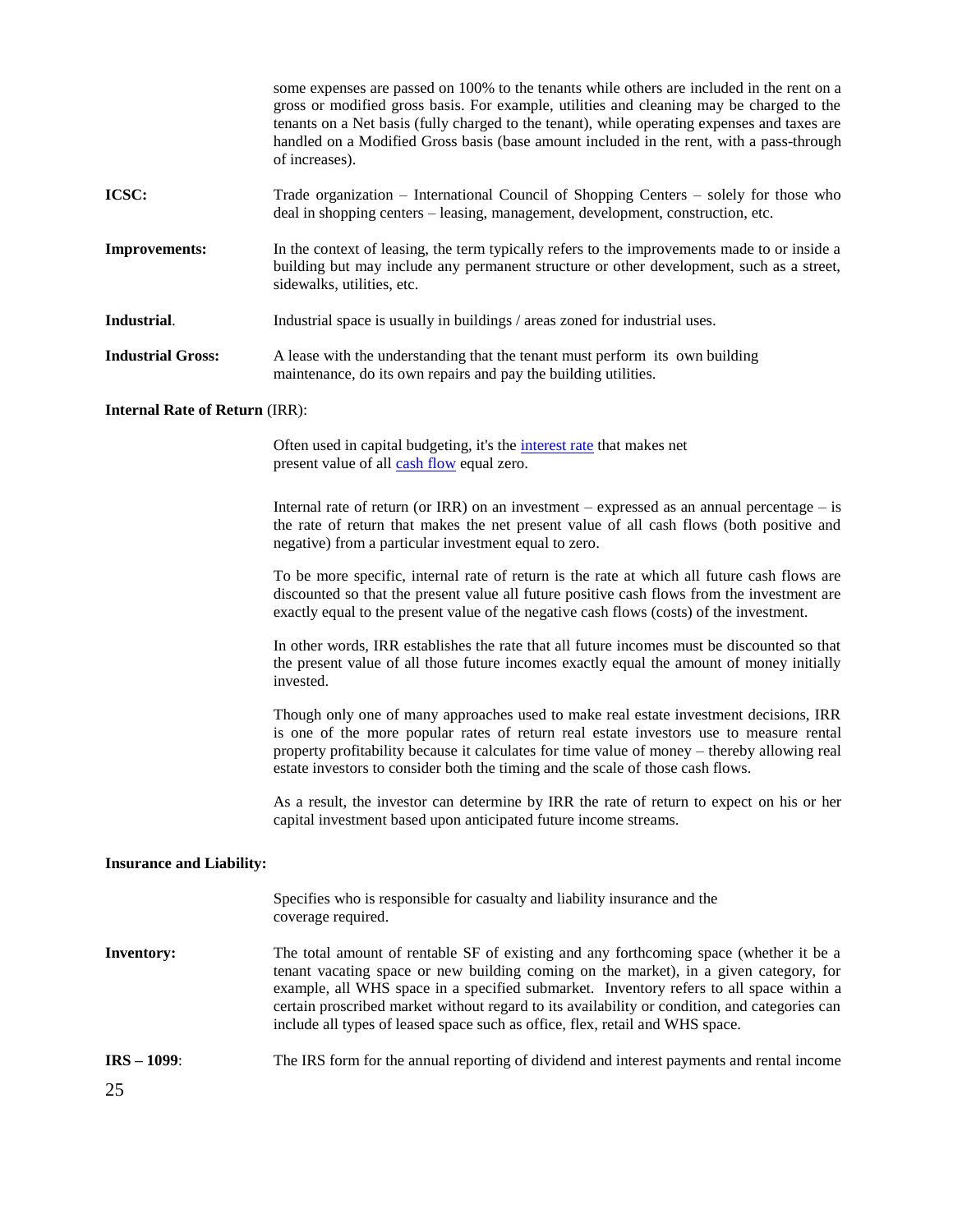some expenses are passed on 100% to the tenants while others are included in the rent on a gross or modified gross basis. For example, utilities and cleaning may be charged to the tenants on a Net basis (fully charged to the tenant), while operating expenses and taxes are handled on a Modified Gross basis (base amount included in the rent, with a pass-through of increases). **ICSC:** Trade organization – International Council of Shopping Centers – solely for those who deal in shopping centers – leasing, management, development, construction, etc. **Improvements:** In the context of leasing, the term typically refers to the improvements made to or inside a building but may include any permanent structure or other development, such as a street, sidewalks, utilities, etc. **Industrial.** Industrial space is usually in buildings / areas zoned for industrial uses. **Industrial Gross:** A lease with the understanding that the tenant must perform its own building maintenance, do its own repairs and pay the building utilities. **Internal Rate of Return** (IRR): Often used in capital budgeting, it's the *interest rate* that makes net present value of all cash flow equal zero. Internal rate of return (or IRR) on an investment – expressed as an annual percentage – is the rate of return that makes the net present value of all cash flows (both positive and negative) from a particular investment equal to zero. To be more specific, internal rate of return is the rate at which all future cash flows are

discounted so that the present value all future positive cash flows from the investment are exactly equal to the present value of the negative cash flows (costs) of the investment.

In other words, IRR establishes the rate that all future incomes must be discounted so that the present value of all those future incomes exactly equal the amount of money initially invested.

Though only one of many approaches used to make real estate investment decisions, IRR is one of the more popular rates of return real estate investors use to measure rental property profitability because it calculates for time value of money – thereby allowing real estate investors to consider both the timing and the scale of those cash flows.

As a result, the investor can determine by IRR the rate of return to expect on his or her capital investment based upon anticipated future income streams.

#### **Insurance and Liability:**

Specifies who is responsible for casualty and liability insurance and the coverage required. **Inventory:** The total amount of rentable SF of existing and any forthcoming space (whether it be a tenant vacating space or new building coming on the market), in a given category, for

- example, all WHS space in a specified submarket. Inventory refers to all space within a certain proscribed market without regard to its availability or condition, and categories can include all types of leased space such as office, flex, retail and WHS space.
- **IRS – 1099**: The IRS form for the annual reporting of dividend and interest payments and rental income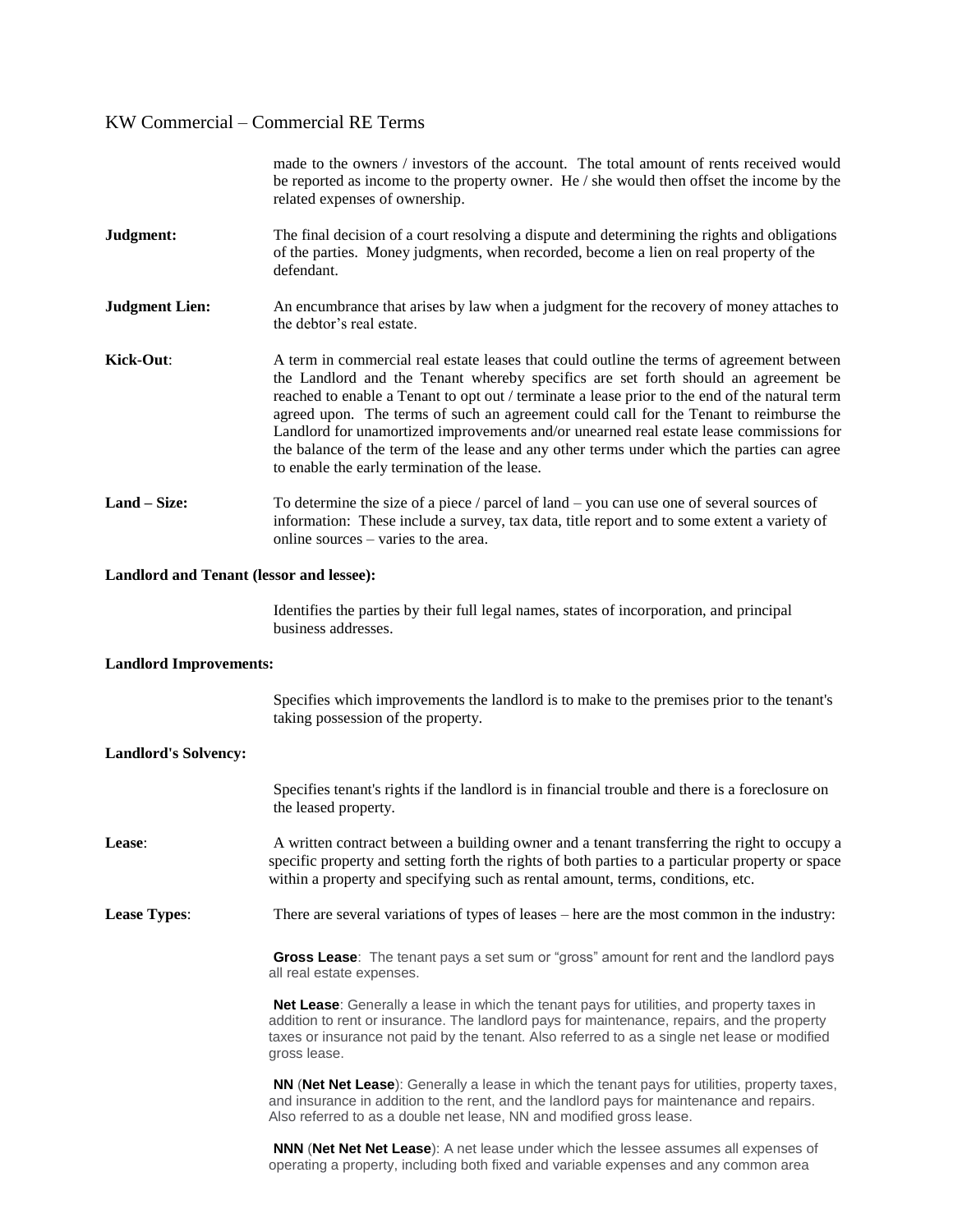|                                          | made to the owners / investors of the account. The total amount of rents received would<br>be reported as income to the property owner. He $/$ she would then offset the income by the<br>related expenses of ownership.                                                                                                                                                                                                                                                                                                                                                                                              |  |  |
|------------------------------------------|-----------------------------------------------------------------------------------------------------------------------------------------------------------------------------------------------------------------------------------------------------------------------------------------------------------------------------------------------------------------------------------------------------------------------------------------------------------------------------------------------------------------------------------------------------------------------------------------------------------------------|--|--|
| Judgment:                                | The final decision of a court resolving a dispute and determining the rights and obligations<br>of the parties. Money judgments, when recorded, become a lien on real property of the<br>defendant.                                                                                                                                                                                                                                                                                                                                                                                                                   |  |  |
| <b>Judgment Lien:</b>                    | An encumbrance that arises by law when a judgment for the recovery of money attaches to<br>the debtor's real estate.                                                                                                                                                                                                                                                                                                                                                                                                                                                                                                  |  |  |
| Kick-Out:                                | A term in commercial real estate leases that could outline the terms of agreement between<br>the Landlord and the Tenant whereby specifics are set forth should an agreement be<br>reached to enable a Tenant to opt out / terminate a lease prior to the end of the natural term<br>agreed upon. The terms of such an agreement could call for the Tenant to reimburse the<br>Landlord for unamortized improvements and/or unearned real estate lease commissions for<br>the balance of the term of the lease and any other terms under which the parties can agree<br>to enable the early termination of the lease. |  |  |
| Land - Size:                             | To determine the size of a piece $/$ parcel of land $-$ you can use one of several sources of<br>information: These include a survey, tax data, title report and to some extent a variety of<br>online sources – varies to the area.                                                                                                                                                                                                                                                                                                                                                                                  |  |  |
| Landlord and Tenant (lessor and lessee): |                                                                                                                                                                                                                                                                                                                                                                                                                                                                                                                                                                                                                       |  |  |
|                                          | Identifies the parties by their full legal names, states of incorporation, and principal<br>business addresses.                                                                                                                                                                                                                                                                                                                                                                                                                                                                                                       |  |  |
| <b>Landlord Improvements:</b>            |                                                                                                                                                                                                                                                                                                                                                                                                                                                                                                                                                                                                                       |  |  |
|                                          | Specifies which improvements the landlord is to make to the premises prior to the tenant's<br>taking possession of the property.                                                                                                                                                                                                                                                                                                                                                                                                                                                                                      |  |  |
| <b>Landlord's Solvency:</b>              |                                                                                                                                                                                                                                                                                                                                                                                                                                                                                                                                                                                                                       |  |  |
|                                          | Specifies tenant's rights if the landlord is in financial trouble and there is a foreclosure on<br>the leased property.                                                                                                                                                                                                                                                                                                                                                                                                                                                                                               |  |  |
| Lease:                                   | A written contract between a building owner and a tenant transferring the right to occupy a<br>specific property and setting forth the rights of both parties to a particular property or space<br>within a property and specifying such as rental amount, terms, conditions, etc.                                                                                                                                                                                                                                                                                                                                    |  |  |
| <b>Lease Types:</b>                      | There are several variations of types of leases – here are the most common in the industry:                                                                                                                                                                                                                                                                                                                                                                                                                                                                                                                           |  |  |
|                                          | Gross Lease: The tenant pays a set sum or "gross" amount for rent and the landlord pays<br>all real estate expenses.                                                                                                                                                                                                                                                                                                                                                                                                                                                                                                  |  |  |
|                                          | Net Lease: Generally a lease in which the tenant pays for utilities, and property taxes in<br>addition to rent or insurance. The landlord pays for maintenance, repairs, and the property<br>taxes or insurance not paid by the tenant. Also referred to as a single net lease or modified<br>gross lease.                                                                                                                                                                                                                                                                                                            |  |  |
|                                          | <b>NN (Net Net Lease):</b> Generally a lease in which the tenant pays for utilities, property taxes,<br>and insurance in addition to the rent, and the landlord pays for maintenance and repairs.<br>Also referred to as a double net lease, NN and modified gross lease.                                                                                                                                                                                                                                                                                                                                             |  |  |
|                                          | <b>NNN (Net Net Net Lease):</b> A net lease under which the lessee assumes all expenses of<br>operating a property, including both fixed and variable expenses and any common area                                                                                                                                                                                                                                                                                                                                                                                                                                    |  |  |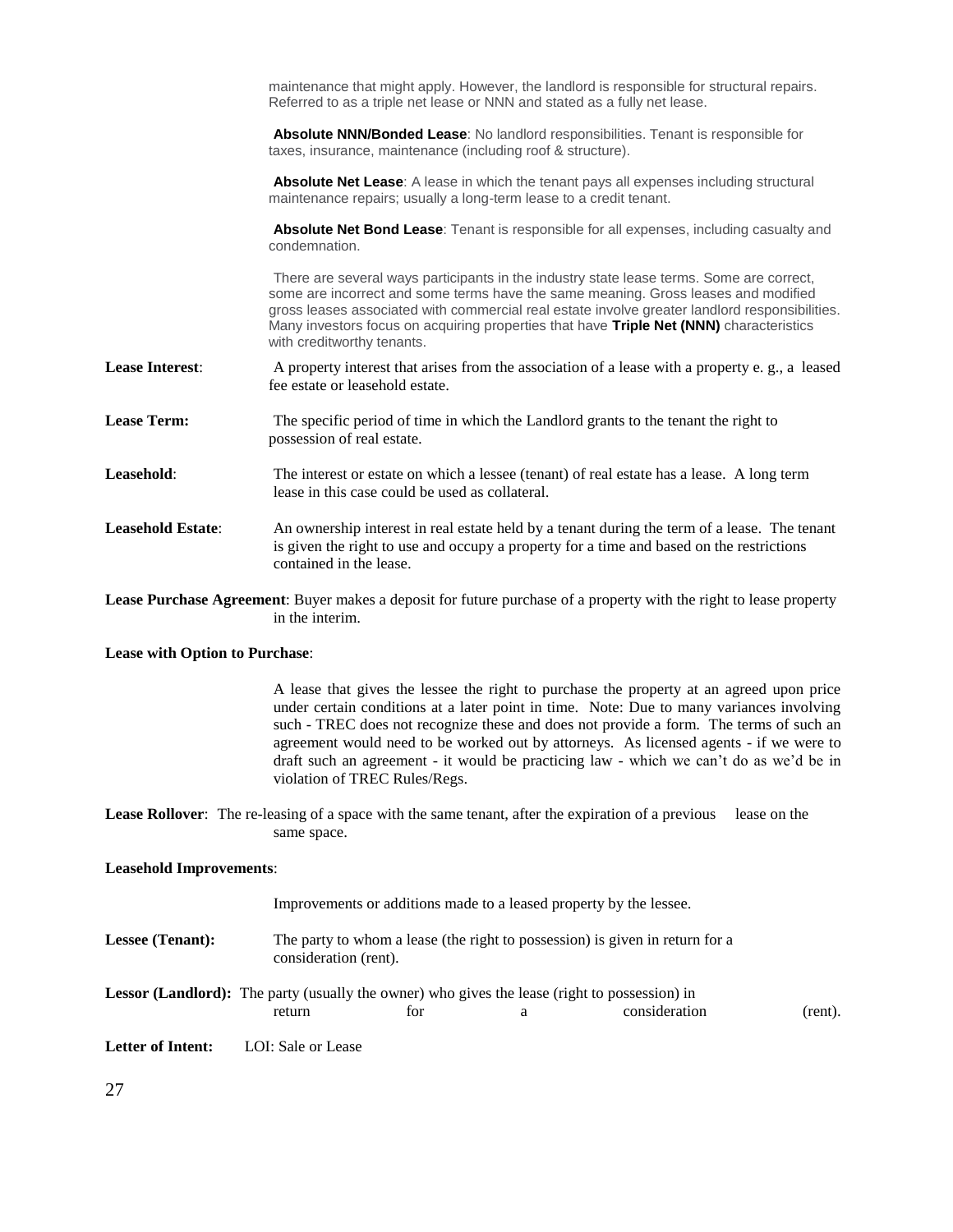maintenance that might apply. However, the landlord is responsible for structural repairs. Referred to as a triple net lease or NNN and stated as a fully net lease. **Absolute NNN/Bonded Lease**: No landlord responsibilities. Tenant is responsible for taxes, insurance, maintenance (including roof & structure). **Absolute Net Lease:** A lease in which the tenant pays all expenses including structural maintenance repairs; usually a long-term lease to a credit tenant. **Absolute Net Bond Lease**: Tenant is responsible for all expenses, including casualty and condemnation. There are several ways participants in the industry state lease terms. Some are correct, some are incorrect and some terms have the same meaning. Gross leases and modified gross leases associated with commercial real estate involve greater landlord responsibilities. Many investors focus on acquiring properties that have **Triple Net (NNN)** characteristics with creditworthy tenants. **Lease Interest:** A property interest that arises from the association of a lease with a property e. g., a leased fee estate or leasehold estate. **Lease Term:** The specific period of time in which the Landlord grants to the tenant the right to possession of real estate. **Leasehold:** The interest or estate on which a lessee (tenant) of real estate has a lease. A long term lease in this case could be used as collateral. **Leasehold Estate**: An ownership interest in real estate held by a tenant during the term of a lease. The tenant is given the right to use and occupy a property for a time and based on the restrictions contained in the lease. **Lease Purchase Agreement**: Buyer makes a deposit for future purchase of a property with the right to lease property in the interim.

#### **Lease with Option to Purchase**:

A lease that gives the lessee the right to purchase the property at an agreed upon price under certain conditions at a later point in time. Note: Due to many variances involving such - TREC does not recognize these and does not provide a form. The terms of such an agreement would need to be worked out by attorneys. As licensed agents - if we were to draft such an agreement - it would be practicing law - which we can't do as we'd be in violation of TREC Rules/Regs.

**Lease Rollover**: The re-leasing of a space with the same tenant, after the expiration of a previous lease on the same space.

#### **Leasehold Improvements**:

|                   |                                                                                                       |     |   | Improvements or additions made to a leased property by the lessee. |         |
|-------------------|-------------------------------------------------------------------------------------------------------|-----|---|--------------------------------------------------------------------|---------|
| Lessee (Tenant):  | The party to whom a lease (the right to possession) is given in return for a<br>consideration (rent). |     |   |                                                                    |         |
|                   | <b>Lessor (Landlord):</b> The party (usually the owner) who gives the lease (right to possession) in  |     |   |                                                                    |         |
|                   | return                                                                                                | for | a | consideration                                                      | (rent). |
| Letter of Intent: | LOI: Sale or Lease                                                                                    |     |   |                                                                    |         |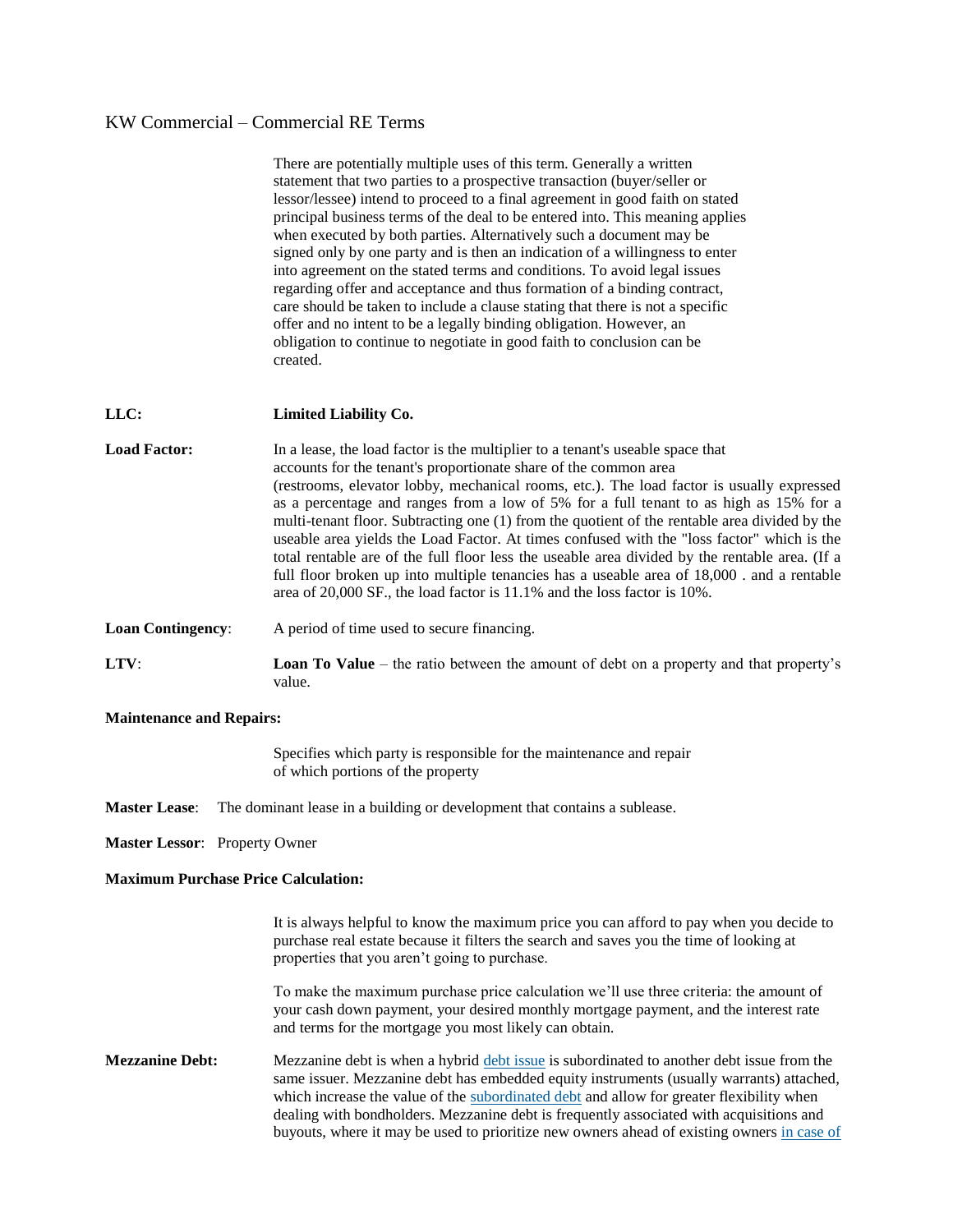|                          | There are potentially multiple uses of this term. Generally a written<br>statement that two parties to a prospective transaction (buyer/seller or<br>lessor/lessee) intend to proceed to a final agreement in good faith on stated<br>principal business terms of the deal to be entered into. This meaning applies<br>when executed by both parties. Alternatively such a document may be<br>signed only by one party and is then an indication of a willingness to enter<br>into agreement on the stated terms and conditions. To avoid legal issues<br>regarding offer and acceptance and thus formation of a binding contract,<br>care should be taken to include a clause stating that there is not a specific<br>offer and no intent to be a legally binding obligation. However, an<br>obligation to continue to negotiate in good faith to conclusion can be<br>created. |
|--------------------------|----------------------------------------------------------------------------------------------------------------------------------------------------------------------------------------------------------------------------------------------------------------------------------------------------------------------------------------------------------------------------------------------------------------------------------------------------------------------------------------------------------------------------------------------------------------------------------------------------------------------------------------------------------------------------------------------------------------------------------------------------------------------------------------------------------------------------------------------------------------------------------|
| LLC:                     | Limited Liability Co.                                                                                                                                                                                                                                                                                                                                                                                                                                                                                                                                                                                                                                                                                                                                                                                                                                                            |
| <b>Load Factor:</b>      | In a lease, the load factor is the multiplier to a tenant's useable space that<br>accounts for the tenant's proportionate share of the common area<br>(restrooms, elevator lobby, mechanical rooms, etc.). The load factor is usually expressed<br>as a percentage and ranges from a low of 5% for a full tenant to as high as 15% for a<br>multi-tenant floor. Subtracting one (1) from the quotient of the rentable area divided by the<br>useable area yields the Load Factor. At times confused with the "loss factor" which is the<br>total rentable are of the full floor less the useable area divided by the rentable area. (If a<br>full floor broken up into multiple tenancies has a useable area of 18,000 . and a rentable<br>area of 20,000 SF., the load factor is 11.1% and the loss factor is 10%.                                                              |
| <b>Loan Contingency:</b> | A period of time used to secure financing.                                                                                                                                                                                                                                                                                                                                                                                                                                                                                                                                                                                                                                                                                                                                                                                                                                       |
| LTV:                     | <b>Loan To Value</b> – the ratio between the amount of debt on a property and that property's<br>value.                                                                                                                                                                                                                                                                                                                                                                                                                                                                                                                                                                                                                                                                                                                                                                          |

#### **Maintenance and Repairs:**

Specifies which party is responsible for the maintenance and repair of which portions of the property

**Master Lease**: The dominant lease in a building or development that contains a sublease.

**Master Lessor**: Property Owner

#### **Maximum Purchase Price Calculation:**

It is always helpful to know the maximum price you can afford to pay when you decide to purchase real estate because it filters the search and saves you the time of looking at properties that you aren't going to purchase.

To make the maximum purchase price calculation we'll use three criteria: the amount of your cash down payment, your desired monthly mortgage payment, and the interest rate and terms for the mortgage you most likely can obtain.

**Mezzanine Debt:** Mezzanine debt is when a hybrid [debt issue](http://www.investopedia.com/terms/d/debt-issue.asp) is subordinated to another debt issue from the same issuer. Mezzanine debt has embedded equity instruments (usually warrants) attached, which increase the value of the [subordinated debt](http://www.investopedia.com/terms/s/subordinateddebt.asp) and allow for greater flexibility when dealing with bondholders. Mezzanine debt is frequently associated with acquisitions and buyouts, where it may be used to prioritize new owners ahead of existing owners [in case of](http://www.investopedia.com/video/play/bankruptcy/)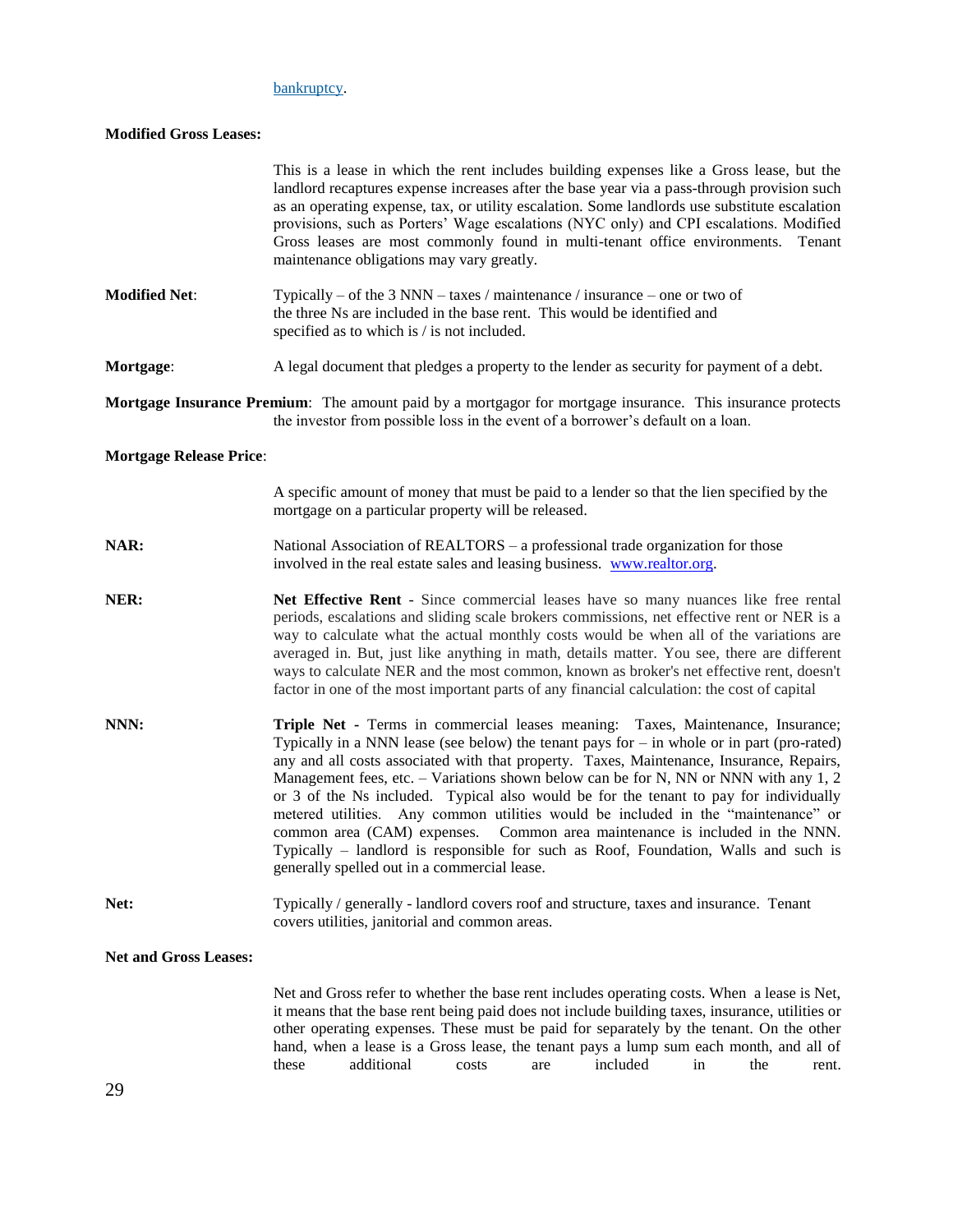### [bankruptcy.](http://www.investopedia.com/video/play/bankruptcy/)

#### **Modified Gross Leases:**

|                                | This is a lease in which the rent includes building expenses like a Gross lease, but the<br>landlord recaptures expense increases after the base year via a pass-through provision such<br>as an operating expense, tax, or utility escalation. Some landlords use substitute escalation<br>provisions, such as Porters' Wage escalations (NYC only) and CPI escalations. Modified<br>Gross leases are most commonly found in multi-tenant office environments.<br>Tenant<br>maintenance obligations may vary greatly.                                                                                                                                                                                                                                                     |  |
|--------------------------------|----------------------------------------------------------------------------------------------------------------------------------------------------------------------------------------------------------------------------------------------------------------------------------------------------------------------------------------------------------------------------------------------------------------------------------------------------------------------------------------------------------------------------------------------------------------------------------------------------------------------------------------------------------------------------------------------------------------------------------------------------------------------------|--|
| <b>Modified Net:</b>           | Typically – of the 3 NNN – taxes / maintenance / insurance – one or two of<br>the three Ns are included in the base rent. This would be identified and<br>specified as to which is / is not included.                                                                                                                                                                                                                                                                                                                                                                                                                                                                                                                                                                      |  |
| Mortgage:                      | A legal document that pledges a property to the lender as security for payment of a debt.                                                                                                                                                                                                                                                                                                                                                                                                                                                                                                                                                                                                                                                                                  |  |
|                                | Mortgage Insurance Premium: The amount paid by a mortgagor for mortgage insurance. This insurance protects<br>the investor from possible loss in the event of a borrower's default on a loan.                                                                                                                                                                                                                                                                                                                                                                                                                                                                                                                                                                              |  |
| <b>Mortgage Release Price:</b> |                                                                                                                                                                                                                                                                                                                                                                                                                                                                                                                                                                                                                                                                                                                                                                            |  |
|                                | A specific amount of money that must be paid to a lender so that the lien specified by the<br>mortgage on a particular property will be released.                                                                                                                                                                                                                                                                                                                                                                                                                                                                                                                                                                                                                          |  |
| NAR:                           | National Association of REALTORS – a professional trade organization for those<br>involved in the real estate sales and leasing business. www.realtor.org.                                                                                                                                                                                                                                                                                                                                                                                                                                                                                                                                                                                                                 |  |
| NER:                           | Net Effective Rent - Since commercial leases have so many nuances like free rental<br>periods, escalations and sliding scale brokers commissions, net effective rent or NER is a<br>way to calculate what the actual monthly costs would be when all of the variations are<br>averaged in. But, just like anything in math, details matter. You see, there are different<br>ways to calculate NER and the most common, known as broker's net effective rent, doesn't<br>factor in one of the most important parts of any financial calculation: the cost of capital                                                                                                                                                                                                        |  |
| NNN:                           | Triple Net - Terms in commercial leases meaning: Taxes, Maintenance, Insurance;<br>Typically in a NNN lease (see below) the tenant pays for $-$ in whole or in part (pro-rated)<br>any and all costs associated with that property. Taxes, Maintenance, Insurance, Repairs,<br>Management fees, etc. – Variations shown below can be for N, NN or NNN with any 1, 2<br>or 3 of the Ns included. Typical also would be for the tenant to pay for individually<br>metered utilities. Any common utilities would be included in the "maintenance" or<br>common area (CAM) expenses.<br>Common area maintenance is included in the NNN.<br>Typically – landlord is responsible for such as Roof, Foundation, Walls and such is<br>generally spelled out in a commercial lease. |  |
| Net:                           | Typically / generally - landlord covers roof and structure, taxes and insurance. Tenant<br>covers utilities, janitorial and common areas.                                                                                                                                                                                                                                                                                                                                                                                                                                                                                                                                                                                                                                  |  |
| <b>Net and Gross Leases:</b>   |                                                                                                                                                                                                                                                                                                                                                                                                                                                                                                                                                                                                                                                                                                                                                                            |  |
|                                | Net and Gross refer to whether the base rent includes operating costs. When a lease is Net,<br>it means that the base rent being paid does not include building taxes, insurance, utilities or<br>other operating expenses. These must be paid for separately by the tenant. On the other<br>hand, when a lease is a Gross lease, the tenant pays a lump sum each month, and all of<br>additional<br>included<br>in<br>these<br>costs<br>the<br>are<br>rent.                                                                                                                                                                                                                                                                                                               |  |
| 29                             |                                                                                                                                                                                                                                                                                                                                                                                                                                                                                                                                                                                                                                                                                                                                                                            |  |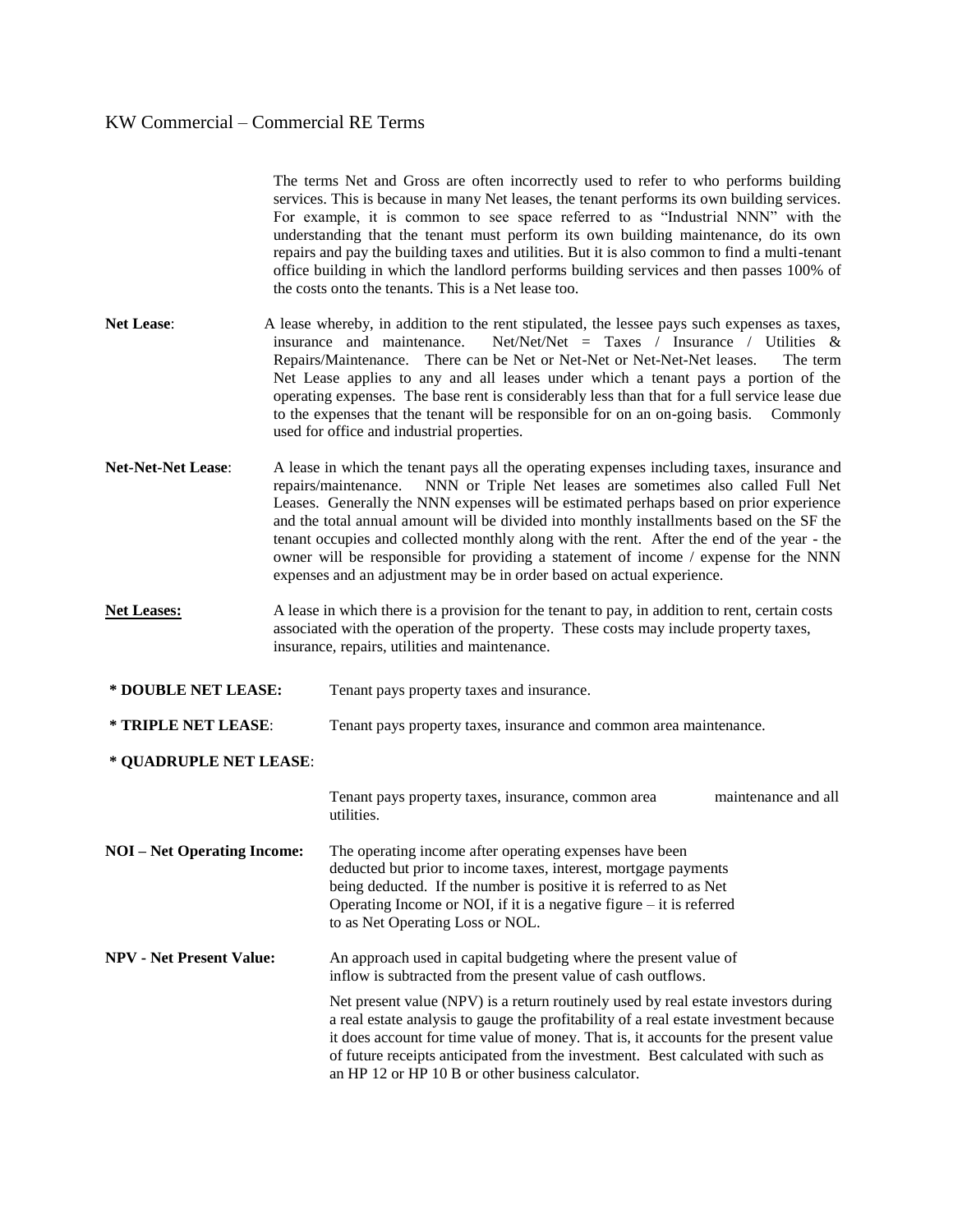|                                    |  | The terms Net and Gross are often incorrectly used to refer to who performs building<br>services. This is because in many Net leases, the tenant performs its own building services.<br>For example, it is common to see space referred to as "Industrial NNN" with the<br>understanding that the tenant must perform its own building maintenance, do its own<br>repairs and pay the building taxes and utilities. But it is also common to find a multi-tenant<br>office building in which the landlord performs building services and then passes 100% of<br>the costs onto the tenants. This is a Net lease too.                    |
|------------------------------------|--|-----------------------------------------------------------------------------------------------------------------------------------------------------------------------------------------------------------------------------------------------------------------------------------------------------------------------------------------------------------------------------------------------------------------------------------------------------------------------------------------------------------------------------------------------------------------------------------------------------------------------------------------|
| <b>Net Lease:</b>                  |  | A lease whereby, in addition to the rent stipulated, the lessee pays such expenses as taxes,<br>insurance and maintenance.<br>Net/Net/Net = Taxes / Insurance / Utilities $\&$<br>Repairs/Maintenance. There can be Net or Net-Net or Net-Net-Net leases.<br>The term<br>Net Lease applies to any and all leases under which a tenant pays a portion of the<br>operating expenses. The base rent is considerably less than that for a full service lease due<br>to the expenses that the tenant will be responsible for on an on-going basis.<br>Commonly<br>used for office and industrial properties.                                 |
| <b>Net-Net-Net Lease:</b>          |  | A lease in which the tenant pays all the operating expenses including taxes, insurance and<br>NNN or Triple Net leases are sometimes also called Full Net<br>repairs/maintenance.<br>Leases. Generally the NNN expenses will be estimated perhaps based on prior experience<br>and the total annual amount will be divided into monthly installments based on the SF the<br>tenant occupies and collected monthly along with the rent. After the end of the year - the<br>owner will be responsible for providing a statement of income / expense for the NNN<br>expenses and an adjustment may be in order based on actual experience. |
| <b>Net Leases:</b>                 |  | A lease in which there is a provision for the tenant to pay, in addition to rent, certain costs<br>associated with the operation of the property. These costs may include property taxes,<br>insurance, repairs, utilities and maintenance.                                                                                                                                                                                                                                                                                                                                                                                             |
| * DOUBLE NET LEASE:                |  | Tenant pays property taxes and insurance.                                                                                                                                                                                                                                                                                                                                                                                                                                                                                                                                                                                               |
| * TRIPLE NET LEASE:                |  | Tenant pays property taxes, insurance and common area maintenance.                                                                                                                                                                                                                                                                                                                                                                                                                                                                                                                                                                      |
| * OUADRUPLE NET LEASE:             |  |                                                                                                                                                                                                                                                                                                                                                                                                                                                                                                                                                                                                                                         |
|                                    |  | Tenant pays property taxes, insurance, common area<br>maintenance and all<br>utilities.                                                                                                                                                                                                                                                                                                                                                                                                                                                                                                                                                 |
| <b>NOI</b> – Net Operating Income: |  | The operating income after operating expenses have been<br>deducted but prior to income taxes, interest, mortgage payments<br>being deducted. If the number is positive it is referred to as Net<br>Operating Income or NOI, if it is a negative figure $-$ it is referred<br>to as Net Operating Loss or NOL.                                                                                                                                                                                                                                                                                                                          |
| <b>NPV - Net Present Value:</b>    |  | An approach used in capital budgeting where the present value of<br>inflow is subtracted from the present value of cash outflows.                                                                                                                                                                                                                                                                                                                                                                                                                                                                                                       |
|                                    |  | Net present value (NPV) is a return routinely used by real estate investors during<br>a real estate analysis to gauge the profitability of a real estate investment because<br>it does account for time value of money. That is, it accounts for the present value<br>of future receipts anticipated from the investment. Best calculated with such as<br>an HP 12 or HP 10 B or other business calculator.                                                                                                                                                                                                                             |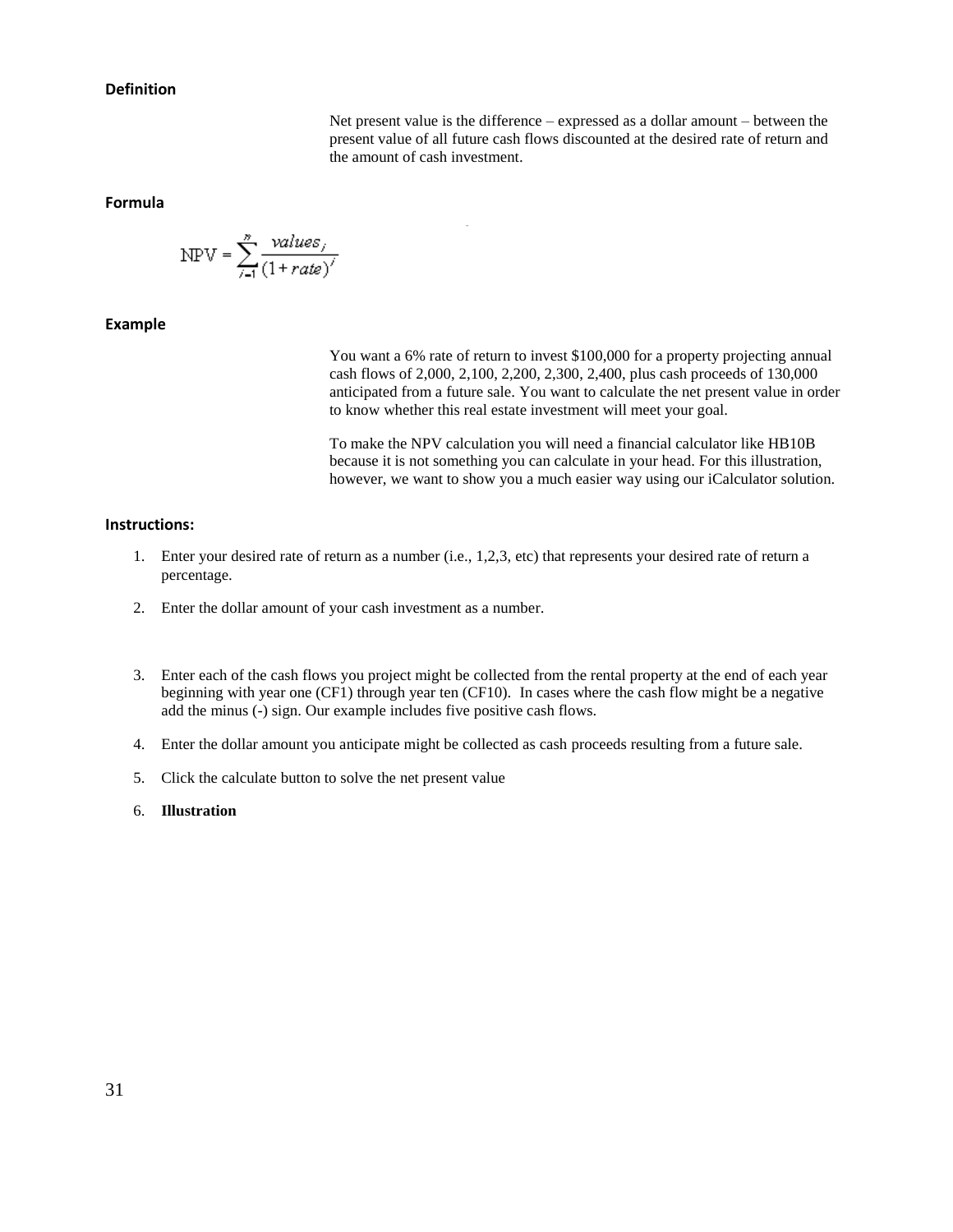#### **Definition**

Net present value is the difference – expressed as a dollar amount – between the present value of all future cash flows discounted at the desired rate of return and the amount of cash investment.

#### **Formula**

$$
NPV = \sum_{i=1}^{n} \frac{values_i}{(1 + rate)^{i}}
$$

#### **Example**

You want a 6% rate of return to invest \$100,000 for a property projecting annual cash flows of 2,000, 2,100, 2,200, 2,300, 2,400, plus cash proceeds of 130,000 anticipated from a future sale. You want to calculate the net present value in order to know whether this real estate investment will meet your goal.

To make the NPV calculation you will need a financial calculator like HB10B because it is not something you can calculate in your head. For this illustration, however, we want to show you a much easier way using our iCalculator solution.

#### **Instructions:**

- 1. Enter your desired rate of return as a number (i.e., 1,2,3, etc) that represents your desired rate of return a percentage.
- 2. Enter the dollar amount of your cash investment as a number.
- 3. Enter each of the cash flows you project might be collected from the rental property at the end of each year beginning with year one (CF1) through year ten (CF10). In cases where the cash flow might be a negative add the minus (-) sign. Our example includes five positive cash flows.
- 4. Enter the dollar amount you anticipate might be collected as cash proceeds resulting from a future sale.
- 5. Click the calculate button to solve the net present value
- 6. **Illustration**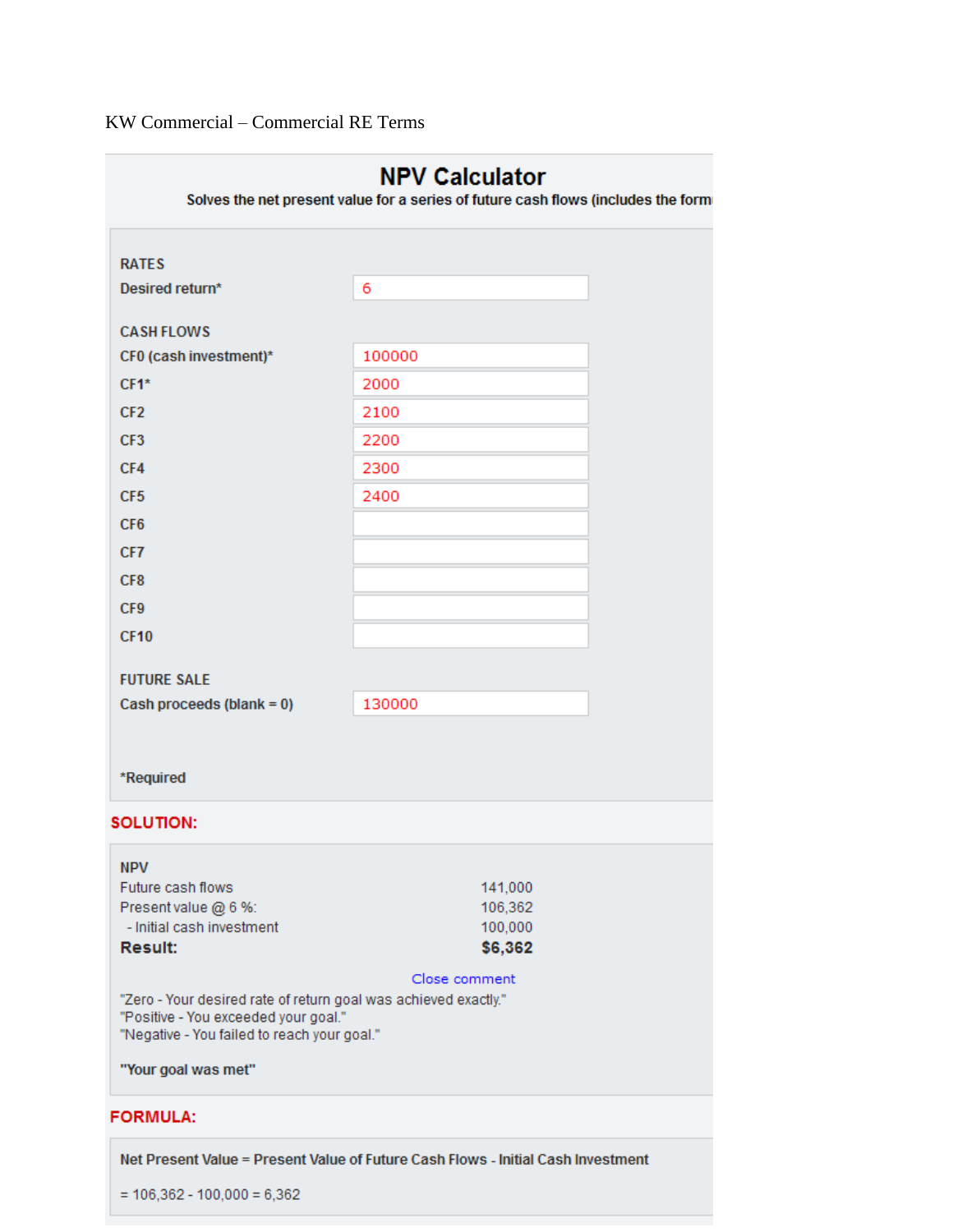|                                                                                     | <b>NPV Calculator</b><br>Solves the net present value for a series of future cash flows (includes the form |
|-------------------------------------------------------------------------------------|------------------------------------------------------------------------------------------------------------|
| <b>RATES</b>                                                                        |                                                                                                            |
|                                                                                     |                                                                                                            |
| Desired return*                                                                     | 6                                                                                                          |
| <b>CASH FLOWS</b>                                                                   |                                                                                                            |
| CF0 (cash investment)*                                                              | 100000                                                                                                     |
| $CF1*$                                                                              | 2000                                                                                                       |
| CF <sub>2</sub>                                                                     | 2100                                                                                                       |
| CF <sub>3</sub>                                                                     | 2200                                                                                                       |
| CF4                                                                                 | 2300                                                                                                       |
| CF <sub>5</sub>                                                                     | 2400                                                                                                       |
| CF <sub>6</sub>                                                                     |                                                                                                            |
| CF7                                                                                 |                                                                                                            |
| CF <sub>8</sub>                                                                     |                                                                                                            |
| CF9                                                                                 |                                                                                                            |
| <b>CF10</b>                                                                         |                                                                                                            |
|                                                                                     |                                                                                                            |
| <b>FUTURE SALE</b>                                                                  |                                                                                                            |
| Cash proceeds (blank = 0)                                                           | 130000                                                                                                     |
|                                                                                     |                                                                                                            |
|                                                                                     |                                                                                                            |
| *Required                                                                           |                                                                                                            |
| <b>SOLUTION:</b>                                                                    |                                                                                                            |
|                                                                                     |                                                                                                            |
| <b>NPV</b><br>Future cash flows                                                     | 141,000                                                                                                    |
| Present value @ 6 %:                                                                | 106,362                                                                                                    |
| - Initial cash investment                                                           | 100,000                                                                                                    |
| <b>Result:</b>                                                                      | \$6,362                                                                                                    |
|                                                                                     | Close comment                                                                                              |
| "Zero - Your desired rate of return goal was achieved exactly."                     |                                                                                                            |
| "Positive - You exceeded your goal."<br>"Negative - You failed to reach your goal." |                                                                                                            |
|                                                                                     |                                                                                                            |
| "Your goal was met"                                                                 |                                                                                                            |
| <b>FORMULA:</b>                                                                     |                                                                                                            |
|                                                                                     | Net Present Value = Present Value of Future Cash Flows - Initial Cash Investment                           |

 $= 106,362 - 100,000 = 6,362$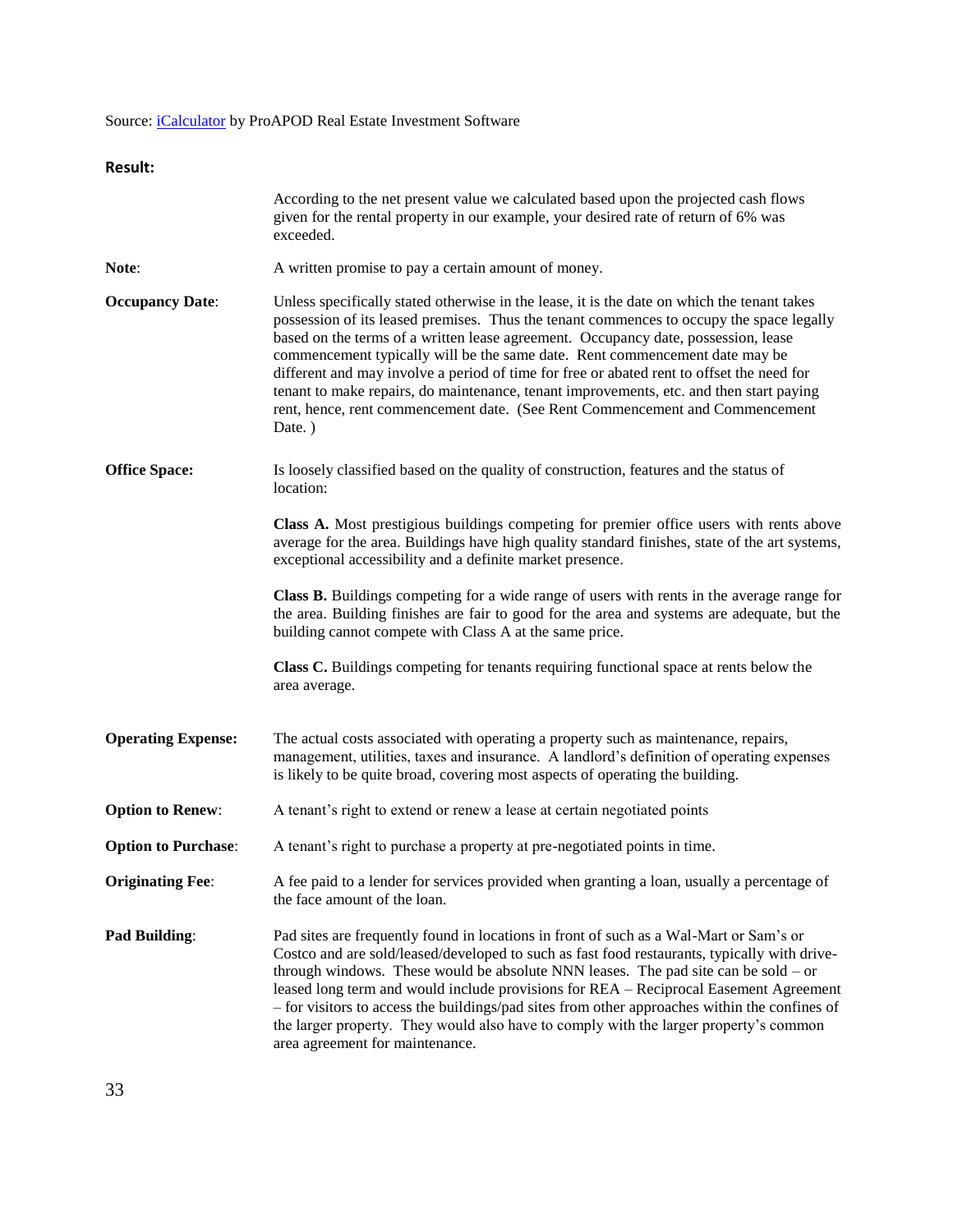## Source: *iCalculator* by ProAPOD Real Estate Investment Software

| uı<br>×<br>۰. |  |
|---------------|--|
|---------------|--|

|                            | According to the net present value we calculated based upon the projected cash flows<br>given for the rental property in our example, your desired rate of return of 6% was<br>exceeded.                                                                                                                                                                                                                                                                                                                                                                                                                                                       |
|----------------------------|------------------------------------------------------------------------------------------------------------------------------------------------------------------------------------------------------------------------------------------------------------------------------------------------------------------------------------------------------------------------------------------------------------------------------------------------------------------------------------------------------------------------------------------------------------------------------------------------------------------------------------------------|
| Note:                      | A written promise to pay a certain amount of money.                                                                                                                                                                                                                                                                                                                                                                                                                                                                                                                                                                                            |
| <b>Occupancy Date:</b>     | Unless specifically stated otherwise in the lease, it is the date on which the tenant takes<br>possession of its leased premises. Thus the tenant commences to occupy the space legally<br>based on the terms of a written lease agreement. Occupancy date, possession, lease<br>commencement typically will be the same date. Rent commencement date may be<br>different and may involve a period of time for free or abated rent to offset the need for<br>tenant to make repairs, do maintenance, tenant improvements, etc. and then start paying<br>rent, hence, rent commencement date. (See Rent Commencement and Commencement<br>Date.) |
| <b>Office Space:</b>       | Is loosely classified based on the quality of construction, features and the status of<br>location:                                                                                                                                                                                                                                                                                                                                                                                                                                                                                                                                            |
|                            | Class A. Most prestigious buildings competing for premier office users with rents above<br>average for the area. Buildings have high quality standard finishes, state of the art systems,<br>exceptional accessibility and a definite market presence.                                                                                                                                                                                                                                                                                                                                                                                         |
|                            | Class B. Buildings competing for a wide range of users with rents in the average range for<br>the area. Building finishes are fair to good for the area and systems are adequate, but the<br>building cannot compete with Class A at the same price.                                                                                                                                                                                                                                                                                                                                                                                           |
|                            | <b>Class C.</b> Buildings competing for tenants requiring functional space at rents below the<br>area average.                                                                                                                                                                                                                                                                                                                                                                                                                                                                                                                                 |
| <b>Operating Expense:</b>  | The actual costs associated with operating a property such as maintenance, repairs,<br>management, utilities, taxes and insurance. A landlord's definition of operating expenses<br>is likely to be quite broad, covering most aspects of operating the building.                                                                                                                                                                                                                                                                                                                                                                              |
| <b>Option to Renew:</b>    | A tenant's right to extend or renew a lease at certain negotiated points                                                                                                                                                                                                                                                                                                                                                                                                                                                                                                                                                                       |
| <b>Option to Purchase:</b> | A tenant's right to purchase a property at pre-negotiated points in time.                                                                                                                                                                                                                                                                                                                                                                                                                                                                                                                                                                      |
| <b>Originating Fee:</b>    | A fee paid to a lender for services provided when granting a loan, usually a percentage of<br>the face amount of the loan.                                                                                                                                                                                                                                                                                                                                                                                                                                                                                                                     |
| <b>Pad Building:</b>       | Pad sites are frequently found in locations in front of such as a Wal-Mart or Sam's or<br>Costco and are sold/leased/developed to such as fast food restaurants, typically with drive-<br>through windows. These would be absolute NNN leases. The pad site can be sold $-$ or<br>leased long term and would include provisions for REA - Reciprocal Easement Agreement<br>- for visitors to access the buildings/pad sites from other approaches within the confines of<br>the larger property. They would also have to comply with the larger property's common<br>area agreement for maintenance.                                           |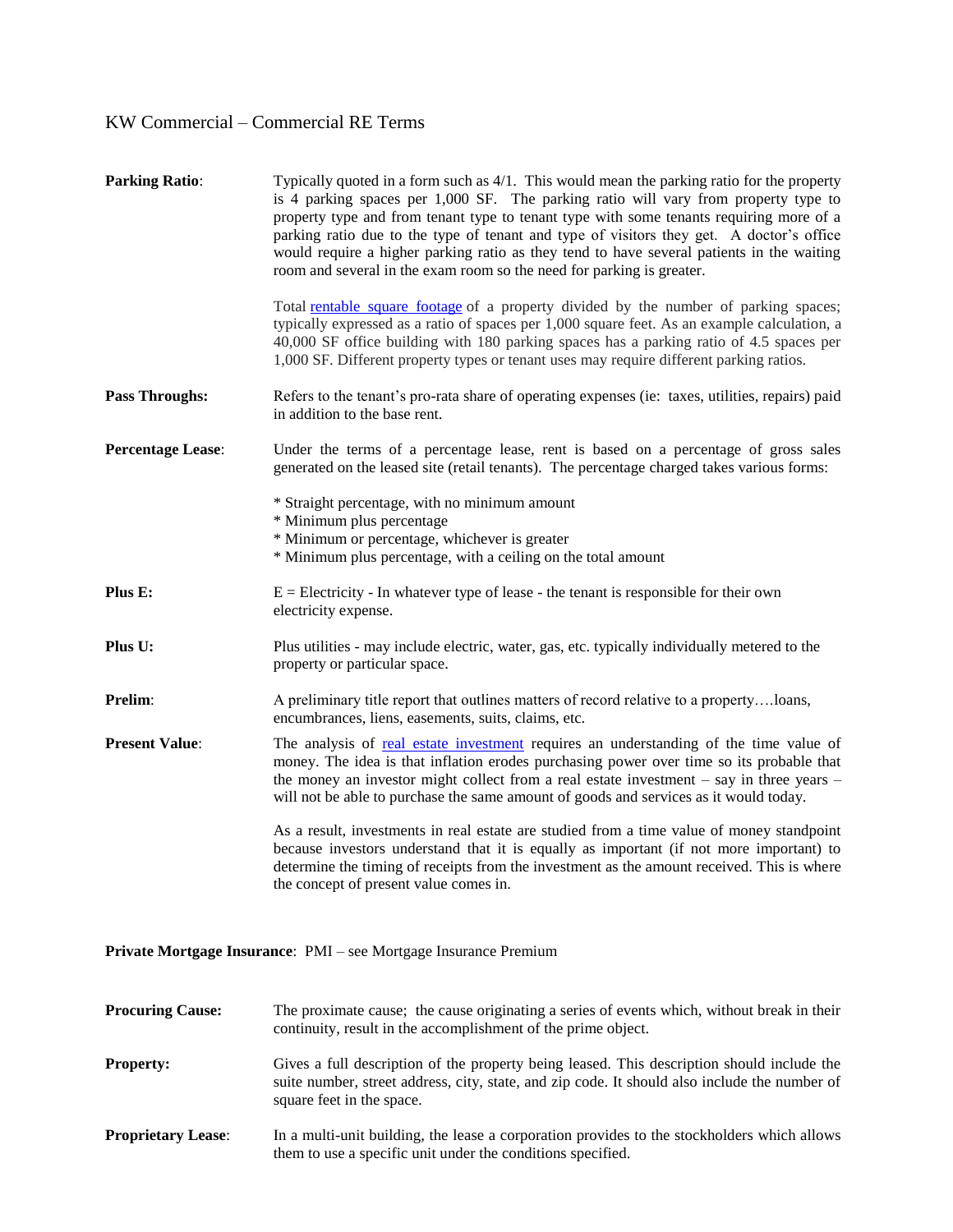| <b>Parking Ratio:</b>    | Typically quoted in a form such as $4/1$ . This would mean the parking ratio for the property<br>is 4 parking spaces per 1,000 SF. The parking ratio will vary from property type to<br>property type and from tenant type to tenant type with some tenants requiring more of a<br>parking ratio due to the type of tenant and type of visitors they get. A doctor's office<br>would require a higher parking ratio as they tend to have several patients in the waiting<br>room and several in the exam room so the need for parking is greater. |
|--------------------------|---------------------------------------------------------------------------------------------------------------------------------------------------------------------------------------------------------------------------------------------------------------------------------------------------------------------------------------------------------------------------------------------------------------------------------------------------------------------------------------------------------------------------------------------------|
|                          | Total rentable square footage of a property divided by the number of parking spaces;<br>typically expressed as a ratio of spaces per 1,000 square feet. As an example calculation, a<br>40,000 SF office building with 180 parking spaces has a parking ratio of 4.5 spaces per<br>1,000 SF. Different property types or tenant uses may require different parking ratios.                                                                                                                                                                        |
| <b>Pass Throughs:</b>    | Refers to the tenant's pro-rata share of operating expenses (ie: taxes, utilities, repairs) paid<br>in addition to the base rent.                                                                                                                                                                                                                                                                                                                                                                                                                 |
| <b>Percentage Lease:</b> | Under the terms of a percentage lease, rent is based on a percentage of gross sales<br>generated on the leased site (retail tenants). The percentage charged takes various forms:                                                                                                                                                                                                                                                                                                                                                                 |
|                          | * Straight percentage, with no minimum amount<br>* Minimum plus percentage<br>* Minimum or percentage, whichever is greater<br>* Minimum plus percentage, with a ceiling on the total amount                                                                                                                                                                                                                                                                                                                                                      |
| Plus E:                  | $E =$ Electricity - In whatever type of lease - the tenant is responsible for their own<br>electricity expense.                                                                                                                                                                                                                                                                                                                                                                                                                                   |
| Plus U:                  | Plus utilities - may include electric, water, gas, etc. typically individually metered to the<br>property or particular space.                                                                                                                                                                                                                                                                                                                                                                                                                    |
| Prelim:                  | A preliminary title report that outlines matters of record relative to a propertyloans,<br>encumbrances, liens, easements, suits, claims, etc.                                                                                                                                                                                                                                                                                                                                                                                                    |
| <b>Present Value:</b>    | The analysis of real estate investment requires an understanding of the time value of<br>money. The idea is that inflation erodes purchasing power over time so its probable that<br>the money an investor might collect from a real estate investment - say in three years -<br>will not be able to purchase the same amount of goods and services as it would today.                                                                                                                                                                            |
|                          | As a result, investments in real estate are studied from a time value of money standpoint<br>because investors understand that it is equally as important (if not more important) to<br>determine the timing of receipts from the investment as the amount received. This is where<br>the concept of present value comes in.                                                                                                                                                                                                                      |
|                          |                                                                                                                                                                                                                                                                                                                                                                                                                                                                                                                                                   |

**Private Mortgage Insurance**: PMI – see Mortgage Insurance Premium

| <b>Procuring Cause:</b>   | The proximate cause; the cause originating a series of events which, without break in their<br>continuity, result in the accomplishment of the prime object.                                                             |
|---------------------------|--------------------------------------------------------------------------------------------------------------------------------------------------------------------------------------------------------------------------|
| <b>Property:</b>          | Gives a full description of the property being leased. This description should include the<br>suite number, street address, city, state, and zip code. It should also include the number of<br>square feet in the space. |
| <b>Proprietary Lease:</b> | In a multi-unit building, the lease a corporation provides to the stockholders which allows<br>them to use a specific unit under the conditions specified.                                                               |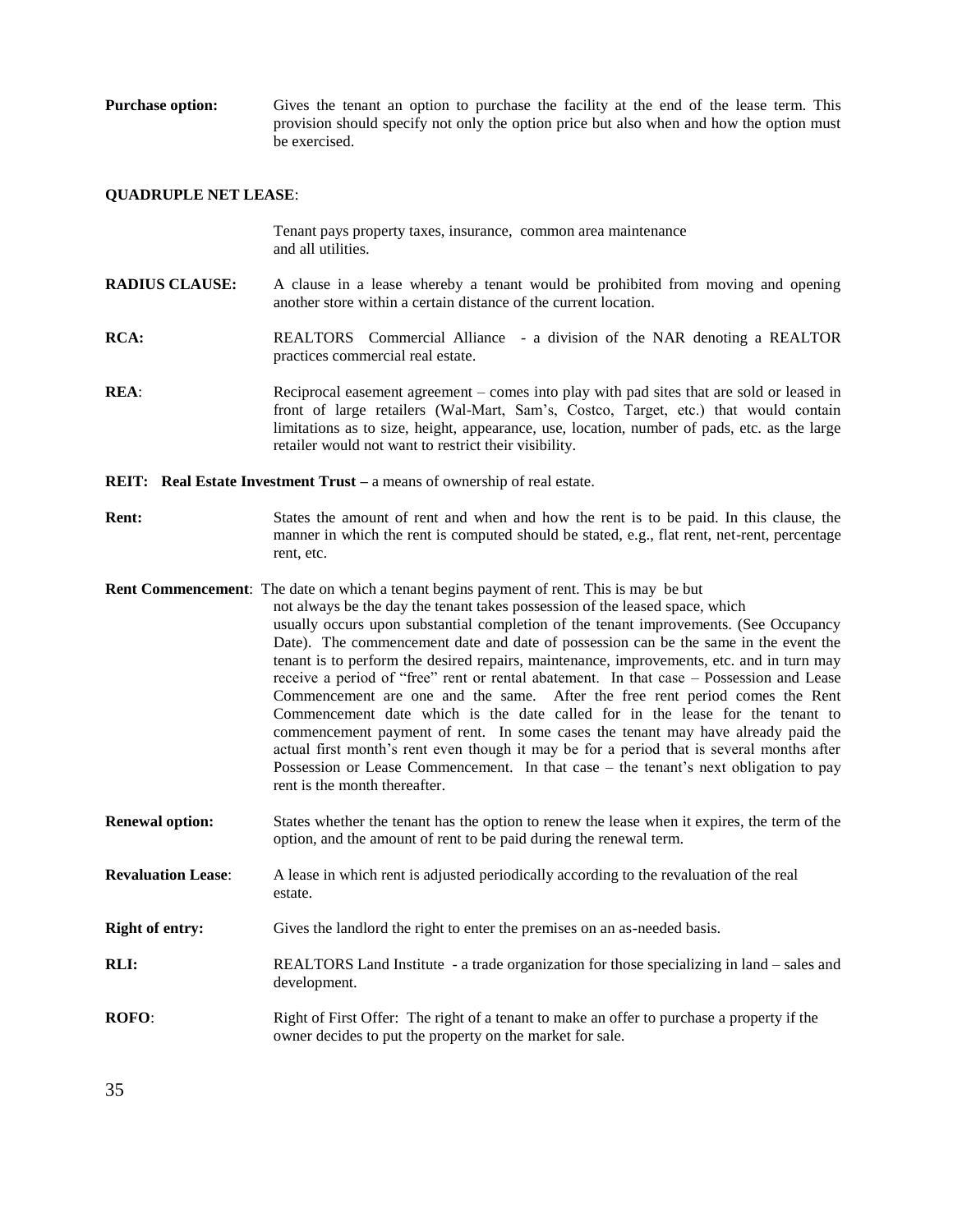**Purchase option:** Gives the tenant an option to purchase the facility at the end of the lease term. This provision should specify not only the option price but also when and how the option must be exercised.

## **QUADRUPLE NET LEASE**:

|                           | Tenant pays property taxes, insurance, common area maintenance<br>and all utilities.                                                                                                                                                                                                                                                                                                                                                                                                                                                                                                                                                                                                                                                                                                                                                                                                                                                                                                                                                 |
|---------------------------|--------------------------------------------------------------------------------------------------------------------------------------------------------------------------------------------------------------------------------------------------------------------------------------------------------------------------------------------------------------------------------------------------------------------------------------------------------------------------------------------------------------------------------------------------------------------------------------------------------------------------------------------------------------------------------------------------------------------------------------------------------------------------------------------------------------------------------------------------------------------------------------------------------------------------------------------------------------------------------------------------------------------------------------|
| <b>RADIUS CLAUSE:</b>     | A clause in a lease whereby a tenant would be prohibited from moving and opening<br>another store within a certain distance of the current location.                                                                                                                                                                                                                                                                                                                                                                                                                                                                                                                                                                                                                                                                                                                                                                                                                                                                                 |
| <b>RCA:</b>               | REALTORS Commercial Alliance - a division of the NAR denoting a REALTOR<br>practices commercial real estate.                                                                                                                                                                                                                                                                                                                                                                                                                                                                                                                                                                                                                                                                                                                                                                                                                                                                                                                         |
| REA:                      | Reciprocal easement agreement – comes into play with pad sites that are sold or leased in<br>front of large retailers (Wal-Mart, Sam's, Costco, Target, etc.) that would contain<br>limitations as to size, height, appearance, use, location, number of pads, etc. as the large<br>retailer would not want to restrict their visibility.                                                                                                                                                                                                                                                                                                                                                                                                                                                                                                                                                                                                                                                                                            |
|                           | <b>REIT:</b> Real Estate Investment Trust – a means of ownership of real estate.                                                                                                                                                                                                                                                                                                                                                                                                                                                                                                                                                                                                                                                                                                                                                                                                                                                                                                                                                     |
| <b>Rent:</b>              | States the amount of rent and when and how the rent is to be paid. In this clause, the<br>manner in which the rent is computed should be stated, e.g., flat rent, net-rent, percentage<br>rent, etc.                                                                                                                                                                                                                                                                                                                                                                                                                                                                                                                                                                                                                                                                                                                                                                                                                                 |
|                           | <b>Rent Commencement:</b> The date on which a tenant begins payment of rent. This is may be but<br>not always be the day the tenant takes possession of the leased space, which<br>usually occurs upon substantial completion of the tenant improvements. (See Occupancy<br>Date). The commencement date and date of possession can be the same in the event the<br>tenant is to perform the desired repairs, maintenance, improvements, etc. and in turn may<br>receive a period of "free" rent or rental abatement. In that case – Possession and Lease<br>Commencement are one and the same. After the free rent period comes the Rent<br>Commencement date which is the date called for in the lease for the tenant to<br>commencement payment of rent. In some cases the tenant may have already paid the<br>actual first month's rent even though it may be for a period that is several months after<br>Possession or Lease Commencement. In that case – the tenant's next obligation to pay<br>rent is the month thereafter. |
| <b>Renewal option:</b>    | States whether the tenant has the option to renew the lease when it expires, the term of the<br>option, and the amount of rent to be paid during the renewal term.                                                                                                                                                                                                                                                                                                                                                                                                                                                                                                                                                                                                                                                                                                                                                                                                                                                                   |
| <b>Revaluation Lease:</b> | A lease in which rent is adjusted periodically according to the revaluation of the real<br>estate.                                                                                                                                                                                                                                                                                                                                                                                                                                                                                                                                                                                                                                                                                                                                                                                                                                                                                                                                   |
| <b>Right of entry:</b>    | Gives the landlord the right to enter the premises on an as-needed basis.                                                                                                                                                                                                                                                                                                                                                                                                                                                                                                                                                                                                                                                                                                                                                                                                                                                                                                                                                            |
| <b>RLI:</b>               | REALTORS Land Institute - a trade organization for those specializing in land – sales and<br>development.                                                                                                                                                                                                                                                                                                                                                                                                                                                                                                                                                                                                                                                                                                                                                                                                                                                                                                                            |
| <b>ROFO:</b>              | Right of First Offer: The right of a tenant to make an offer to purchase a property if the<br>owner decides to put the property on the market for sale.                                                                                                                                                                                                                                                                                                                                                                                                                                                                                                                                                                                                                                                                                                                                                                                                                                                                              |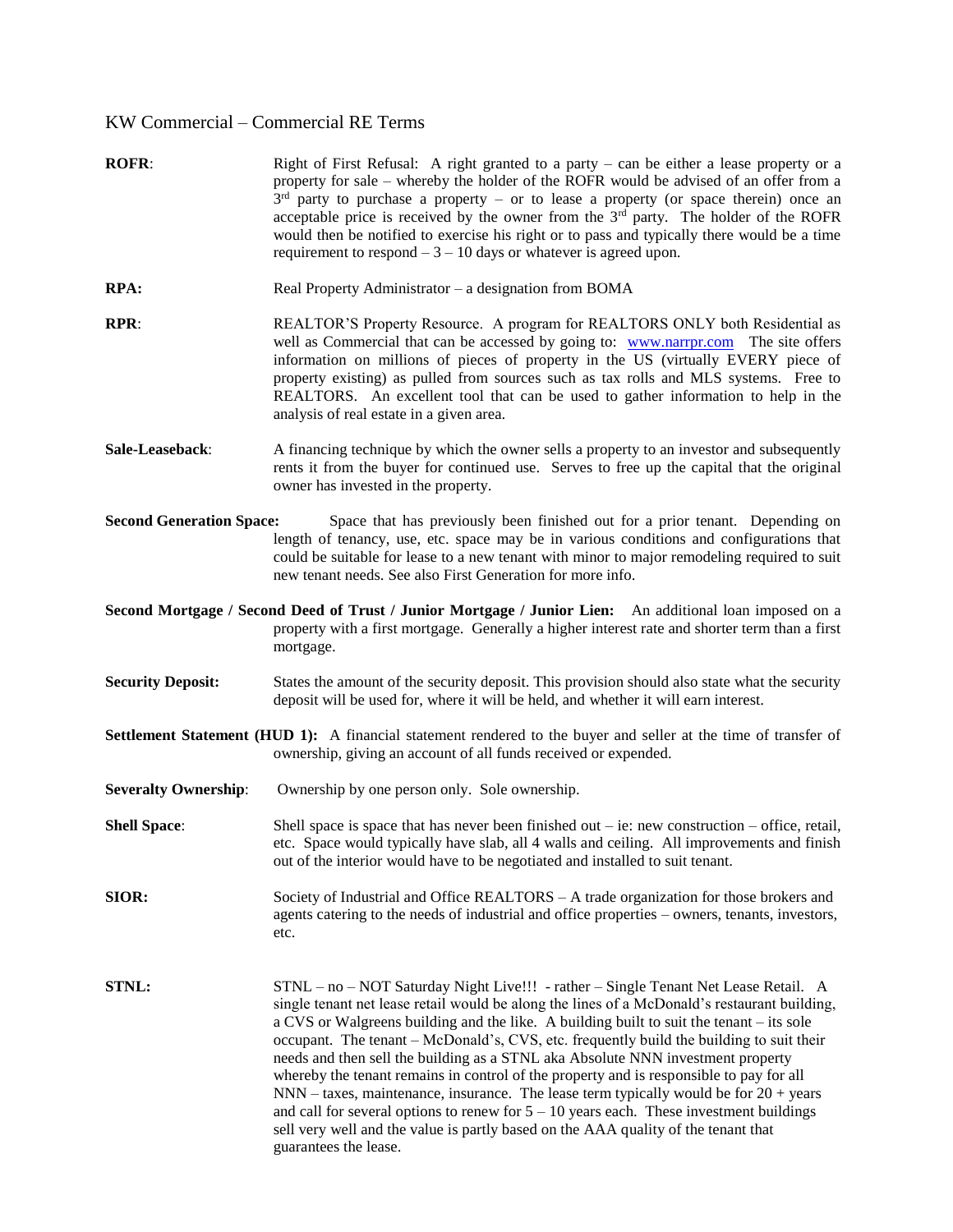- **ROFR:** Right of First Refusal: A right granted to a party can be either a lease property or a property for sale – whereby the holder of the ROFR would be advised of an offer from a  $3<sup>rd</sup>$  party to purchase a property – or to lease a property (or space therein) once an acceptable price is received by the owner from the  $3<sup>rd</sup>$  party. The holder of the ROFR would then be notified to exercise his right or to pass and typically there would be a time requirement to respond  $-3 - 10$  days or whatever is agreed upon.
- **RPA:** Real Property Administrator a designation from BOMA
- **RPR:** REALTOR'S Property Resource. A program for REALTORS ONLY both Residential as well as Commercial that can be accessed by going to: [www.narrpr.com](http://www.narrpr.com/) The site offers information on millions of pieces of property in the US (virtually EVERY piece of property existing) as pulled from sources such as tax rolls and MLS systems. Free to REALTORS. An excellent tool that can be used to gather information to help in the analysis of real estate in a given area.
- **Sale-Leaseback**: A financing technique by which the owner sells a property to an investor and subsequently rents it from the buyer for continued use. Serves to free up the capital that the original owner has invested in the property.
- **Second Generation Space:** Space that has previously been finished out for a prior tenant. Depending on length of tenancy, use, etc. space may be in various conditions and configurations that could be suitable for lease to a new tenant with minor to major remodeling required to suit new tenant needs. See also First Generation for more info.

**Second Mortgage / Second Deed of Trust / Junior Mortgage / Junior Lien:** An additional loan imposed on a property with a first mortgage. Generally a higher interest rate and shorter term than a first mortgage.

- **Security Deposit:** States the amount of the security deposit. This provision should also state what the security deposit will be used for, where it will be held, and whether it will earn interest.
- **Settlement Statement (HUD 1):** A financial statement rendered to the buyer and seller at the time of transfer of ownership, giving an account of all funds received or expended.
- **Severalty Ownership:** Ownership by one person only. Sole ownership.

**Shell Space**: Shell space is space that has never been finished out – ie: new construction – office, retail, etc. Space would typically have slab, all 4 walls and ceiling. All improvements and finish out of the interior would have to be negotiated and installed to suit tenant.

- **SIOR:** Society of Industrial and Office REALTORS A trade organization for those brokers and agents catering to the needs of industrial and office properties – owners, tenants, investors, etc.
- **STNL:** STNL no NOT Saturday Night Live!!! rather Single Tenant Net Lease Retail. A single tenant net lease retail would be along the lines of a McDonald's restaurant building, a CVS or Walgreens building and the like. A building built to suit the tenant – its sole occupant. The tenant – McDonald's, CVS, etc. frequently build the building to suit their needs and then sell the building as a STNL aka Absolute NNN investment property whereby the tenant remains in control of the property and is responsible to pay for all NNN – taxes, maintenance, insurance. The lease term typically would be for 20 + years and call for several options to renew for  $5 - 10$  years each. These investment buildings sell very well and the value is partly based on the AAA quality of the tenant that guarantees the lease.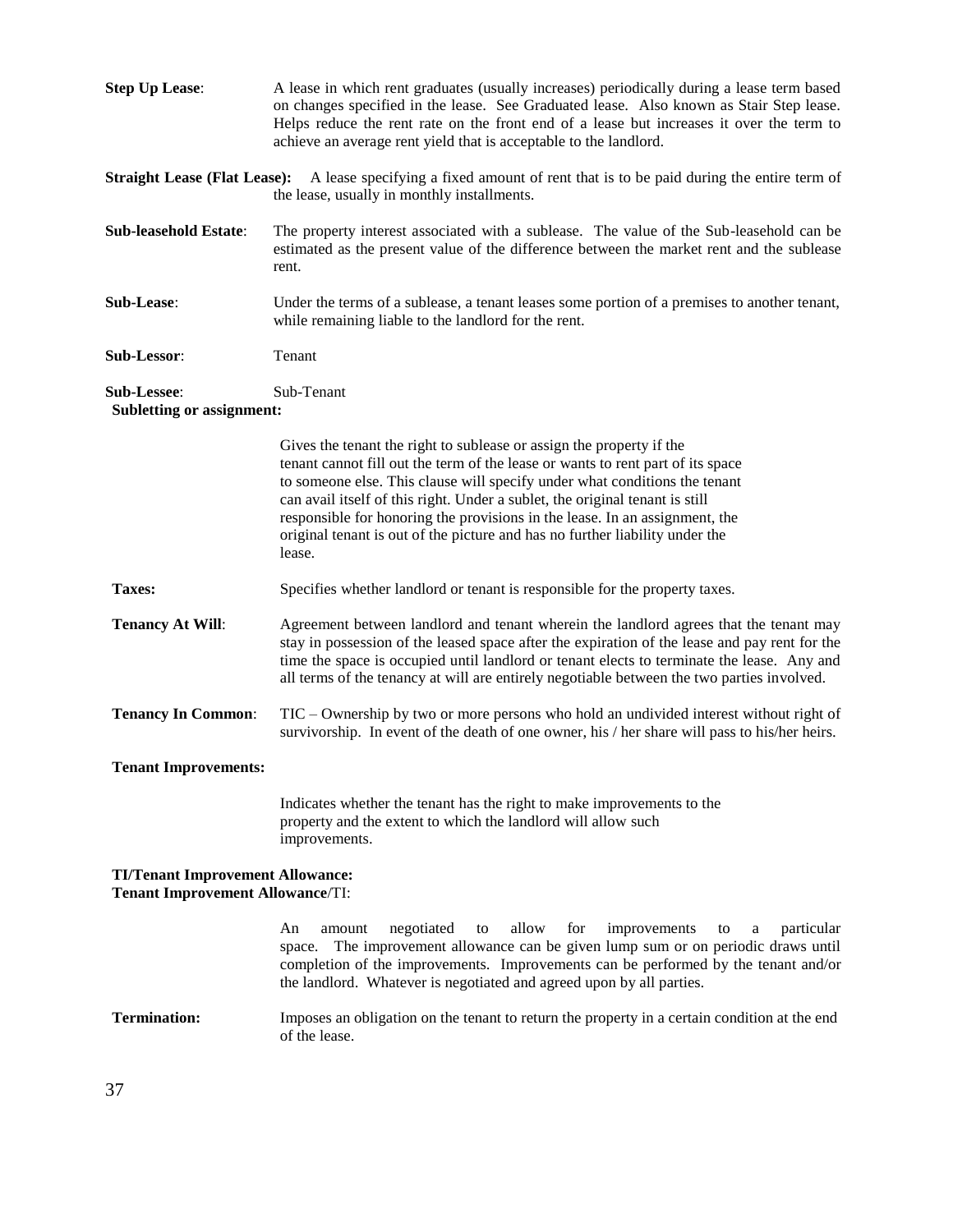| <b>Step Up Lease:</b>                                                              | A lease in which rent graduates (usually increases) periodically during a lease term based<br>on changes specified in the lease. See Graduated lease. Also known as Stair Step lease.<br>Helps reduce the rent rate on the front end of a lease but increases it over the term to<br>achieve an average rent yield that is acceptable to the landlord.                                                                                                                                         |  |
|------------------------------------------------------------------------------------|------------------------------------------------------------------------------------------------------------------------------------------------------------------------------------------------------------------------------------------------------------------------------------------------------------------------------------------------------------------------------------------------------------------------------------------------------------------------------------------------|--|
| <b>Straight Lease (Flat Lease):</b>                                                | A lease specifying a fixed amount of rent that is to be paid during the entire term of<br>the lease, usually in monthly installments.                                                                                                                                                                                                                                                                                                                                                          |  |
| <b>Sub-leasehold Estate:</b>                                                       | The property interest associated with a sublease. The value of the Sub-leasehold can be<br>estimated as the present value of the difference between the market rent and the sublease<br>rent.                                                                                                                                                                                                                                                                                                  |  |
| Sub-Lease:                                                                         | Under the terms of a sublease, a tenant leases some portion of a premises to another tenant,<br>while remaining liable to the landlord for the rent.                                                                                                                                                                                                                                                                                                                                           |  |
| Sub-Lessor:                                                                        | Tenant                                                                                                                                                                                                                                                                                                                                                                                                                                                                                         |  |
| Sub-Lessee:<br><b>Subletting or assignment:</b>                                    | Sub-Tenant                                                                                                                                                                                                                                                                                                                                                                                                                                                                                     |  |
|                                                                                    | Gives the tenant the right to sublease or assign the property if the<br>tenant cannot fill out the term of the lease or wants to rent part of its space<br>to someone else. This clause will specify under what conditions the tenant<br>can avail itself of this right. Under a sublet, the original tenant is still<br>responsible for honoring the provisions in the lease. In an assignment, the<br>original tenant is out of the picture and has no further liability under the<br>lease. |  |
| Taxes:                                                                             | Specifies whether landlord or tenant is responsible for the property taxes.                                                                                                                                                                                                                                                                                                                                                                                                                    |  |
| <b>Tenancy At Will:</b>                                                            | Agreement between landlord and tenant wherein the landlord agrees that the tenant may<br>stay in possession of the leased space after the expiration of the lease and pay rent for the<br>time the space is occupied until landlord or tenant elects to terminate the lease. Any and<br>all terms of the tenancy at will are entirely negotiable between the two parties involved.                                                                                                             |  |
| <b>Tenancy In Common:</b>                                                          | TIC – Ownership by two or more persons who hold an undivided interest without right of<br>survivorship. In event of the death of one owner, his / her share will pass to his/her heirs.                                                                                                                                                                                                                                                                                                        |  |
| <b>Tenant Improvements:</b>                                                        |                                                                                                                                                                                                                                                                                                                                                                                                                                                                                                |  |
|                                                                                    | Indicates whether the tenant has the right to make improvements to the<br>property and the extent to which the landlord will allow such<br>improvements.                                                                                                                                                                                                                                                                                                                                       |  |
| <b>TI/Tenant Improvement Allowance:</b><br><b>Tenant Improvement Allowance/TI:</b> |                                                                                                                                                                                                                                                                                                                                                                                                                                                                                                |  |
|                                                                                    | allow<br>for<br>An<br>amount<br>negotiated<br>improvements<br>particular<br>to<br>$\mathbf{a}$<br>to<br>The improvement allowance can be given lump sum or on periodic draws until<br>space.<br>completion of the improvements. Improvements can be performed by the tenant and/or<br>the landlord. Whatever is negotiated and agreed upon by all parties.                                                                                                                                     |  |
| <b>Termination:</b>                                                                | Imposes an obligation on the tenant to return the property in a certain condition at the end<br>of the lease.                                                                                                                                                                                                                                                                                                                                                                                  |  |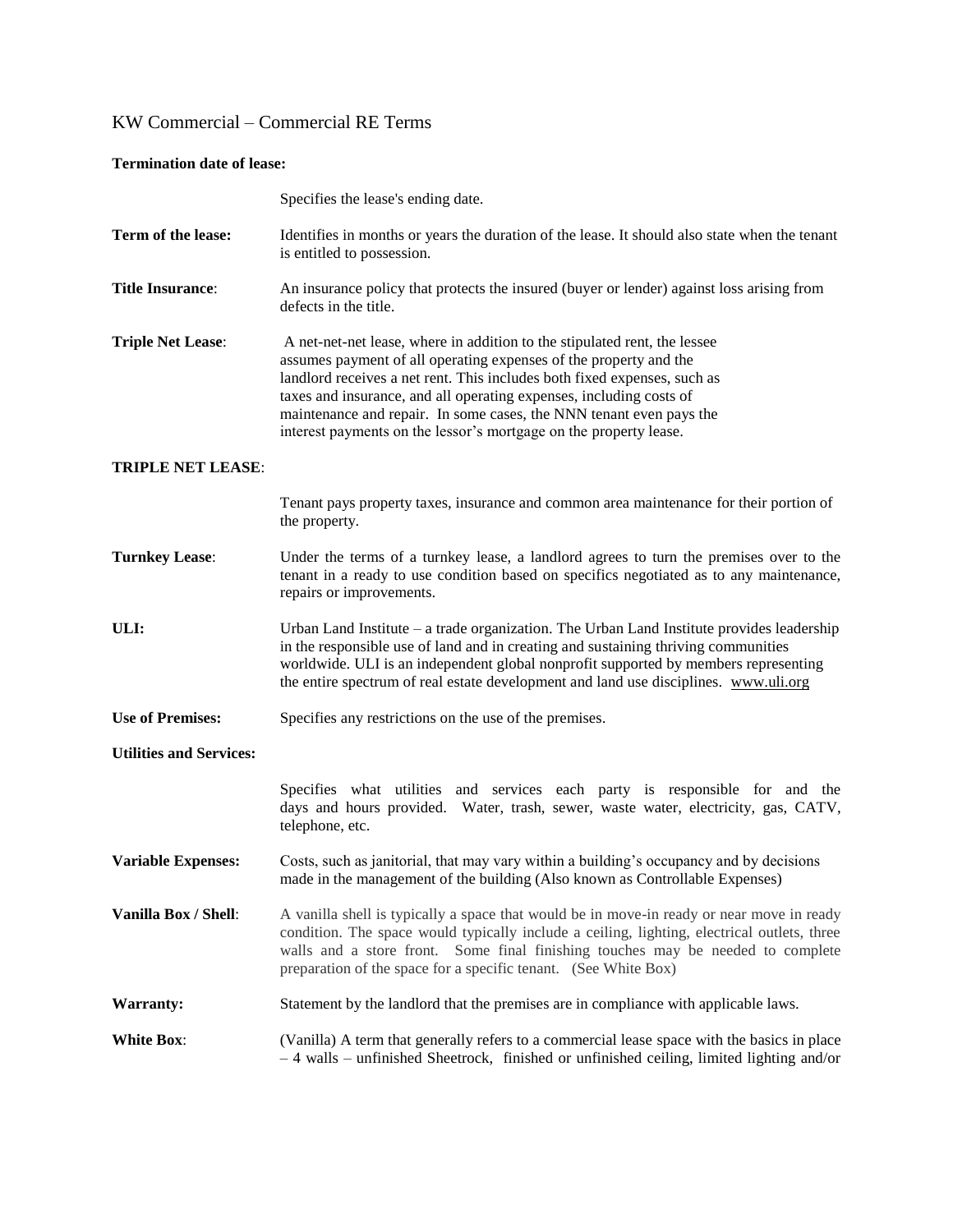### **Termination date of lease:**

|                                | Specifies the lease's ending date.                                                                                                                                                                                                                                                                                                                                                                                                            |
|--------------------------------|-----------------------------------------------------------------------------------------------------------------------------------------------------------------------------------------------------------------------------------------------------------------------------------------------------------------------------------------------------------------------------------------------------------------------------------------------|
| Term of the lease:             | Identifies in months or years the duration of the lease. It should also state when the tenant<br>is entitled to possession.                                                                                                                                                                                                                                                                                                                   |
| <b>Title Insurance:</b>        | An insurance policy that protects the insured (buyer or lender) against loss arising from<br>defects in the title.                                                                                                                                                                                                                                                                                                                            |
| <b>Triple Net Lease:</b>       | A net-net-net lease, where in addition to the stipulated rent, the lessee<br>assumes payment of all operating expenses of the property and the<br>landlord receives a net rent. This includes both fixed expenses, such as<br>taxes and insurance, and all operating expenses, including costs of<br>maintenance and repair. In some cases, the NNN tenant even pays the<br>interest payments on the lessor's mortgage on the property lease. |
| <b>TRIPLE NET LEASE:</b>       |                                                                                                                                                                                                                                                                                                                                                                                                                                               |
|                                | Tenant pays property taxes, insurance and common area maintenance for their portion of<br>the property.                                                                                                                                                                                                                                                                                                                                       |
| <b>Turnkey Lease:</b>          | Under the terms of a turnkey lease, a landlord agrees to turn the premises over to the<br>tenant in a ready to use condition based on specifics negotiated as to any maintenance,<br>repairs or improvements.                                                                                                                                                                                                                                 |
| ULI:                           | Urban Land Institute – a trade organization. The Urban Land Institute provides leadership<br>in the responsible use of land and in creating and sustaining thriving communities<br>worldwide. ULI is an independent global nonprofit supported by members representing<br>the entire spectrum of real estate development and land use disciplines. www.uli.org                                                                                |
| <b>Use of Premises:</b>        | Specifies any restrictions on the use of the premises.                                                                                                                                                                                                                                                                                                                                                                                        |
| <b>Utilities and Services:</b> |                                                                                                                                                                                                                                                                                                                                                                                                                                               |
|                                | Specifies what utilities and services each party is responsible for and the<br>days and hours provided. Water, trash, sewer, waste water, electricity, gas, CATV,<br>telephone, etc.                                                                                                                                                                                                                                                          |
| <b>Variable Expenses:</b>      | Costs, such as janitorial, that may vary within a building's occupancy and by decisions<br>made in the management of the building (Also known as Controllable Expenses)                                                                                                                                                                                                                                                                       |
| Vanilla Box / Shell:           | A vanilla shell is typically a space that would be in move-in ready or near move in ready<br>condition. The space would typically include a ceiling, lighting, electrical outlets, three<br>walls and a store front. Some final finishing touches may be needed to complete<br>preparation of the space for a specific tenant. (See White Box)                                                                                                |
| <b>Warranty:</b>               | Statement by the landlord that the premises are in compliance with applicable laws.                                                                                                                                                                                                                                                                                                                                                           |
| <b>White Box:</b>              | (Vanilla) A term that generally refers to a commercial lease space with the basics in place<br>$-4$ walls – unfinished Sheetrock, finished or unfinished ceiling, limited lighting and/or                                                                                                                                                                                                                                                     |